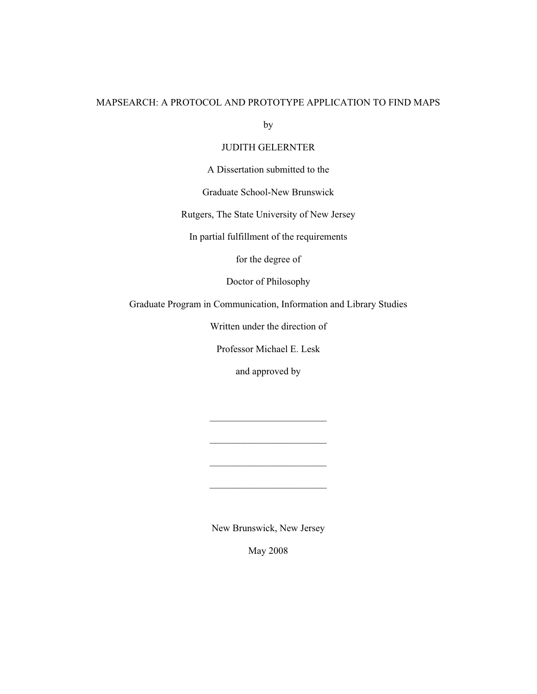## MAPSEARCH: A PROTOCOL AND PROTOTYPE APPLICATION TO FIND MAPS

by

## JUDITH GELERNTER

A Dissertation submitted to the

Graduate School-New Brunswick

Rutgers, The State University of New Jersey

In partial fulfillment of the requirements

for the degree of

Doctor of Philosophy

Graduate Program in Communication, Information and Library Studies

Written under the direction of

Professor Michael E. Lesk

and approved by

 $\frac{1}{2}$  , and the set of the set of the set of the set of the set of the set of the set of the set of the set of the set of the set of the set of the set of the set of the set of the set of the set of the set of the set

 $\frac{1}{2}$  , and the set of the set of the set of the set of the set of the set of the set of the set of the set of the set of the set of the set of the set of the set of the set of the set of the set of the set of the set

 $\mathcal{L}_\text{max}$  , where  $\mathcal{L}_\text{max}$  is the set of the set of the set of the set of the set of the set of the set of the set of the set of the set of the set of the set of the set of the set of the set of the set of the se

 $\mathcal{L}_\text{max}$  , where  $\mathcal{L}_\text{max}$  is the set of the set of the set of the set of the set of the set of the set of the set of the set of the set of the set of the set of the set of the set of the set of the set of the se

New Brunswick, New Jersey

May 2008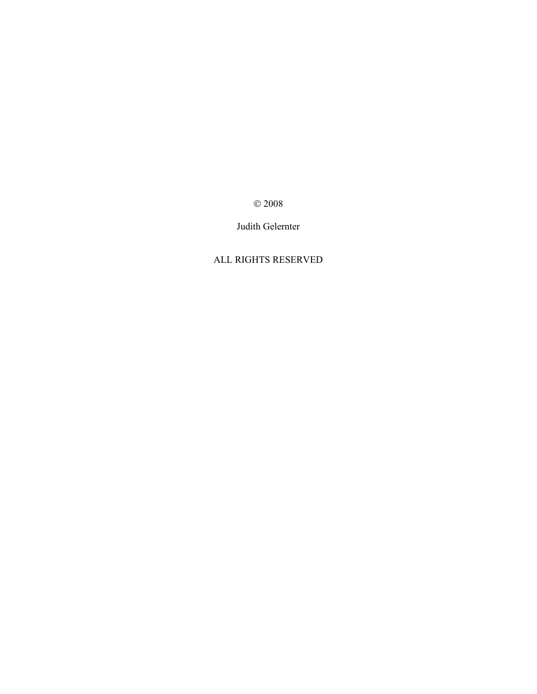© 2008

Judith Gelernter

## ALL RIGHTS RESERVED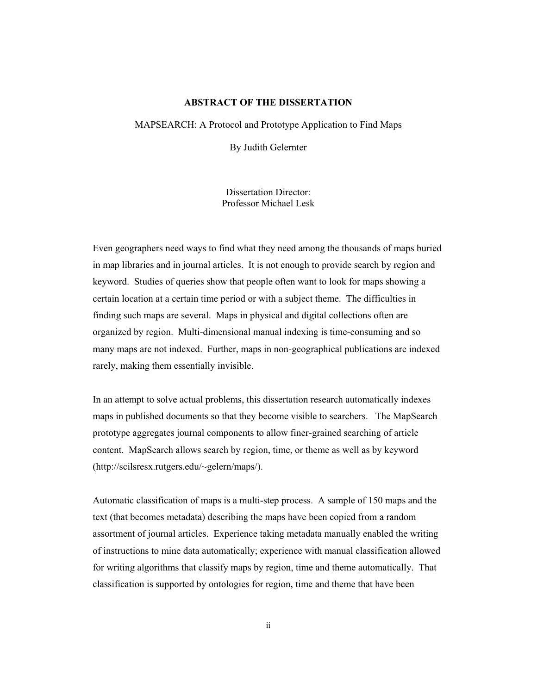### **ABSTRACT OF THE DISSERTATION**

MAPSEARCH: A Protocol and Prototype Application to Find Maps

By Judith Gelernter

Dissertation Director: Professor Michael Lesk

Even geographers need ways to find what they need among the thousands of maps buried in map libraries and in journal articles. It is not enough to provide search by region and keyword. Studies of queries show that people often want to look for maps showing a certain location at a certain time period or with a subject theme. The difficulties in finding such maps are several. Maps in physical and digital collections often are organized by region. Multi-dimensional manual indexing is time-consuming and so many maps are not indexed. Further, maps in non-geographical publications are indexed rarely, making them essentially invisible.

In an attempt to solve actual problems, this dissertation research automatically indexes maps in published documents so that they become visible to searchers. The MapSearch prototype aggregates journal components to allow finer-grained searching of article content. MapSearch allows search by region, time, or theme as well as by keyword (http://scilsresx.rutgers.edu/~gelern/maps/).

Automatic classification of maps is a multi-step process. A sample of 150 maps and the text (that becomes metadata) describing the maps have been copied from a random assortment of journal articles. Experience taking metadata manually enabled the writing of instructions to mine data automatically; experience with manual classification allowed for writing algorithms that classify maps by region, time and theme automatically. That classification is supported by ontologies for region, time and theme that have been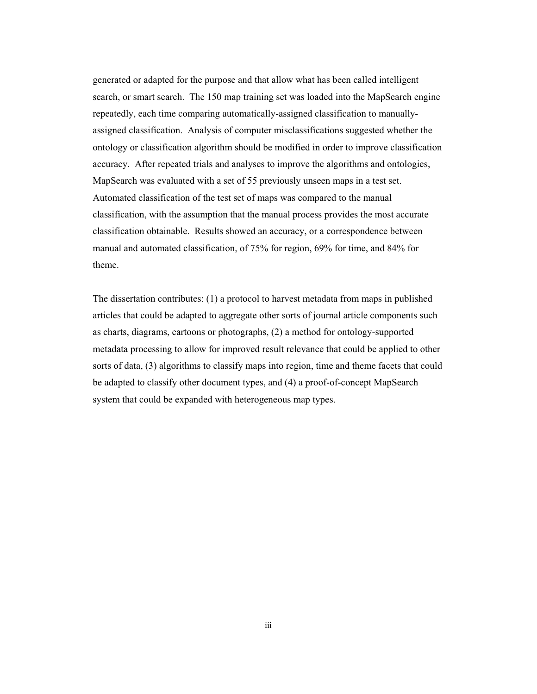generated or adapted for the purpose and that allow what has been called intelligent search, or smart search. The 150 map training set was loaded into the MapSearch engine repeatedly, each time comparing automatically-assigned classification to manuallyassigned classification. Analysis of computer misclassifications suggested whether the ontology or classification algorithm should be modified in order to improve classification accuracy. After repeated trials and analyses to improve the algorithms and ontologies, MapSearch was evaluated with a set of 55 previously unseen maps in a test set. Automated classification of the test set of maps was compared to the manual classification, with the assumption that the manual process provides the most accurate classification obtainable. Results showed an accuracy, or a correspondence between manual and automated classification, of 75% for region, 69% for time, and 84% for theme.

The dissertation contributes: (1) a protocol to harvest metadata from maps in published articles that could be adapted to aggregate other sorts of journal article components such as charts, diagrams, cartoons or photographs, (2) a method for ontology-supported metadata processing to allow for improved result relevance that could be applied to other sorts of data, (3) algorithms to classify maps into region, time and theme facets that could be adapted to classify other document types, and (4) a proof-of-concept MapSearch system that could be expanded with heterogeneous map types.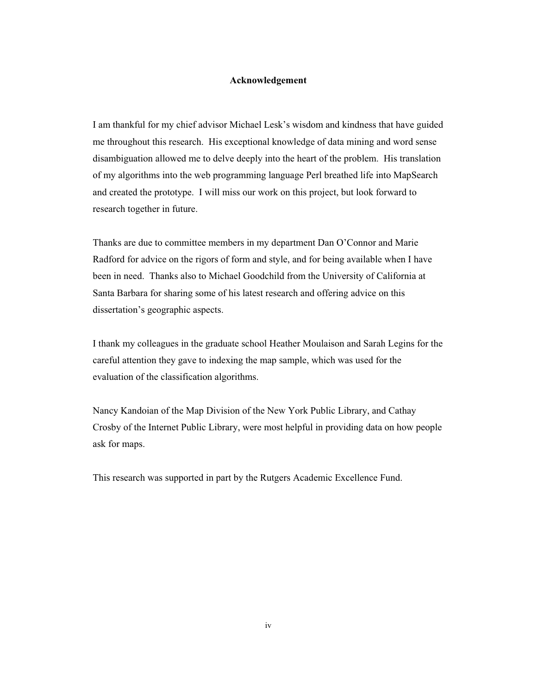### **Acknowledgement**

I am thankful for my chief advisor Michael Lesk's wisdom and kindness that have guided me throughout this research. His exceptional knowledge of data mining and word sense disambiguation allowed me to delve deeply into the heart of the problem. His translation of my algorithms into the web programming language Perl breathed life into MapSearch and created the prototype. I will miss our work on this project, but look forward to research together in future.

Thanks are due to committee members in my department Dan O'Connor and Marie Radford for advice on the rigors of form and style, and for being available when I have been in need. Thanks also to Michael Goodchild from the University of California at Santa Barbara for sharing some of his latest research and offering advice on this dissertation's geographic aspects.

I thank my colleagues in the graduate school Heather Moulaison and Sarah Legins for the careful attention they gave to indexing the map sample, which was used for the evaluation of the classification algorithms.

Nancy Kandoian of the Map Division of the New York Public Library, and Cathay Crosby of the Internet Public Library, were most helpful in providing data on how people ask for maps.

This research was supported in part by the Rutgers Academic Excellence Fund.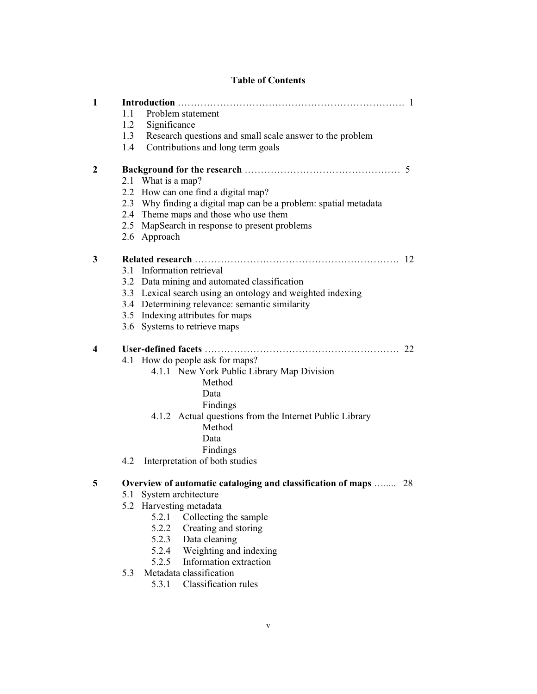## **Table of Contents**

| 1            |     |                                                                  |    |  |  |
|--------------|-----|------------------------------------------------------------------|----|--|--|
|              | 1.1 | Problem statement                                                |    |  |  |
|              | 1.2 | Significance                                                     |    |  |  |
|              | 1.3 | Research questions and small scale answer to the problem         |    |  |  |
|              | 1.4 | Contributions and long term goals                                |    |  |  |
| $\mathbf{2}$ |     |                                                                  |    |  |  |
|              |     | 2.1 What is a map?                                               |    |  |  |
|              |     | 2.2 How can one find a digital map?                              |    |  |  |
|              |     | 2.3 Why finding a digital map can be a problem: spatial metadata |    |  |  |
|              |     | 2.4 Theme maps and those who use them                            |    |  |  |
|              |     | 2.5 MapSearch in response to present problems                    |    |  |  |
|              |     | 2.6 Approach                                                     |    |  |  |
| 3            |     |                                                                  |    |  |  |
|              | 3.1 | Information retrieval                                            |    |  |  |
|              |     | 3.2 Data mining and automated classification                     |    |  |  |
|              |     | 3.3 Lexical search using an ontology and weighted indexing       |    |  |  |
|              |     | 3.4 Determining relevance: semantic similarity                   |    |  |  |
|              |     | 3.5 Indexing attributes for maps                                 |    |  |  |
|              |     | 3.6 Systems to retrieve maps                                     |    |  |  |
| 4            |     |                                                                  |    |  |  |
|              |     | 4.1 How do people ask for maps?                                  |    |  |  |
|              |     | 4.1.1 New York Public Library Map Division                       |    |  |  |
|              |     | Method                                                           |    |  |  |
|              |     | Data                                                             |    |  |  |
|              |     | Findings                                                         |    |  |  |
|              |     | 4.1.2 Actual questions from the Internet Public Library          |    |  |  |
|              |     | Method                                                           |    |  |  |
|              |     | Data                                                             |    |  |  |
|              |     | Findings                                                         |    |  |  |
|              | 4.2 | Interpretation of both studies                                   |    |  |  |
| 5            |     | Overview of automatic cataloging and classification of maps      | 28 |  |  |
|              | 5.1 | System architecture                                              |    |  |  |
|              | 5.2 | Harvesting metadata                                              |    |  |  |
|              |     | Collecting the sample<br>5.2.1                                   |    |  |  |
|              |     | 5.2.2<br>Creating and storing                                    |    |  |  |
|              |     | 5.2.3<br>Data cleaning                                           |    |  |  |
|              |     | 5.2.4 Weighting and indexing                                     |    |  |  |
|              |     | Information extraction<br>5.2.5                                  |    |  |  |
|              | 5.3 | Metadata classification                                          |    |  |  |
|              |     | Classification rules<br>5.3.1                                    |    |  |  |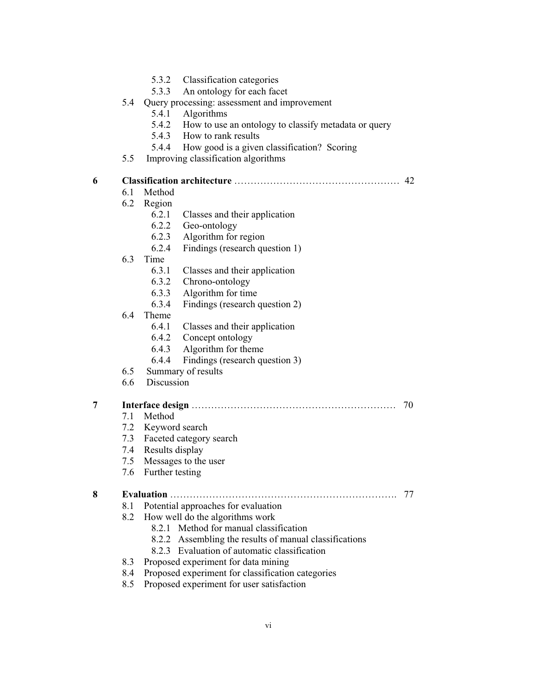| 5.3.2 | Classification categories |  |
|-------|---------------------------|--|
|-------|---------------------------|--|

5.3.3 An ontology for each facet

|  |  | Query processing: assessment and improvement |
|--|--|----------------------------------------------|
|  |  |                                              |

- 5.4.1 Algorithms
- 5.4.2 How to use an ontology to classify metadata or query
- 5.4.3 How to rank results
- 5.4.4 How good is a given classification? Scoring
- 5.5 Improving classification algorithms

| 6 |     |                                                        | 42 |
|---|-----|--------------------------------------------------------|----|
|   | 6.1 | Method                                                 |    |
|   | 6.2 | Region                                                 |    |
|   |     | 6.2.1<br>Classes and their application                 |    |
|   |     | 6.2.2<br>Geo-ontology                                  |    |
|   |     | 6.2.3<br>Algorithm for region                          |    |
|   |     | 6.2.4<br>Findings (research question 1)                |    |
|   | 6.3 | Time                                                   |    |
|   |     | 6.3.1<br>Classes and their application                 |    |
|   |     | 6.3.2<br>Chrono-ontology                               |    |
|   |     | 6.3.3<br>Algorithm for time                            |    |
|   |     | 6.3.4<br>Findings (research question 2)                |    |
|   | 6.4 | Theme                                                  |    |
|   |     | 6.4.1<br>Classes and their application                 |    |
|   |     | 6.4.2<br>Concept ontology                              |    |
|   |     | Algorithm for theme<br>6.4.3                           |    |
|   |     | 6.4.4<br>Findings (research question 3)                |    |
|   | 6.5 | Summary of results                                     |    |
|   | 6.6 | Discussion                                             |    |
| 7 |     |                                                        | 70 |
|   | 7.1 | Method                                                 |    |
|   | 7.2 | Keyword search                                         |    |
|   | 7.3 | Faceted category search                                |    |
|   | 7.4 | Results display                                        |    |
|   | 7.5 | Messages to the user                                   |    |
|   | 7.6 | Further testing                                        |    |
| 8 |     |                                                        | 77 |
|   | 8.1 | Potential approaches for evaluation                    |    |
|   | 8.2 | How well do the algorithms work                        |    |
|   |     | 8.2.1 Method for manual classification                 |    |
|   |     | 8.2.2 Assembling the results of manual classifications |    |
|   |     | 8.2.3 Evaluation of automatic classification           |    |
|   | 8.3 | Proposed experiment for data mining                    |    |
|   | 8.4 | Proposed experiment for classification categories      |    |
|   |     | Proposed experiment for user satisfaction              |    |
|   | 8.5 |                                                        |    |
|   |     |                                                        |    |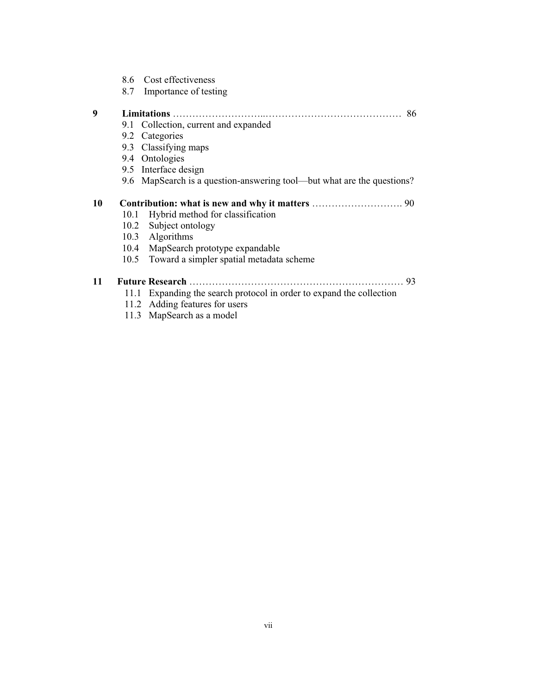8.7 Importance of testing

| 9  |      | 86                                                                     |
|----|------|------------------------------------------------------------------------|
|    |      | 9.1 Collection, current and expanded                                   |
|    |      | 9.2 Categories                                                         |
|    |      | 9.3 Classifying maps                                                   |
|    |      | 9.4 Ontologies                                                         |
|    |      | 9.5 Interface design                                                   |
|    |      | 9.6 MapSearch is a question-answering tool—but what are the questions? |
| 10 |      |                                                                        |
|    | 10.1 | Hybrid method for classification                                       |
|    |      | 10.2 Subject ontology                                                  |
|    |      | 10.3 Algorithms                                                        |
|    |      | 10.4 MapSearch prototype expandable                                    |
|    |      | 10.5 Toward a simpler spatial metadata scheme                          |
| 11 |      | 93                                                                     |
|    | 11.1 | Expanding the search protocol in order to expand the collection        |
|    |      | 11.2 Adding features for users                                         |
|    |      | 11.3 MapSearch as a model                                              |
|    |      |                                                                        |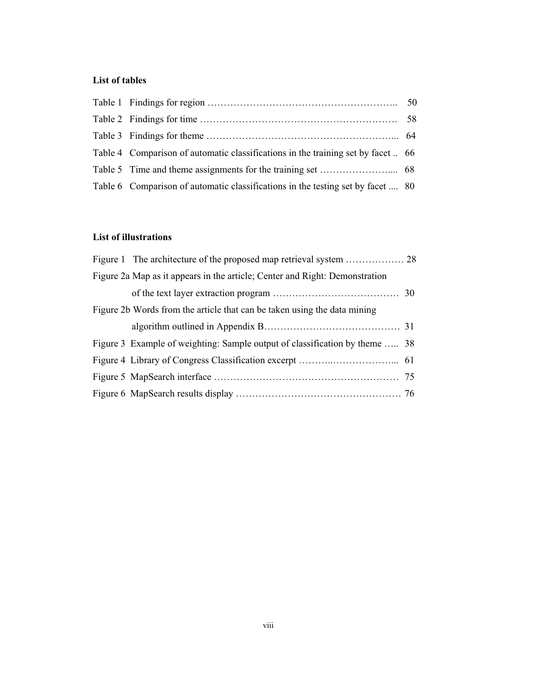## **List of tables**

| Table 4 Comparison of automatic classifications in the training set by facet 66 |  |
|---------------------------------------------------------------------------------|--|
|                                                                                 |  |
| Table 6 Comparison of automatic classifications in the testing set by facet  80 |  |

## **List of illustrations**

| Figure 2a Map as it appears in the article; Center and Right: Demonstration |  |
|-----------------------------------------------------------------------------|--|
|                                                                             |  |
| Figure 2b Words from the article that can be taken using the data mining    |  |
|                                                                             |  |
| Figure 3 Example of weighting: Sample output of classification by theme  38 |  |
|                                                                             |  |
|                                                                             |  |
|                                                                             |  |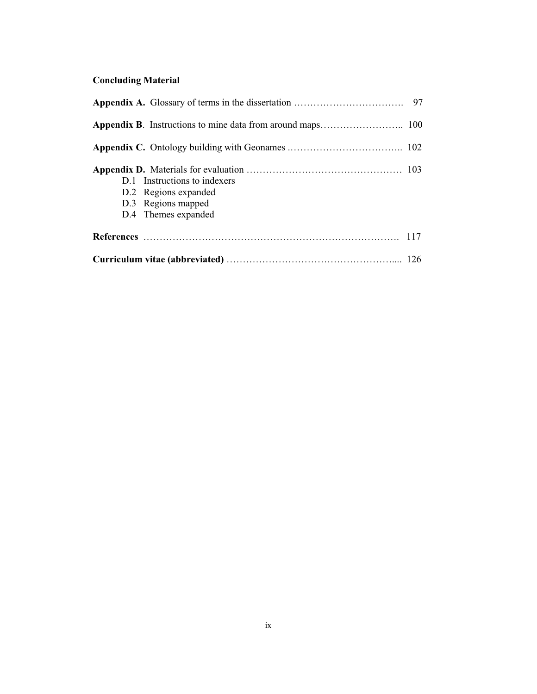# **Concluding Material**

| D.1 Instructions to indexers<br>D.2 Regions expanded<br>D.3 Regions mapped<br>D.4 Themes expanded |  |
|---------------------------------------------------------------------------------------------------|--|
|                                                                                                   |  |
|                                                                                                   |  |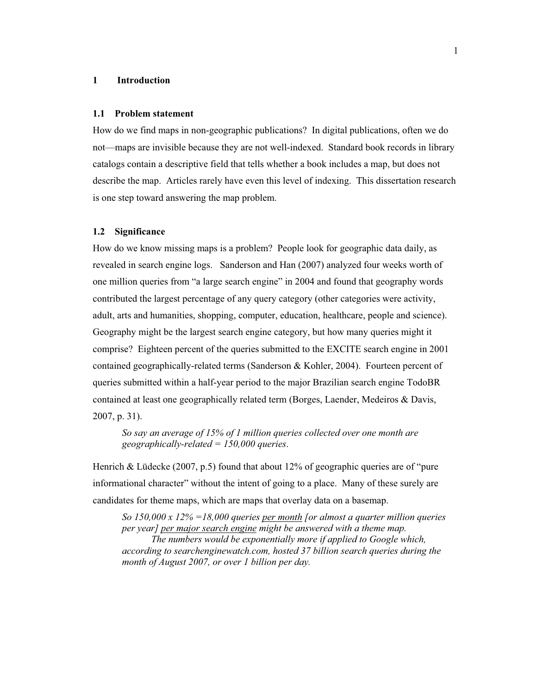### **1 Introduction**

### **1.1 Problem statement**

How do we find maps in non-geographic publications? In digital publications, often we do not—maps are invisible because they are not well-indexed. Standard book records in library catalogs contain a descriptive field that tells whether a book includes a map, but does not describe the map. Articles rarely have even this level of indexing. This dissertation research is one step toward answering the map problem.

### **1.2 Significance**

How do we know missing maps is a problem? People look for geographic data daily, as revealed in search engine logs. Sanderson and Han (2007) analyzed four weeks worth of one million queries from "a large search engine" in 2004 and found that geography words contributed the largest percentage of any query category (other categories were activity, adult, arts and humanities, shopping, computer, education, healthcare, people and science). Geography might be the largest search engine category, but how many queries might it comprise? Eighteen percent of the queries submitted to the EXCITE search engine in 2001 contained geographically-related terms (Sanderson & Kohler, 2004). Fourteen percent of queries submitted within a half-year period to the major Brazilian search engine TodoBR contained at least one geographically related term (Borges, Laender, Medeiros & Davis, 2007, p. 31).

*So say an average of 15% of 1 million queries collected over one month are geographically-related = 150,000 queries*.

Henrich & Lüdecke (2007, p.5) found that about 12% of geographic queries are of "pure informational character" without the intent of going to a place. Many of these surely are candidates for theme maps, which are maps that overlay data on a basemap.

*So 150,000 x 12% =18,000 queries per month [or almost a quarter million queries per year] per major search engine might be answered with a theme map. The numbers would be exponentially more if applied to Google which, according to searchenginewatch.com, hosted 37 billion search queries during the month of August 2007, or over 1 billion per day.*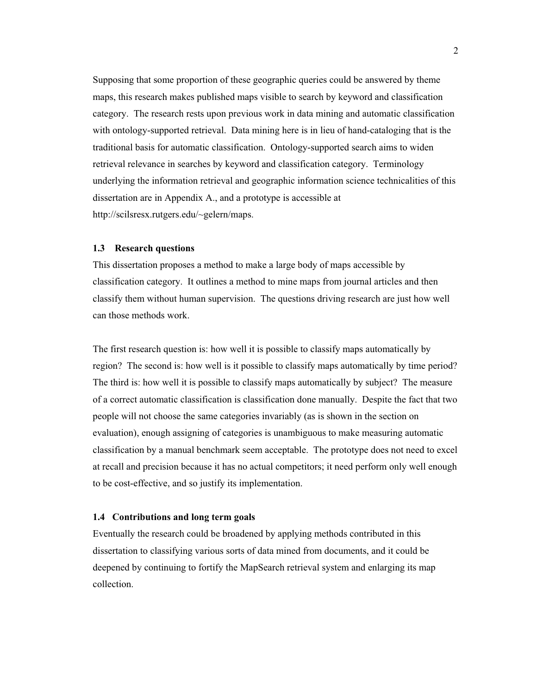Supposing that some proportion of these geographic queries could be answered by theme maps, this research makes published maps visible to search by keyword and classification category. The research rests upon previous work in data mining and automatic classification with ontology-supported retrieval. Data mining here is in lieu of hand-cataloging that is the traditional basis for automatic classification. Ontology-supported search aims to widen retrieval relevance in searches by keyword and classification category. Terminology underlying the information retrieval and geographic information science technicalities of this dissertation are in Appendix A., and a prototype is accessible at http://scilsresx.rutgers.edu/~gelern/maps.

### **1.3 Research questions**

This dissertation proposes a method to make a large body of maps accessible by classification category. It outlines a method to mine maps from journal articles and then classify them without human supervision. The questions driving research are just how well can those methods work.

The first research question is: how well it is possible to classify maps automatically by region? The second is: how well is it possible to classify maps automatically by time period? The third is: how well it is possible to classify maps automatically by subject? The measure of a correct automatic classification is classification done manually. Despite the fact that two people will not choose the same categories invariably (as is shown in the section on evaluation), enough assigning of categories is unambiguous to make measuring automatic classification by a manual benchmark seem acceptable. The prototype does not need to excel at recall and precision because it has no actual competitors; it need perform only well enough to be cost-effective, and so justify its implementation.

### **1.4 Contributions and long term goals**

Eventually the research could be broadened by applying methods contributed in this dissertation to classifying various sorts of data mined from documents, and it could be deepened by continuing to fortify the MapSearch retrieval system and enlarging its map collection.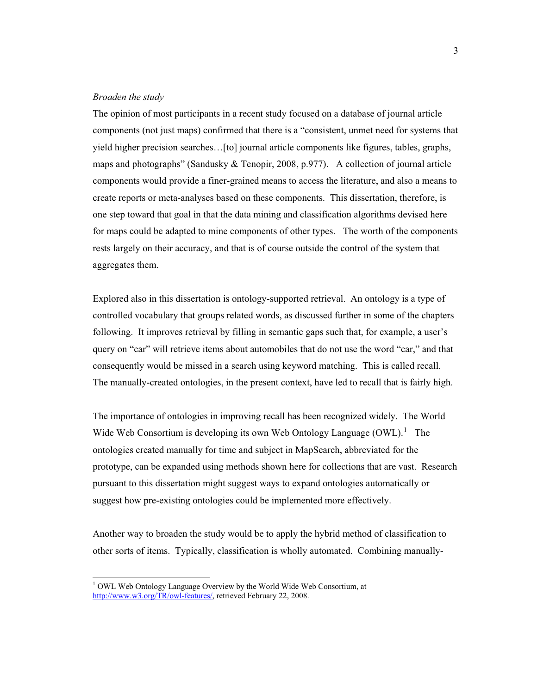### *Broaden the study*

 $\overline{a}$ 

The opinion of most participants in a recent study focused on a database of journal article components (not just maps) confirmed that there is a "consistent, unmet need for systems that yield higher precision searches…[to] journal article components like figures, tables, graphs, maps and photographs" (Sandusky  $& Tenopir, 2008, p.977$ ). A collection of journal article components would provide a finer-grained means to access the literature, and also a means to create reports or meta-analyses based on these components. This dissertation, therefore, is one step toward that goal in that the data mining and classification algorithms devised here for maps could be adapted to mine components of other types. The worth of the components rests largely on their accuracy, and that is of course outside the control of the system that aggregates them.

Explored also in this dissertation is ontology-supported retrieval. An ontology is a type of controlled vocabulary that groups related words, as discussed further in some of the chapters following. It improves retrieval by filling in semantic gaps such that, for example, a user's query on "car" will retrieve items about automobiles that do not use the word "car," and that consequently would be missed in a search using keyword matching. This is called recall. The manually-created ontologies, in the present context, have led to recall that is fairly high.

The importance of ontologies in improving recall has been recognized widely. The World Wide Web Consortium is developing its own Web Ontology Language  $(OWL)$ .<sup>1</sup> The ontologies created manually for time and subject in MapSearch, abbreviated for the prototype, can be expanded using methods shown here for collections that are vast. Research pursuant to this dissertation might suggest ways to expand ontologies automatically or suggest how pre-existing ontologies could be implemented more effectively.

Another way to broaden the study would be to apply the hybrid method of classification to other sorts of items. Typically, classification is wholly automated. Combining manually-

<sup>&</sup>lt;sup>1</sup> OWL Web Ontology Language Overview by the World Wide Web Consortium, at http://www.w3.org/TR/owl-features/, retrieved February 22, 2008.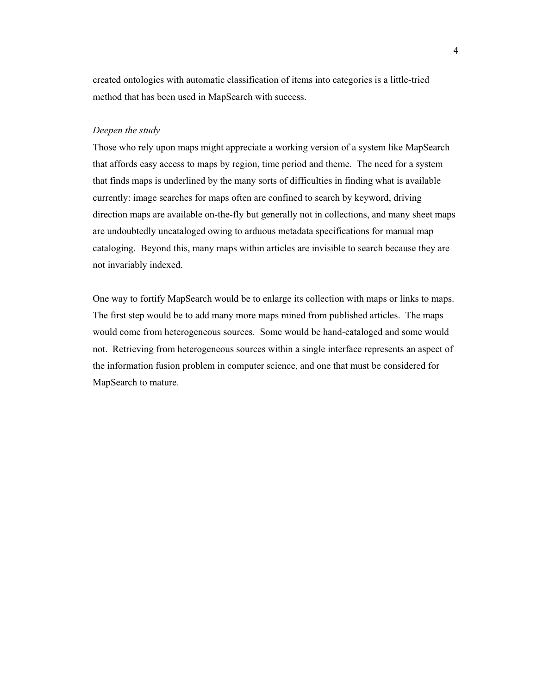created ontologies with automatic classification of items into categories is a little-tried method that has been used in MapSearch with success.

### *Deepen the study*

Those who rely upon maps might appreciate a working version of a system like MapSearch that affords easy access to maps by region, time period and theme. The need for a system that finds maps is underlined by the many sorts of difficulties in finding what is available currently: image searches for maps often are confined to search by keyword, driving direction maps are available on-the-fly but generally not in collections, and many sheet maps are undoubtedly uncataloged owing to arduous metadata specifications for manual map cataloging. Beyond this, many maps within articles are invisible to search because they are not invariably indexed.

One way to fortify MapSearch would be to enlarge its collection with maps or links to maps. The first step would be to add many more maps mined from published articles. The maps would come from heterogeneous sources. Some would be hand-cataloged and some would not. Retrieving from heterogeneous sources within a single interface represents an aspect of the information fusion problem in computer science, and one that must be considered for MapSearch to mature.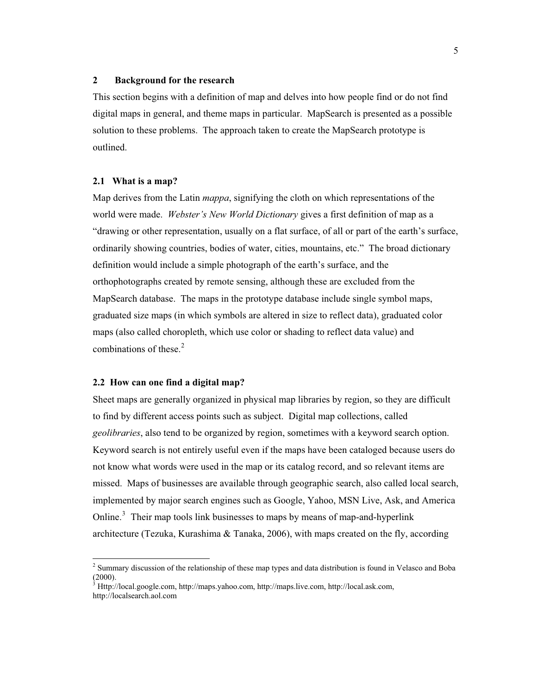### **2 Background for the research**

This section begins with a definition of map and delves into how people find or do not find digital maps in general, and theme maps in particular. MapSearch is presented as a possible solution to these problems. The approach taken to create the MapSearch prototype is outlined.

### **2.1 What is a map?**

Map derives from the Latin *mappa*, signifying the cloth on which representations of the world were made. *Webster's New World Dictionary* gives a first definition of map as a "drawing or other representation, usually on a flat surface, of all or part of the earth's surface, ordinarily showing countries, bodies of water, cities, mountains, etc." The broad dictionary definition would include a simple photograph of the earth's surface, and the orthophotographs created by remote sensing, although these are excluded from the MapSearch database. The maps in the prototype database include single symbol maps, graduated size maps (in which symbols are altered in size to reflect data), graduated color maps (also called choropleth, which use color or shading to reflect data value) and combinations of these. $2$ 

### **2.2 How can one find a digital map?**

 $\overline{a}$ 

Sheet maps are generally organized in physical map libraries by region, so they are difficult to find by different access points such as subject. Digital map collections, called *geolibraries*, also tend to be organized by region, sometimes with a keyword search option. Keyword search is not entirely useful even if the maps have been cataloged because users do not know what words were used in the map or its catalog record, and so relevant items are missed. Maps of businesses are available through geographic search, also called local search, implemented by major search engines such as Google, Yahoo, MSN Live, Ask, and America Online.<sup>3</sup> Their map tools link businesses to maps by means of map-and-hyperlink architecture (Tezuka, Kurashima  $\&$  Tanaka, 2006), with maps created on the fly, according

 $2^2$  Summary discussion of the relationship of these map types and data distribution is found in Velasco and Boba  $(2000).$ 

<sup>3</sup> Http://local.google.com, http://maps.yahoo.com, http://maps.live.com, http://local.ask.com, http://localsearch.aol.com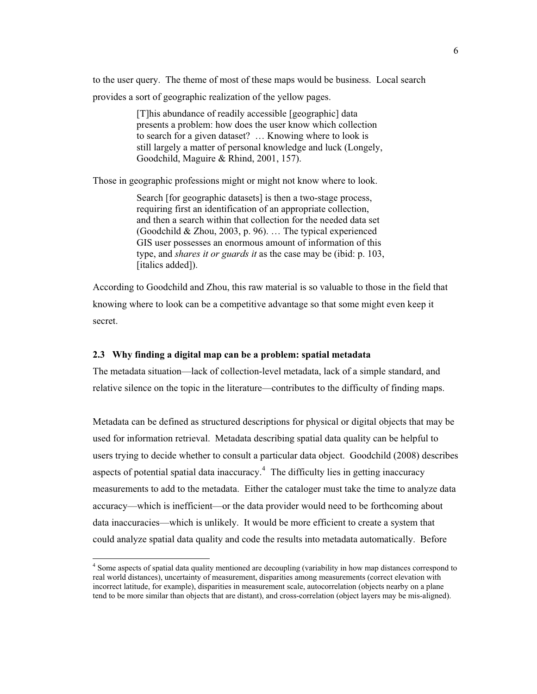to the user query. The theme of most of these maps would be business. Local search provides a sort of geographic realization of the yellow pages.

> [T]his abundance of readily accessible [geographic] data presents a problem: how does the user know which collection to search for a given dataset? … Knowing where to look is still largely a matter of personal knowledge and luck (Longely, Goodchild, Maguire & Rhind, 2001, 157).

Those in geographic professions might or might not know where to look.

Search [for geographic datasets] is then a two-stage process, requiring first an identification of an appropriate collection, and then a search within that collection for the needed data set (Goodchild & Zhou, 2003, p. 96). … The typical experienced GIS user possesses an enormous amount of information of this type, and *shares it or guards it* as the case may be (ibid: p. 103, [italics added]).

According to Goodchild and Zhou, this raw material is so valuable to those in the field that knowing where to look can be a competitive advantage so that some might even keep it secret.

### **2.3 Why finding a digital map can be a problem: spatial metadata**

 $\overline{a}$ 

The metadata situation—lack of collection-level metadata, lack of a simple standard, and relative silence on the topic in the literature—contributes to the difficulty of finding maps.

Metadata can be defined as structured descriptions for physical or digital objects that may be used for information retrieval. Metadata describing spatial data quality can be helpful to users trying to decide whether to consult a particular data object. Goodchild (2008) describes aspects of potential spatial data inaccuracy.<sup>4</sup> The difficulty lies in getting inaccuracy measurements to add to the metadata. Either the cataloger must take the time to analyze data accuracy—which is inefficient—or the data provider would need to be forthcoming about data inaccuracies—which is unlikely. It would be more efficient to create a system that could analyze spatial data quality and code the results into metadata automatically. Before

<sup>&</sup>lt;sup>4</sup> Some aspects of spatial data quality mentioned are decoupling (variability in how map distances correspond to real world distances), uncertainty of measurement, disparities among measurements (correct elevation with incorrect latitude, for example), disparities in measurement scale, autocorrelation (objects nearby on a plane tend to be more similar than objects that are distant), and cross-correlation (object layers may be mis-aligned).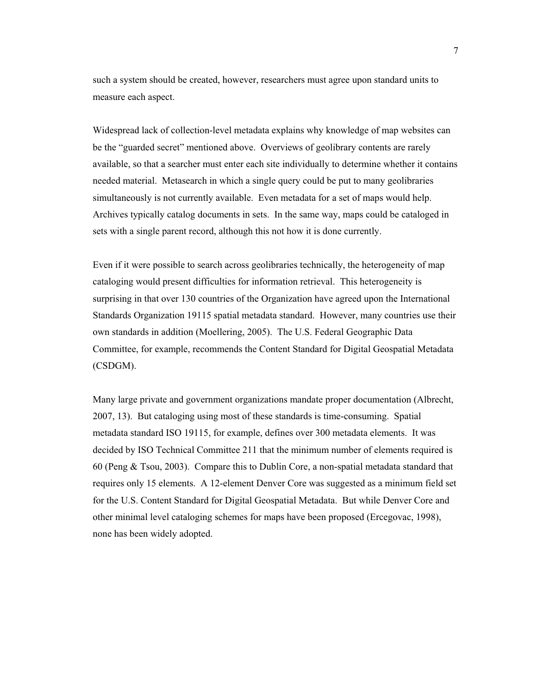such a system should be created, however, researchers must agree upon standard units to measure each aspect.

Widespread lack of collection-level metadata explains why knowledge of map websites can be the "guarded secret" mentioned above. Overviews of geolibrary contents are rarely available, so that a searcher must enter each site individually to determine whether it contains needed material. Metasearch in which a single query could be put to many geolibraries simultaneously is not currently available. Even metadata for a set of maps would help. Archives typically catalog documents in sets. In the same way, maps could be cataloged in sets with a single parent record, although this not how it is done currently.

Even if it were possible to search across geolibraries technically, the heterogeneity of map cataloging would present difficulties for information retrieval. This heterogeneity is surprising in that over 130 countries of the Organization have agreed upon the International Standards Organization 19115 spatial metadata standard. However, many countries use their own standards in addition (Moellering, 2005). The U.S. Federal Geographic Data Committee, for example, recommends the Content Standard for Digital Geospatial Metadata (CSDGM).

Many large private and government organizations mandate proper documentation (Albrecht, 2007, 13). But cataloging using most of these standards is time-consuming. Spatial metadata standard ISO 19115, for example, defines over 300 metadata elements. It was decided by ISO Technical Committee 211 that the minimum number of elements required is 60 (Peng & Tsou, 2003). Compare this to Dublin Core, a non-spatial metadata standard that requires only 15 elements. A 12-element Denver Core was suggested as a minimum field set for the U.S. Content Standard for Digital Geospatial Metadata. But while Denver Core and other minimal level cataloging schemes for maps have been proposed (Ercegovac, 1998), none has been widely adopted.

7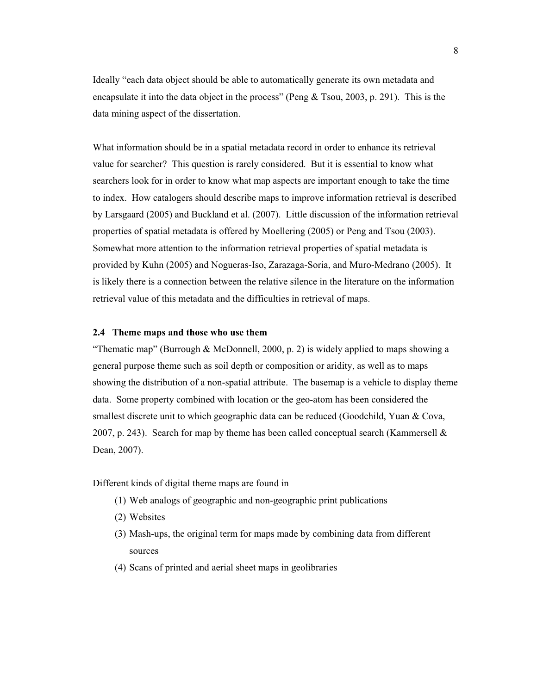Ideally "each data object should be able to automatically generate its own metadata and encapsulate it into the data object in the process" (Peng & Tsou, 2003, p. 291). This is the data mining aspect of the dissertation.

What information should be in a spatial metadata record in order to enhance its retrieval value for searcher? This question is rarely considered. But it is essential to know what searchers look for in order to know what map aspects are important enough to take the time to index. How catalogers should describe maps to improve information retrieval is described by Larsgaard (2005) and Buckland et al. (2007). Little discussion of the information retrieval properties of spatial metadata is offered by Moellering (2005) or Peng and Tsou (2003). Somewhat more attention to the information retrieval properties of spatial metadata is provided by Kuhn (2005) and Nogueras-Iso, Zarazaga-Soria, and Muro-Medrano (2005). It is likely there is a connection between the relative silence in the literature on the information retrieval value of this metadata and the difficulties in retrieval of maps.

### **2.4 Theme maps and those who use them**

"Thematic map" (Burrough & McDonnell, 2000, p. 2) is widely applied to maps showing a general purpose theme such as soil depth or composition or aridity, as well as to maps showing the distribution of a non-spatial attribute. The basemap is a vehicle to display theme data. Some property combined with location or the geo-atom has been considered the smallest discrete unit to which geographic data can be reduced (Goodchild, Yuan & Cova, 2007, p. 243). Search for map by theme has been called conceptual search (Kammersell  $\&$ Dean, 2007).

Different kinds of digital theme maps are found in

- (1) Web analogs of geographic and non-geographic print publications
- (2) Websites
- (3) Mash-ups, the original term for maps made by combining data from different sources
- (4) Scans of printed and aerial sheet maps in geolibraries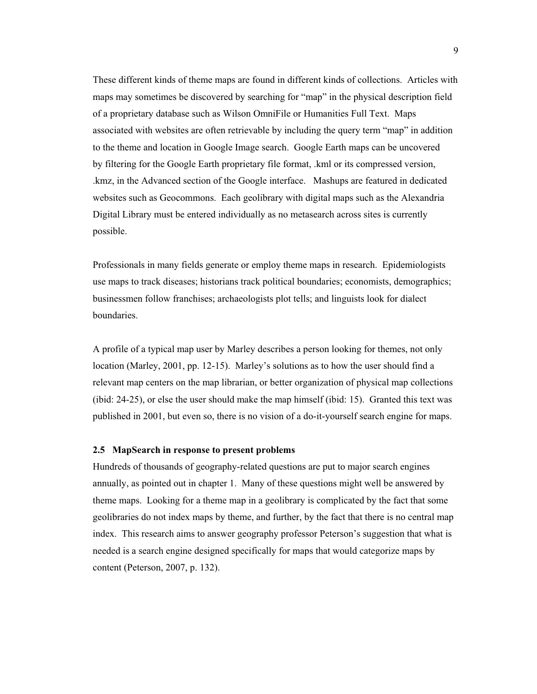These different kinds of theme maps are found in different kinds of collections. Articles with maps may sometimes be discovered by searching for "map" in the physical description field of a proprietary database such as Wilson OmniFile or Humanities Full Text. Maps associated with websites are often retrievable by including the query term "map" in addition to the theme and location in Google Image search. Google Earth maps can be uncovered by filtering for the Google Earth proprietary file format, .kml or its compressed version, .kmz, in the Advanced section of the Google interface. Mashups are featured in dedicated websites such as Geocommons. Each geolibrary with digital maps such as the Alexandria Digital Library must be entered individually as no metasearch across sites is currently possible.

Professionals in many fields generate or employ theme maps in research. Epidemiologists use maps to track diseases; historians track political boundaries; economists, demographics; businessmen follow franchises; archaeologists plot tells; and linguists look for dialect boundaries.

A profile of a typical map user by Marley describes a person looking for themes, not only location (Marley, 2001, pp. 12-15). Marley's solutions as to how the user should find a relevant map centers on the map librarian, or better organization of physical map collections (ibid: 24-25), or else the user should make the map himself (ibid: 15). Granted this text was published in 2001, but even so, there is no vision of a do-it-yourself search engine for maps.

### **2.5 MapSearch in response to present problems**

Hundreds of thousands of geography-related questions are put to major search engines annually, as pointed out in chapter 1. Many of these questions might well be answered by theme maps. Looking for a theme map in a geolibrary is complicated by the fact that some geolibraries do not index maps by theme, and further, by the fact that there is no central map index. This research aims to answer geography professor Peterson's suggestion that what is needed is a search engine designed specifically for maps that would categorize maps by content (Peterson, 2007, p. 132).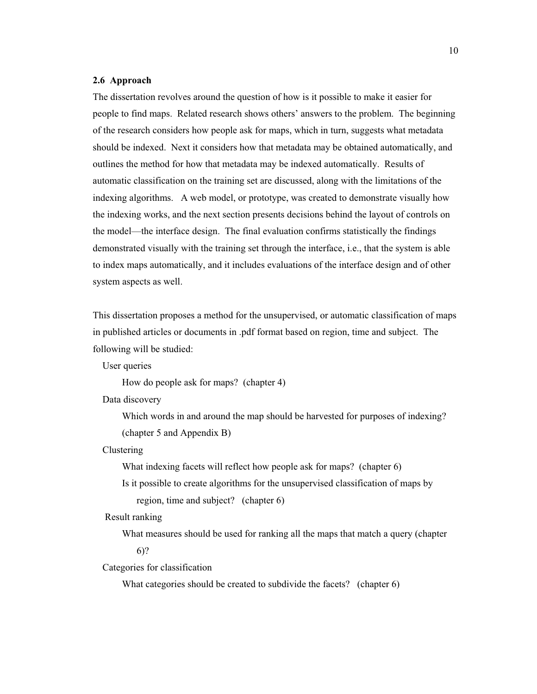### **2.6 Approach**

The dissertation revolves around the question of how is it possible to make it easier for people to find maps. Related research shows others' answers to the problem. The beginning of the research considers how people ask for maps, which in turn, suggests what metadata should be indexed. Next it considers how that metadata may be obtained automatically, and outlines the method for how that metadata may be indexed automatically. Results of automatic classification on the training set are discussed, along with the limitations of the indexing algorithms. A web model, or prototype, was created to demonstrate visually how the indexing works, and the next section presents decisions behind the layout of controls on the model—the interface design. The final evaluation confirms statistically the findings demonstrated visually with the training set through the interface, i.e., that the system is able to index maps automatically, and it includes evaluations of the interface design and of other system aspects as well.

This dissertation proposes a method for the unsupervised, or automatic classification of maps in published articles or documents in .pdf format based on region, time and subject. The following will be studied:

User queries

How do people ask for maps? (chapter 4)

Data discovery

Which words in and around the map should be harvested for purposes of indexing? (chapter 5 and Appendix B)

Clustering

What indexing facets will reflect how people ask for maps? (chapter 6)

Is it possible to create algorithms for the unsupervised classification of maps by region, time and subject? (chapter 6)

Result ranking

What measures should be used for ranking all the maps that match a query (chapter 6)?

Categories for classification

What categories should be created to subdivide the facets? (chapter 6)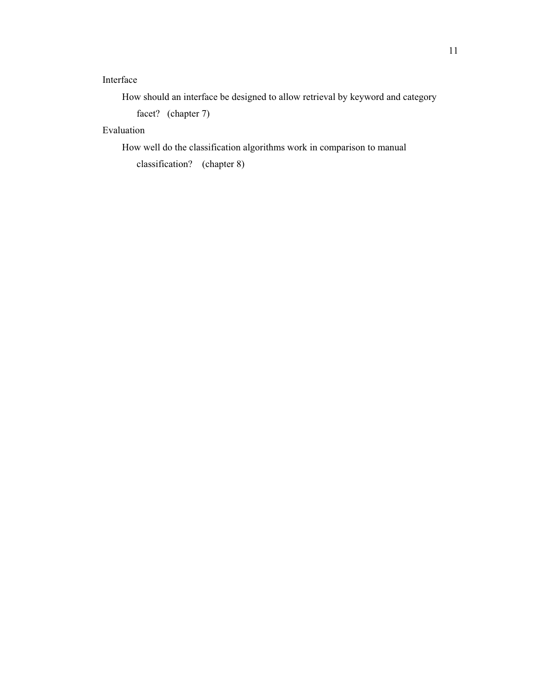## Interface

How should an interface be designed to allow retrieval by keyword and category

facet? (chapter 7)

## Evaluation

How well do the classification algorithms work in comparison to manual

classification? (chapter 8)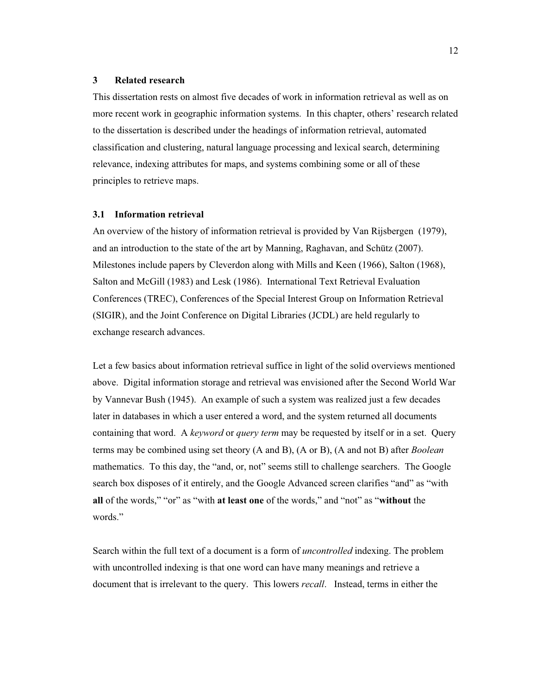### **3 Related research**

This dissertation rests on almost five decades of work in information retrieval as well as on more recent work in geographic information systems. In this chapter, others' research related to the dissertation is described under the headings of information retrieval, automated classification and clustering, natural language processing and lexical search, determining relevance, indexing attributes for maps, and systems combining some or all of these principles to retrieve maps.

### **3.1 Information retrieval**

An overview of the history of information retrieval is provided by Van Rijsbergen (1979), and an introduction to the state of the art by Manning, Raghavan, and Schütz (2007). Milestones include papers by Cleverdon along with Mills and Keen (1966), Salton (1968), Salton and McGill (1983) and Lesk (1986). International Text Retrieval Evaluation Conferences (TREC), Conferences of the Special Interest Group on Information Retrieval (SIGIR), and the Joint Conference on Digital Libraries (JCDL) are held regularly to exchange research advances.

Let a few basics about information retrieval suffice in light of the solid overviews mentioned above. Digital information storage and retrieval was envisioned after the Second World War by Vannevar Bush (1945). An example of such a system was realized just a few decades later in databases in which a user entered a word, and the system returned all documents containing that word. A *keyword* or *query term* may be requested by itself or in a set. Query terms may be combined using set theory (A and B), (A or B), (A and not B) after *Boolean* mathematics. To this day, the "and, or, not" seems still to challenge searchers. The Google search box disposes of it entirely, and the Google Advanced screen clarifies "and" as "with **all** of the words," "or" as "with **at least one** of the words," and "not" as "**without** the words."

Search within the full text of a document is a form of *uncontrolled* indexing. The problem with uncontrolled indexing is that one word can have many meanings and retrieve a document that is irrelevant to the query. This lowers *recall*. Instead, terms in either the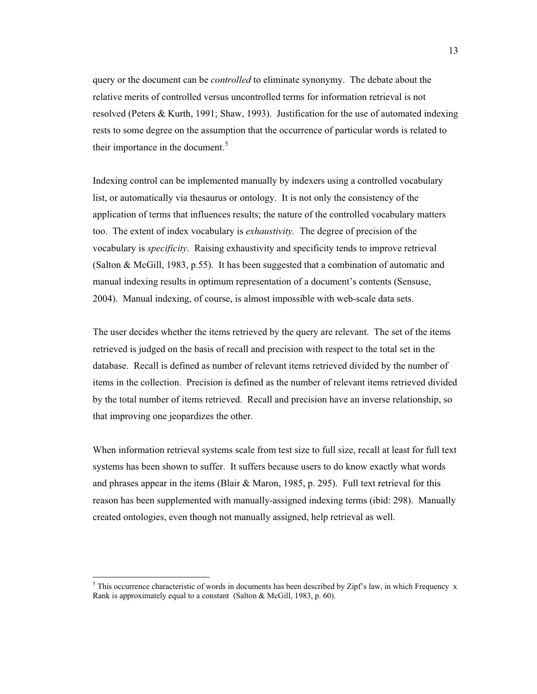query or the document can be *controlled* to eliminate synonymy. The debate about the relative merits of controlled versus uncontrolled terms for information retrieval is not resolved (Peters & Kurth, 1991; Shaw, 1993). Justification for the use of automated indexing rests to some degree on the assumption that the occurrence of particular words is related to their importance in the document.<sup>5</sup>

Indexing control can be implemented manually by indexers using a controlled vocabulary list, or automatically via thesaurus or ontology. It is not only the consistency of the application of terms that influences results; the nature of the controlled vocabulary matters too. The extent of index vocabulary is *exhaustivity.* The degree of precision of the vocabulary is *specificity*. Raising exhaustivity and specificity tends to improve retrieval (Salton & McGill, 1983, p.55). It has been suggested that a combination of automatic and manual indexing results in optimum representation of a document's contents (Sensuse, 2004). Manual indexing, of course, is almost impossible with web-scale data sets.

The user decides whether the items retrieved by the query are relevant. The set of the items retrieved is judged on the basis of recall and precision with respect to the total set in the database. Recall is defined as number of relevant items retrieved divided by the number of items in the collection. Precision is defined as the number of relevant items retrieved divided by the total number of items retrieved. Recall and precision have an inverse relationship, so that improving one jeopardizes the other.

When information retrieval systems scale from test size to full size, recall at least for full text systems has been shown to suffer. It suffers because users to do know exactly what words and phrases appear in the items (Blair  $&$  Maron, 1985, p. 295). Full text retrieval for this reason has been supplemented with manually-assigned indexing terms (ibid: 298). Manually created ontologies, even though not manually assigned, help retrieval as well.

 $\overline{a}$ 

<sup>&</sup>lt;sup>5</sup> This occurrence characteristic of words in documents has been described by Zipf's law, in which Frequency x Rank is approximately equal to a constant (Salton & McGill, 1983, p. 60).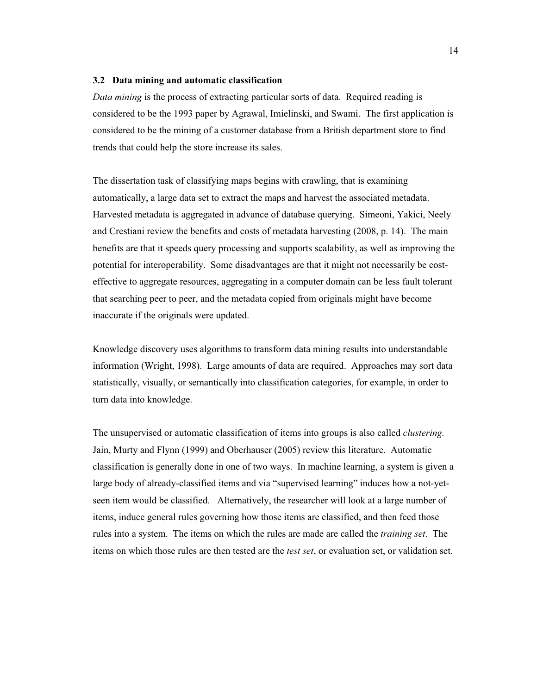### **3.2 Data mining and automatic classification**

*Data mining* is the process of extracting particular sorts of data. Required reading is considered to be the 1993 paper by Agrawal, Imielinski, and Swami. The first application is considered to be the mining of a customer database from a British department store to find trends that could help the store increase its sales.

The dissertation task of classifying maps begins with crawling, that is examining automatically, a large data set to extract the maps and harvest the associated metadata. Harvested metadata is aggregated in advance of database querying. Simeoni, Yakici, Neely and Crestiani review the benefits and costs of metadata harvesting (2008, p. 14). The main benefits are that it speeds query processing and supports scalability, as well as improving the potential for interoperability. Some disadvantages are that it might not necessarily be costeffective to aggregate resources, aggregating in a computer domain can be less fault tolerant that searching peer to peer, and the metadata copied from originals might have become inaccurate if the originals were updated.

Knowledge discovery uses algorithms to transform data mining results into understandable information (Wright, 1998). Large amounts of data are required. Approaches may sort data statistically, visually, or semantically into classification categories, for example, in order to turn data into knowledge.

The unsupervised or automatic classification of items into groups is also called *clustering.* Jain, Murty and Flynn (1999) and Oberhauser (2005) review this literature. Automatic classification is generally done in one of two ways. In machine learning, a system is given a large body of already-classified items and via "supervised learning" induces how a not-yetseen item would be classified. Alternatively, the researcher will look at a large number of items, induce general rules governing how those items are classified, and then feed those rules into a system. The items on which the rules are made are called the *training set*. The items on which those rules are then tested are the *test set*, or evaluation set, or validation set.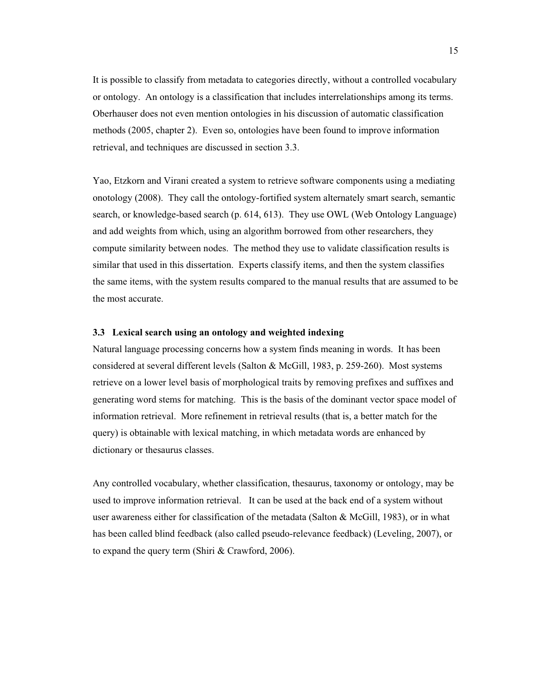It is possible to classify from metadata to categories directly, without a controlled vocabulary or ontology. An ontology is a classification that includes interrelationships among its terms. Oberhauser does not even mention ontologies in his discussion of automatic classification methods (2005, chapter 2). Even so, ontologies have been found to improve information retrieval, and techniques are discussed in section 3.3.

Yao, Etzkorn and Virani created a system to retrieve software components using a mediating onotology (2008). They call the ontology-fortified system alternately smart search, semantic search, or knowledge-based search (p. 614, 613). They use OWL (Web Ontology Language) and add weights from which, using an algorithm borrowed from other researchers, they compute similarity between nodes. The method they use to validate classification results is similar that used in this dissertation. Experts classify items, and then the system classifies the same items, with the system results compared to the manual results that are assumed to be the most accurate.

## **3.3 Lexical search using an ontology and weighted indexing**

Natural language processing concerns how a system finds meaning in words. It has been considered at several different levels (Salton & McGill, 1983, p. 259-260). Most systems retrieve on a lower level basis of morphological traits by removing prefixes and suffixes and generating word stems for matching. This is the basis of the dominant vector space model of information retrieval. More refinement in retrieval results (that is, a better match for the query) is obtainable with lexical matching, in which metadata words are enhanced by dictionary or thesaurus classes.

Any controlled vocabulary, whether classification, thesaurus, taxonomy or ontology, may be used to improve information retrieval. It can be used at the back end of a system without user awareness either for classification of the metadata (Salton & McGill, 1983), or in what has been called blind feedback (also called pseudo-relevance feedback) (Leveling, 2007), or to expand the query term (Shiri & Crawford, 2006).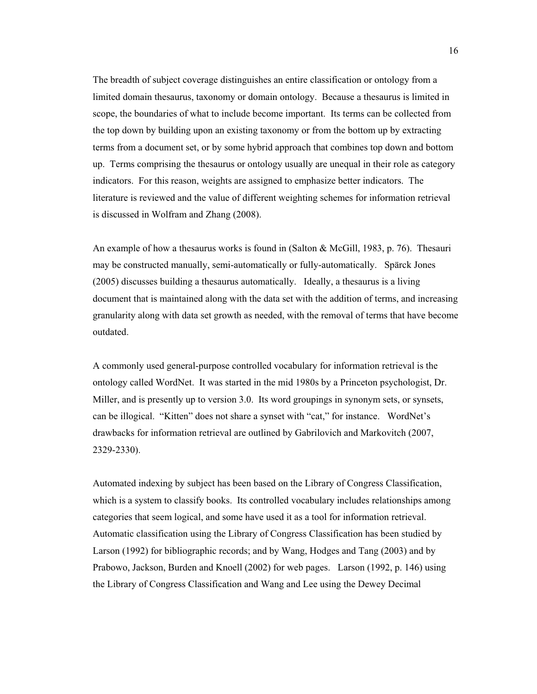The breadth of subject coverage distinguishes an entire classification or ontology from a limited domain thesaurus, taxonomy or domain ontology. Because a thesaurus is limited in scope, the boundaries of what to include become important. Its terms can be collected from the top down by building upon an existing taxonomy or from the bottom up by extracting terms from a document set, or by some hybrid approach that combines top down and bottom up. Terms comprising the thesaurus or ontology usually are unequal in their role as category indicators. For this reason, weights are assigned to emphasize better indicators. The literature is reviewed and the value of different weighting schemes for information retrieval is discussed in Wolfram and Zhang (2008).

An example of how a thesaurus works is found in (Salton & McGill, 1983, p. 76). Thesauri may be constructed manually, semi-automatically or fully-automatically. Spärck Jones (2005) discusses building a thesaurus automatically. Ideally, a thesaurus is a living document that is maintained along with the data set with the addition of terms, and increasing granularity along with data set growth as needed, with the removal of terms that have become outdated.

A commonly used general-purpose controlled vocabulary for information retrieval is the ontology called WordNet. It was started in the mid 1980s by a Princeton psychologist, Dr. Miller, and is presently up to version 3.0. Its word groupings in synonym sets, or synsets, can be illogical. "Kitten" does not share a synset with "cat," for instance. WordNet's drawbacks for information retrieval are outlined by Gabrilovich and Markovitch (2007, 2329-2330).

Automated indexing by subject has been based on the Library of Congress Classification, which is a system to classify books. Its controlled vocabulary includes relationships among categories that seem logical, and some have used it as a tool for information retrieval. Automatic classification using the Library of Congress Classification has been studied by Larson (1992) for bibliographic records; and by Wang, Hodges and Tang (2003) and by Prabowo, Jackson, Burden and Knoell (2002) for web pages. Larson (1992, p. 146) using the Library of Congress Classification and Wang and Lee using the Dewey Decimal

16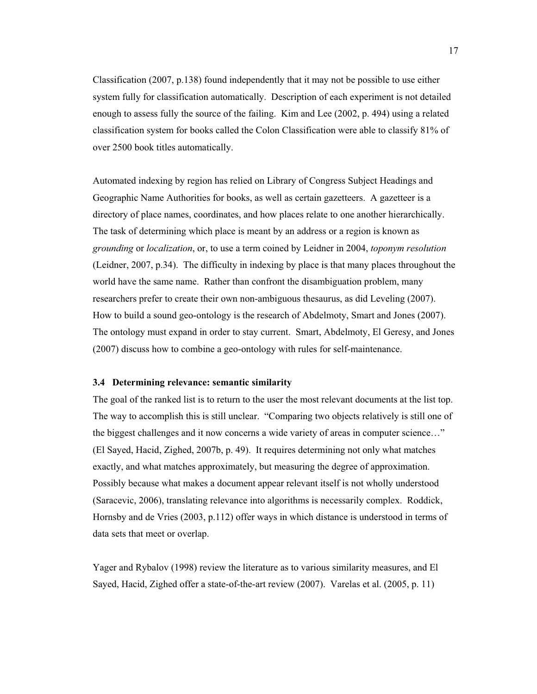Classification (2007, p.138) found independently that it may not be possible to use either system fully for classification automatically. Description of each experiment is not detailed enough to assess fully the source of the failing. Kim and Lee (2002, p. 494) using a related classification system for books called the Colon Classification were able to classify 81% of over 2500 book titles automatically.

Automated indexing by region has relied on Library of Congress Subject Headings and Geographic Name Authorities for books, as well as certain gazetteers. A gazetteer is a directory of place names, coordinates, and how places relate to one another hierarchically. The task of determining which place is meant by an address or a region is known as *grounding* or *localization*, or, to use a term coined by Leidner in 2004, *toponym resolution*  (Leidner, 2007, p.34). The difficulty in indexing by place is that many places throughout the world have the same name. Rather than confront the disambiguation problem, many researchers prefer to create their own non-ambiguous thesaurus, as did Leveling (2007). How to build a sound geo-ontology is the research of Abdelmoty, Smart and Jones (2007). The ontology must expand in order to stay current. Smart, Abdelmoty, El Geresy, and Jones (2007) discuss how to combine a geo-ontology with rules for self-maintenance.

### **3.4 Determining relevance: semantic similarity**

The goal of the ranked list is to return to the user the most relevant documents at the list top. The way to accomplish this is still unclear. "Comparing two objects relatively is still one of the biggest challenges and it now concerns a wide variety of areas in computer science…" (El Sayed, Hacid, Zighed, 2007b, p. 49). It requires determining not only what matches exactly, and what matches approximately, but measuring the degree of approximation. Possibly because what makes a document appear relevant itself is not wholly understood (Saracevic, 2006), translating relevance into algorithms is necessarily complex. Roddick, Hornsby and de Vries (2003, p.112) offer ways in which distance is understood in terms of data sets that meet or overlap.

Yager and Rybalov (1998) review the literature as to various similarity measures, and El Sayed, Hacid, Zighed offer a state-of-the-art review (2007). Varelas et al. (2005, p. 11)

17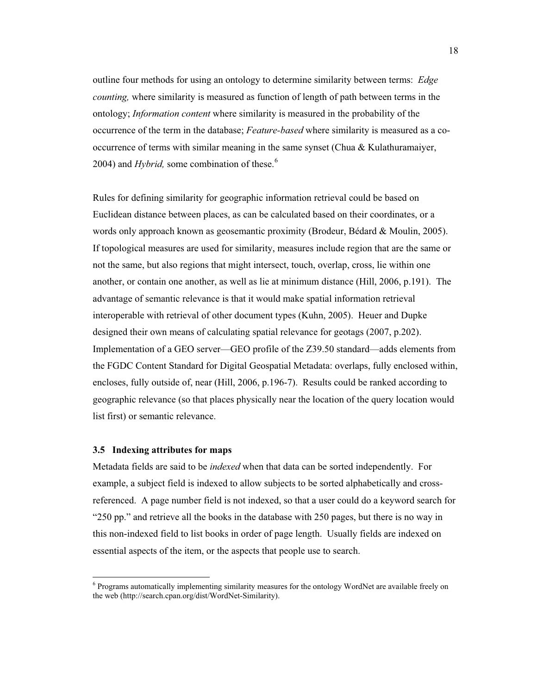outline four methods for using an ontology to determine similarity between terms: *Edge counting,* where similarity is measured as function of length of path between terms in the ontology; *Information content* where similarity is measured in the probability of the occurrence of the term in the database; *Feature-based* where similarity is measured as a cooccurrence of terms with similar meaning in the same synset (Chua & Kulathuramaiyer, 2004) and *Hybrid*, some combination of these.<sup>6</sup>

Rules for defining similarity for geographic information retrieval could be based on Euclidean distance between places, as can be calculated based on their coordinates, or a words only approach known as geosemantic proximity (Brodeur, Bédard & Moulin, 2005). If topological measures are used for similarity, measures include region that are the same or not the same, but also regions that might intersect, touch, overlap, cross, lie within one another, or contain one another, as well as lie at minimum distance (Hill, 2006, p.191). The advantage of semantic relevance is that it would make spatial information retrieval interoperable with retrieval of other document types (Kuhn, 2005). Heuer and Dupke designed their own means of calculating spatial relevance for geotags (2007, p.202). Implementation of a GEO server—GEO profile of the Z39.50 standard—adds elements from the FGDC Content Standard for Digital Geospatial Metadata: overlaps, fully enclosed within, encloses, fully outside of, near (Hill, 2006, p.196-7). Results could be ranked according to geographic relevance (so that places physically near the location of the query location would list first) or semantic relevance.

### **3.5 Indexing attributes for maps**

 $\overline{a}$ 

Metadata fields are said to be *indexed* when that data can be sorted independently. For example, a subject field is indexed to allow subjects to be sorted alphabetically and crossreferenced. A page number field is not indexed, so that a user could do a keyword search for "250 pp." and retrieve all the books in the database with 250 pages, but there is no way in this non-indexed field to list books in order of page length. Usually fields are indexed on essential aspects of the item, or the aspects that people use to search.

<sup>&</sup>lt;sup>6</sup> Programs automatically implementing similarity measures for the ontology WordNet are available freely on the web (http://search.cpan.org/dist/WordNet-Similarity).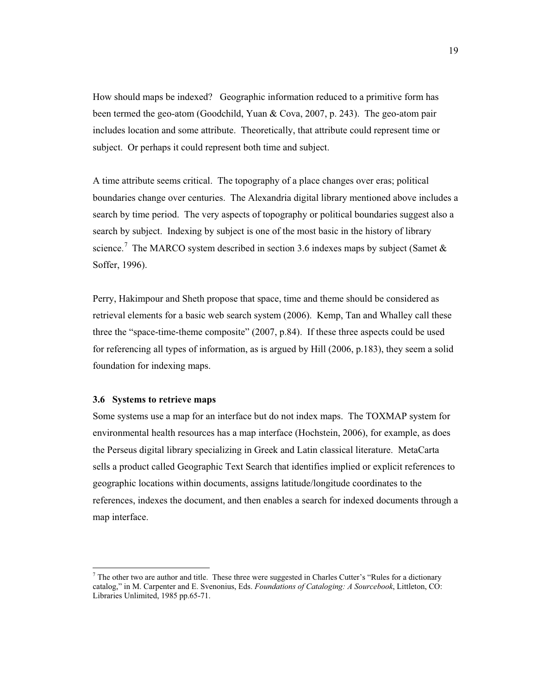How should maps be indexed? Geographic information reduced to a primitive form has been termed the geo-atom (Goodchild, Yuan & Cova, 2007, p. 243). The geo-atom pair includes location and some attribute. Theoretically, that attribute could represent time or subject. Or perhaps it could represent both time and subject.

A time attribute seems critical. The topography of a place changes over eras; political boundaries change over centuries. The Alexandria digital library mentioned above includes a search by time period. The very aspects of topography or political boundaries suggest also a search by subject. Indexing by subject is one of the most basic in the history of library science.<sup>7</sup> The MARCO system described in section 3.6 indexes maps by subject (Samet & Soffer, 1996).

Perry, Hakimpour and Sheth propose that space, time and theme should be considered as retrieval elements for a basic web search system (2006). Kemp, Tan and Whalley call these three the "space-time-theme composite" (2007, p.84). If these three aspects could be used for referencing all types of information, as is argued by Hill (2006, p.183), they seem a solid foundation for indexing maps.

### **3.6 Systems to retrieve maps**

 $\overline{a}$ 

Some systems use a map for an interface but do not index maps. The TOXMAP system for environmental health resources has a map interface (Hochstein, 2006), for example, as does the Perseus digital library specializing in Greek and Latin classical literature. MetaCarta sells a product called Geographic Text Search that identifies implied or explicit references to geographic locations within documents, assigns latitude/longitude coordinates to the references, indexes the document, and then enables a search for indexed documents through a map interface.

 $<sup>7</sup>$  The other two are author and title. These three were suggested in Charles Cutter's "Rules for a dictionary</sup> catalog," in M. Carpenter and E. Svenonius, Eds. *Foundations of Cataloging: A Sourcebook*, Littleton, CO: Libraries Unlimited, 1985 pp.65-71.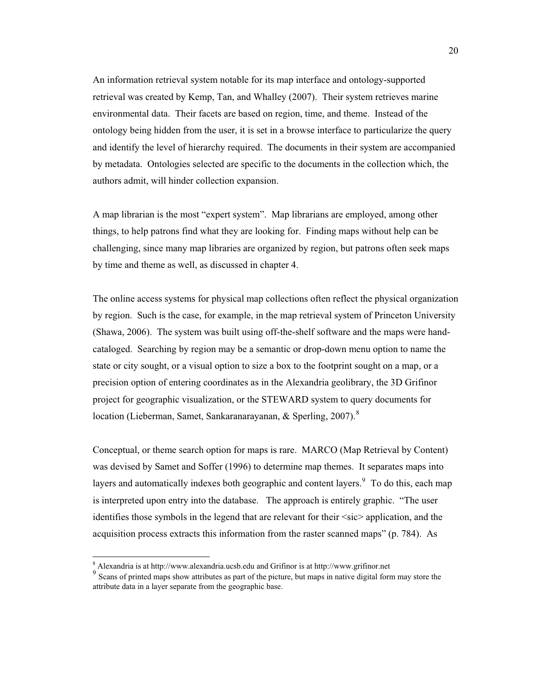An information retrieval system notable for its map interface and ontology-supported retrieval was created by Kemp, Tan, and Whalley (2007). Their system retrieves marine environmental data. Their facets are based on region, time, and theme. Instead of the ontology being hidden from the user, it is set in a browse interface to particularize the query and identify the level of hierarchy required. The documents in their system are accompanied by metadata. Ontologies selected are specific to the documents in the collection which, the authors admit, will hinder collection expansion.

A map librarian is the most "expert system". Map librarians are employed, among other things, to help patrons find what they are looking for. Finding maps without help can be challenging, since many map libraries are organized by region, but patrons often seek maps by time and theme as well, as discussed in chapter 4.

The online access systems for physical map collections often reflect the physical organization by region. Such is the case, for example, in the map retrieval system of Princeton University (Shawa, 2006). The system was built using off-the-shelf software and the maps were handcataloged. Searching by region may be a semantic or drop-down menu option to name the state or city sought, or a visual option to size a box to the footprint sought on a map, or a precision option of entering coordinates as in the Alexandria geolibrary, the 3D Grifinor project for geographic visualization, or the STEWARD system to query documents for location (Lieberman, Samet, Sankaranarayanan, & Sperling, 2007).<sup>8</sup>

Conceptual, or theme search option for maps is rare. MARCO (Map Retrieval by Content) was devised by Samet and Soffer (1996) to determine map themes. It separates maps into layers and automatically indexes both geographic and content layers. To do this, each map is interpreted upon entry into the database. The approach is entirely graphic. "The user identifies those symbols in the legend that are relevant for their  $\langle$ sic $\rangle$  application, and the acquisition process extracts this information from the raster scanned maps" (p. 784). As

 $\overline{a}$ 

<sup>&</sup>lt;sup>8</sup> Alexandria is at http://www.alexandria.ucsb.edu and Grifinor is at http://www.grifinor.net

<sup>9</sup> Scans of printed maps show attributes as part of the picture, but maps in native digital form may store the attribute data in a layer separate from the geographic base.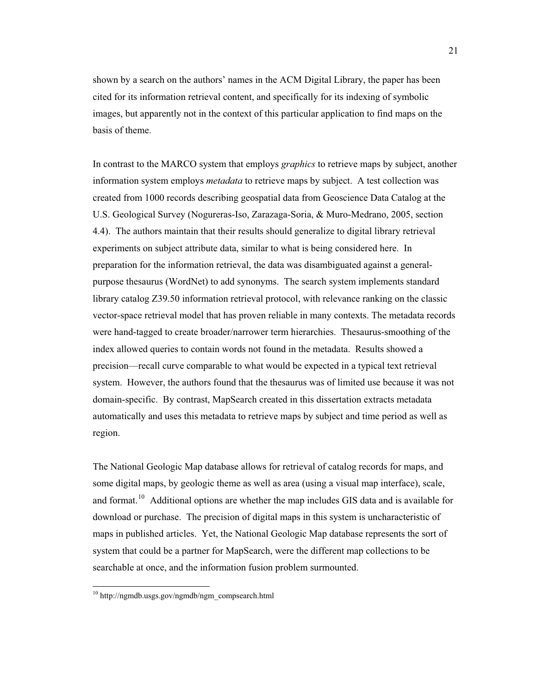shown by a search on the authors' names in the ACM Digital Library, the paper has been cited for its information retrieval content, and specifically for its indexing of symbolic images, but apparently not in the context of this particular application to find maps on the basis of theme.

In contrast to the MARCO system that employs *graphics* to retrieve maps by subject, another information system employs *metadata* to retrieve maps by subject. A test collection was created from 1000 records describing geospatial data from Geoscience Data Catalog at the U.S. Geological Survey (Nogureras-Iso, Zarazaga-Soria, & Muro-Medrano, 2005, section 4.4). The authors maintain that their results should generalize to digital library retrieval experiments on subject attribute data, similar to what is being considered here. In preparation for the information retrieval, the data was disambiguated against a generalpurpose thesaurus (WordNet) to add synonyms. The search system implements standard library catalog Z39.50 information retrieval protocol, with relevance ranking on the classic vector-space retrieval model that has proven reliable in many contexts. The metadata records were hand-tagged to create broader/narrower term hierarchies. Thesaurus-smoothing of the index allowed queries to contain words not found in the metadata. Results showed a precision—recall curve comparable to what would be expected in a typical text retrieval system. However, the authors found that the thesaurus was of limited use because it was not domain-specific. By contrast, MapSearch created in this dissertation extracts metadata automatically and uses this metadata to retrieve maps by subject and time period as well as region.

The National Geologic Map database allows for retrieval of catalog records for maps, and some digital maps, by geologic theme as well as area (using a visual map interface), scale, and format.<sup>10</sup> Additional options are whether the map includes GIS data and is available for download or purchase. The precision of digital maps in this system is uncharacteristic of maps in published articles. Yet, the National Geologic Map database represents the sort of system that could be a partner for MapSearch, were the different map collections to be searchable at once, and the information fusion problem surmounted.

 $\overline{a}$ 

<sup>&</sup>lt;sup>10</sup> http://ngmdb.usgs.gov/ngmdb/ngm\_compsearch.html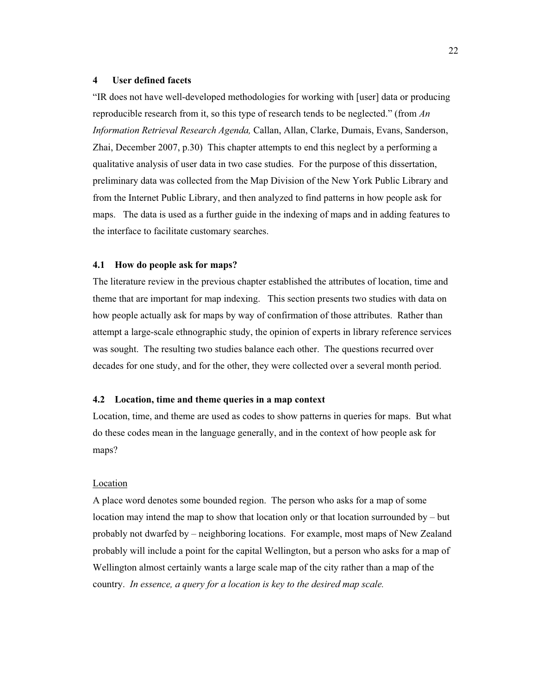### **4 User defined facets**

"IR does not have well-developed methodologies for working with [user] data or producing reproducible research from it, so this type of research tends to be neglected." (from *An Information Retrieval Research Agenda,* Callan, Allan, Clarke, Dumais, Evans, Sanderson, Zhai, December 2007, p.30) This chapter attempts to end this neglect by a performing a qualitative analysis of user data in two case studies. For the purpose of this dissertation, preliminary data was collected from the Map Division of the New York Public Library and from the Internet Public Library, and then analyzed to find patterns in how people ask for maps. The data is used as a further guide in the indexing of maps and in adding features to the interface to facilitate customary searches.

### **4.1 How do people ask for maps?**

The literature review in the previous chapter established the attributes of location, time and theme that are important for map indexing. This section presents two studies with data on how people actually ask for maps by way of confirmation of those attributes. Rather than attempt a large-scale ethnographic study, the opinion of experts in library reference services was sought. The resulting two studies balance each other. The questions recurred over decades for one study, and for the other, they were collected over a several month period.

### **4.2 Location, time and theme queries in a map context**

Location, time, and theme are used as codes to show patterns in queries for maps. But what do these codes mean in the language generally, and in the context of how people ask for maps?

#### Location

A place word denotes some bounded region. The person who asks for a map of some location may intend the map to show that location only or that location surrounded by  $-$  but probably not dwarfed by – neighboring locations. For example, most maps of New Zealand probably will include a point for the capital Wellington, but a person who asks for a map of Wellington almost certainly wants a large scale map of the city rather than a map of the country. *In essence, a query for a location is key to the desired map scale.*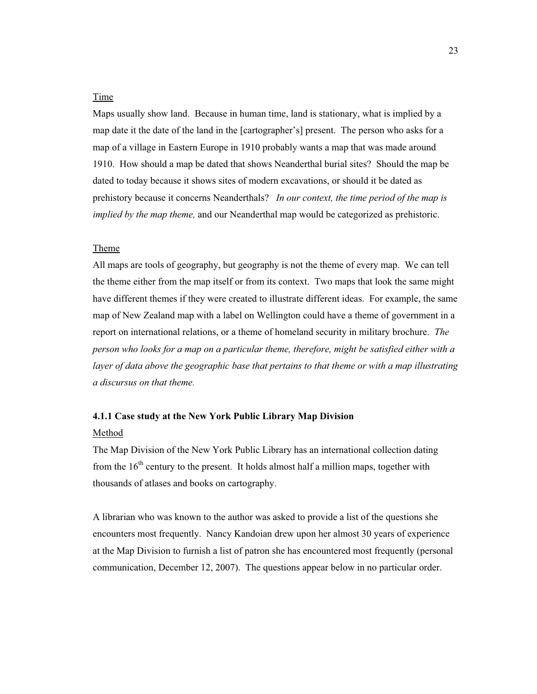## Time

Maps usually show land. Because in human time, land is stationary, what is implied by a map date it the date of the land in the [cartographer's] present. The person who asks for a map of a village in Eastern Europe in 1910 probably wants a map that was made around 1910. How should a map be dated that shows Neanderthal burial sites? Should the map be dated to today because it shows sites of modern excavations, or should it be dated as prehistory because it concerns Neanderthals? *In our context, the time period of the map is implied by the map theme,* and our Neanderthal map would be categorized as prehistoric.

### Theme

All maps are tools of geography, but geography is not the theme of every map. We can tell the theme either from the map itself or from its context. Two maps that look the same might have different themes if they were created to illustrate different ideas. For example, the same map of New Zealand map with a label on Wellington could have a theme of government in a report on international relations, or a theme of homeland security in military brochure. *The person who looks for a map on a particular theme, therefore, might be satisfied either with a*  layer of data above the geographic base that pertains to that theme or with a map illustrating *a discursus on that theme.*

### **4.1.1 Case study at the New York Public Library Map Division**

### Method

The Map Division of the New York Public Library has an international collection dating from the  $16<sup>th</sup>$  century to the present. It holds almost half a million maps, together with thousands of atlases and books on cartography.

A librarian who was known to the author was asked to provide a list of the questions she encounters most frequently. Nancy Kandoian drew upon her almost 30 years of experience at the Map Division to furnish a list of patron she has encountered most frequently (personal communication, December 12, 2007). The questions appear below in no particular order.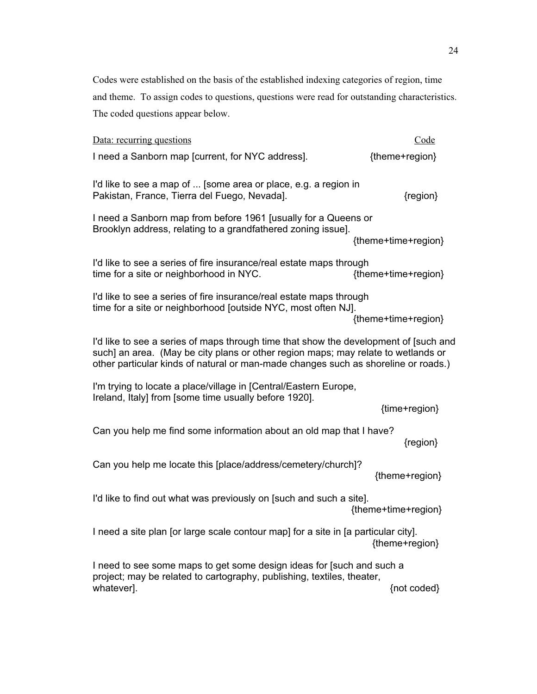Codes were established on the basis of the established indexing categories of region, time and theme. To assign codes to questions, questions were read for outstanding characteristics. The coded questions appear below.

| Data: recurring questions                                                                                                                                                                                                                                       | Code                |  |  |
|-----------------------------------------------------------------------------------------------------------------------------------------------------------------------------------------------------------------------------------------------------------------|---------------------|--|--|
| I need a Sanborn map [current, for NYC address].                                                                                                                                                                                                                | {theme+region}      |  |  |
| I'd like to see a map of  [some area or place, e.g. a region in<br>Pakistan, France, Tierra del Fuego, Nevada].                                                                                                                                                 | {region}            |  |  |
| I need a Sanborn map from before 1961 [usually for a Queens or<br>Brooklyn address, relating to a grandfathered zoning issue].                                                                                                                                  | {theme+time+region} |  |  |
| I'd like to see a series of fire insurance/real estate maps through<br>time for a site or neighborhood in NYC.                                                                                                                                                  | {theme+time+region} |  |  |
| I'd like to see a series of fire insurance/real estate maps through<br>time for a site or neighborhood [outside NYC, most often NJ].                                                                                                                            | {theme+time+region} |  |  |
| I'd like to see a series of maps through time that show the development of [such and<br>such] an area. (May be city plans or other region maps; may relate to wetlands or<br>other particular kinds of natural or man-made changes such as shoreline or roads.) |                     |  |  |
| I'm trying to locate a place/village in [Central/Eastern Europe,<br>Ireland, Italy] from [some time usually before 1920].                                                                                                                                       | {time+region}       |  |  |
| Can you help me find some information about an old map that I have?                                                                                                                                                                                             | {region}            |  |  |
| Can you help me locate this [place/address/cemetery/church]?                                                                                                                                                                                                    | {theme+region}      |  |  |
| I'd like to find out what was previously on [such and such a site].                                                                                                                                                                                             | {theme+time+region} |  |  |
| I need a site plan [or large scale contour map] for a site in [a particular city].                                                                                                                                                                              | {theme+region}      |  |  |
| I need to see some maps to get some design ideas for [such and such a<br>project; may be related to cartography, publishing, textiles, theater,<br>whatever].                                                                                                   | {not coded}         |  |  |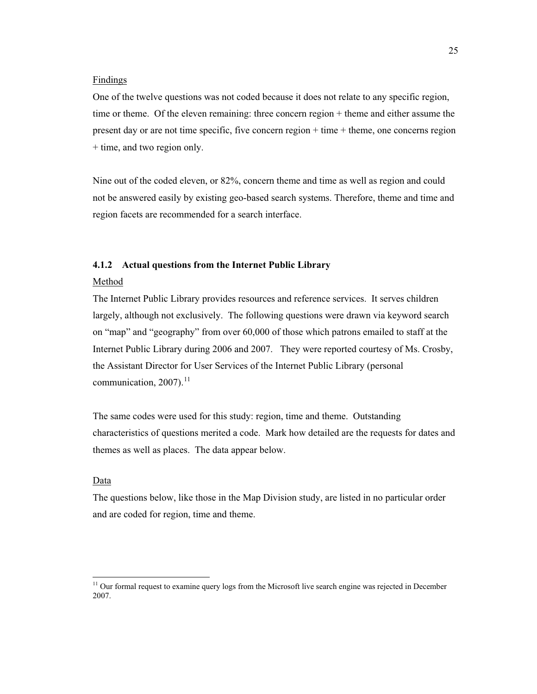#### Findings

One of the twelve questions was not coded because it does not relate to any specific region, time or theme. Of the eleven remaining: three concern region + theme and either assume the present day or are not time specific, five concern region + time + theme, one concerns region + time, and two region only.

Nine out of the coded eleven, or 82%, concern theme and time as well as region and could not be answered easily by existing geo-based search systems. Therefore, theme and time and region facets are recommended for a search interface.

## **4.1.2 Actual questions from the Internet Public Library**

#### Method

The Internet Public Library provides resources and reference services. It serves children largely, although not exclusively. The following questions were drawn via keyword search on "map" and "geography" from over 60,000 of those which patrons emailed to staff at the Internet Public Library during 2006 and 2007. They were reported courtesy of Ms. Crosby, the Assistant Director for User Services of the Internet Public Library (personal communication,  $2007$ ).<sup>11</sup>

The same codes were used for this study: region, time and theme. Outstanding characteristics of questions merited a code. Mark how detailed are the requests for dates and themes as well as places. The data appear below.

### Data

 $\overline{a}$ 

The questions below, like those in the Map Division study, are listed in no particular order and are coded for region, time and theme.

<sup>&</sup>lt;sup>11</sup> Our formal request to examine query logs from the Microsoft live search engine was rejected in December 2007.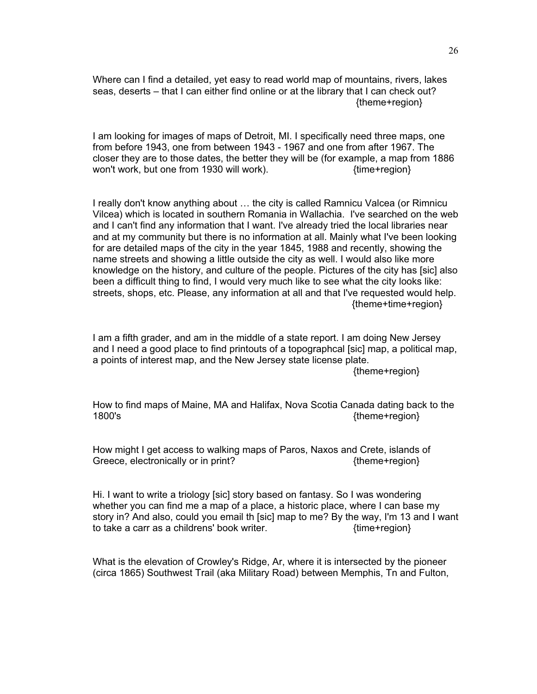Where can I find a detailed, yet easy to read world map of mountains, rivers, lakes seas, deserts – that I can either find online or at the library that I can check out? {theme+region}

I am looking for images of maps of Detroit, MI. I specifically need three maps, one from before 1943, one from between 1943 - 1967 and one from after 1967. The closer they are to those dates, the better they will be (for example, a map from 1886 won't work, but one from 1930 will work).  $\{time+region\}$ 

I really don't know anything about … the city is called Ramnicu Valcea (or Rimnicu Vilcea) which is located in southern Romania in Wallachia. I've searched on the web and I can't find any information that I want. I've already tried the local libraries near and at my community but there is no information at all. Mainly what I've been looking for are detailed maps of the city in the year 1845, 1988 and recently, showing the name streets and showing a little outside the city as well. I would also like more knowledge on the history, and culture of the people. Pictures of the city has [sic] also been a difficult thing to find, I would very much like to see what the city looks like: streets, shops, etc. Please, any information at all and that I've requested would help. {theme+time+region}

I am a fifth grader, and am in the middle of a state report. I am doing New Jersey and I need a good place to find printouts of a topographcal [sic] map, a political map, a points of interest map, and the New Jersey state license plate.

{theme+region}

How to find maps of Maine, MA and Halifax, Nova Scotia Canada dating back to the 1800's {theme+region}

How might I get access to walking maps of Paros, Naxos and Crete, islands of Greece, electronically or in print?  ${ftheme+region}$ 

Hi. I want to write a triology [sic] story based on fantasy. So I was wondering whether you can find me a map of a place, a historic place, where I can base my story in? And also, could you email th [sic] map to me? By the way, I'm 13 and I want to take a carr as a childrens' book writer.  $\{time+region\}$ 

What is the elevation of Crowley's Ridge, Ar, where it is intersected by the pioneer (circa 1865) Southwest Trail (aka Military Road) between Memphis, Tn and Fulton,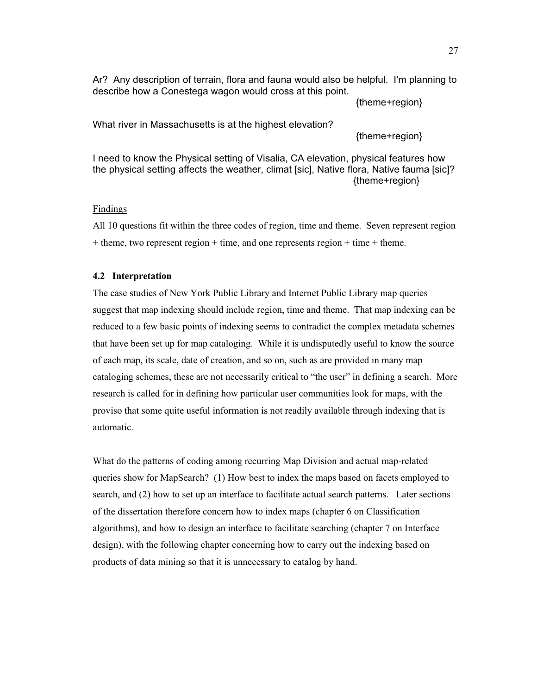Ar? Any description of terrain, flora and fauna would also be helpful. I'm planning to describe how a Conestega wagon would cross at this point.

{theme+region}

What river in Massachusetts is at the highest elevation?

{theme+region}

I need to know the Physical setting of Visalia, CA elevation, physical features how the physical setting affects the weather, climat [sic], Native flora, Native fauma [sic]? {theme+region}

# Findings

All 10 questions fit within the three codes of region, time and theme. Seven represent region  $+$  theme, two represent region  $+$  time, and one represents region  $+$  time  $+$  theme.

## **4.2 Interpretation**

The case studies of New York Public Library and Internet Public Library map queries suggest that map indexing should include region, time and theme. That map indexing can be reduced to a few basic points of indexing seems to contradict the complex metadata schemes that have been set up for map cataloging. While it is undisputedly useful to know the source of each map, its scale, date of creation, and so on, such as are provided in many map cataloging schemes, these are not necessarily critical to "the user" in defining a search. More research is called for in defining how particular user communities look for maps, with the proviso that some quite useful information is not readily available through indexing that is automatic.

What do the patterns of coding among recurring Map Division and actual map-related queries show for MapSearch? (1) How best to index the maps based on facets employed to search, and (2) how to set up an interface to facilitate actual search patterns. Later sections of the dissertation therefore concern how to index maps (chapter 6 on Classification algorithms), and how to design an interface to facilitate searching (chapter 7 on Interface design), with the following chapter concerning how to carry out the indexing based on products of data mining so that it is unnecessary to catalog by hand.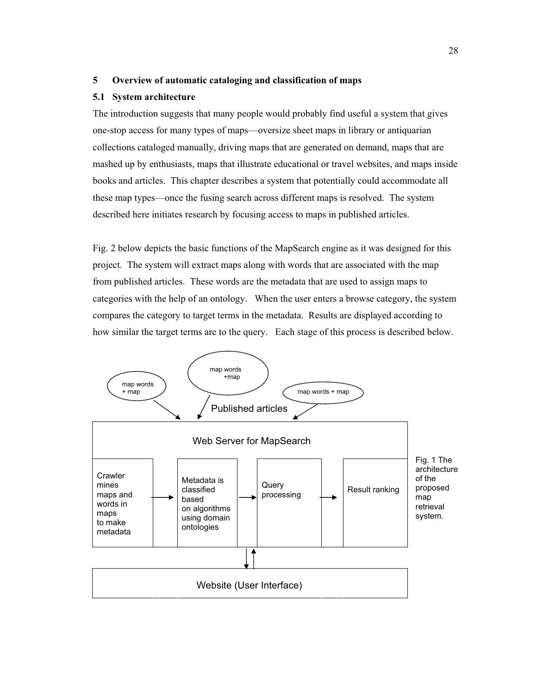## **5 Overview of automatic cataloging and classification of maps**

### **5.1 System architecture**

The introduction suggests that many people would probably find useful a system that gives one-stop access for many types of maps—oversize sheet maps in library or antiquarian collections cataloged manually, driving maps that are generated on demand, maps that are mashed up by enthusiasts, maps that illustrate educational or travel websites, and maps inside books and articles. This chapter describes a system that potentially could accommodate all these map types—once the fusing search across different maps is resolved. The system described here initiates research by focusing access to maps in published articles.

Fig. 2 below depicts the basic functions of the MapSearch engine as it was designed for this project. The system will extract maps along with words that are associated with the map from published articles. These words are the metadata that are used to assign maps to categories with the help of an ontology. When the user enters a browse category, the system compares the category to target terms in the metadata. Results are displayed according to how similar the target terms are to the query. Each stage of this process is described below.

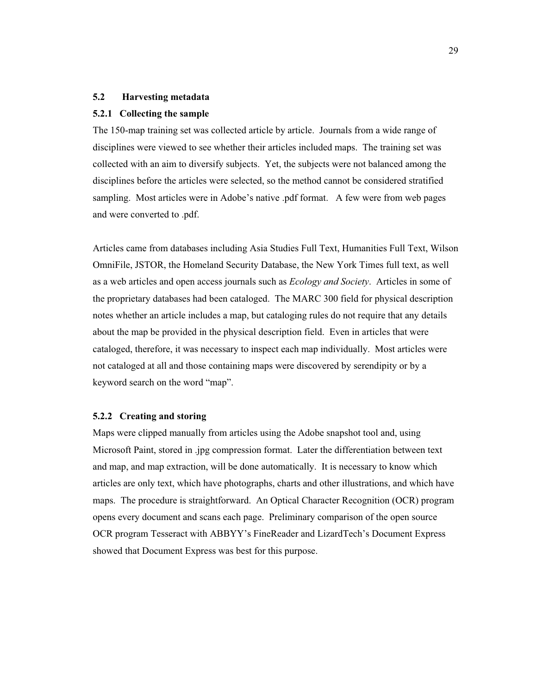# **5.2 Harvesting metadata**

## **5.2.1 Collecting the sample**

The 150-map training set was collected article by article. Journals from a wide range of disciplines were viewed to see whether their articles included maps. The training set was collected with an aim to diversify subjects. Yet, the subjects were not balanced among the disciplines before the articles were selected, so the method cannot be considered stratified sampling. Most articles were in Adobe's native .pdf format. A few were from web pages and were converted to .pdf.

Articles came from databases including Asia Studies Full Text, Humanities Full Text, Wilson OmniFile, JSTOR, the Homeland Security Database, the New York Times full text, as well as a web articles and open access journals such as *Ecology and Society*. Articles in some of the proprietary databases had been cataloged. The MARC 300 field for physical description notes whether an article includes a map, but cataloging rules do not require that any details about the map be provided in the physical description field. Even in articles that were cataloged, therefore, it was necessary to inspect each map individually. Most articles were not cataloged at all and those containing maps were discovered by serendipity or by a keyword search on the word "map".

## **5.2.2 Creating and storing**

Maps were clipped manually from articles using the Adobe snapshot tool and, using Microsoft Paint, stored in .jpg compression format. Later the differentiation between text and map, and map extraction, will be done automatically. It is necessary to know which articles are only text, which have photographs, charts and other illustrations, and which have maps. The procedure is straightforward. An Optical Character Recognition (OCR) program opens every document and scans each page. Preliminary comparison of the open source OCR program Tesseract with ABBYY's FineReader and LizardTech's Document Express showed that Document Express was best for this purpose.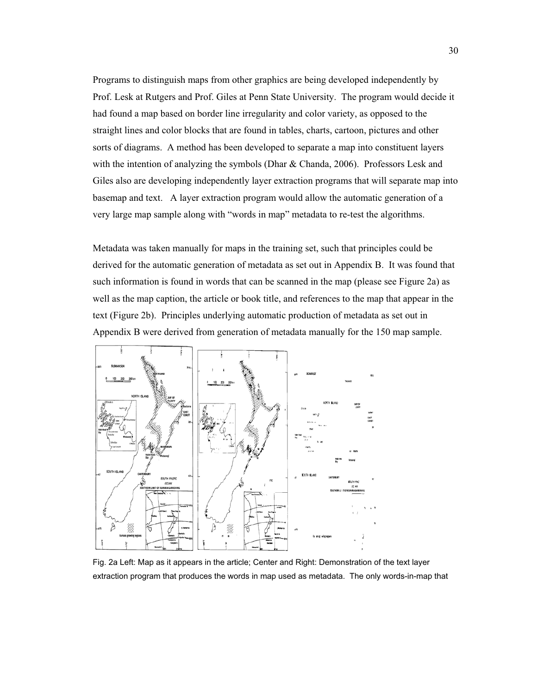Programs to distinguish maps from other graphics are being developed independently by Prof. Lesk at Rutgers and Prof. Giles at Penn State University. The program would decide it had found a map based on border line irregularity and color variety, as opposed to the straight lines and color blocks that are found in tables, charts, cartoon, pictures and other sorts of diagrams. A method has been developed to separate a map into constituent layers with the intention of analyzing the symbols (Dhar & Chanda, 2006). Professors Lesk and Giles also are developing independently layer extraction programs that will separate map into basemap and text. A layer extraction program would allow the automatic generation of a very large map sample along with "words in map" metadata to re-test the algorithms.

Metadata was taken manually for maps in the training set, such that principles could be derived for the automatic generation of metadata as set out in Appendix B. It was found that such information is found in words that can be scanned in the map (please see Figure 2a) as well as the map caption, the article or book title, and references to the map that appear in the text (Figure 2b). Principles underlying automatic production of metadata as set out in Appendix B were derived from generation of metadata manually for the 150 map sample.



Fig. 2a Left: Map as it appears in the article; Center and Right: Demonstration of the text layer extraction program that produces the words in map used as metadata. The only words-in-map that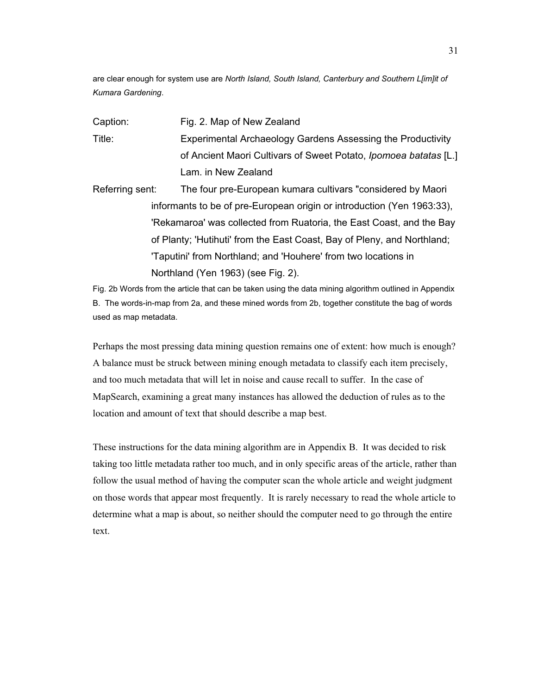are clear enough for system use are *North Island, South Island, Canterbury and Southern L[im]it of Kumara Gardening*.

- Caption: Fig. 2. Map of New Zealand Title: Experimental Archaeology Gardens Assessing the Productivity of Ancient Maori Cultivars of Sweet Potato, *Ipomoea batatas* [L.] Lam. in New Zealand
- Referring sent: The four pre-European kumara cultivars "considered by Maori informants to be of pre-European origin or introduction (Yen 1963:33), 'Rekamaroa' was collected from Ruatoria, the East Coast, and the Bay of Planty; 'Hutihuti' from the East Coast, Bay of Pleny, and Northland; 'Taputini' from Northland; and 'Houhere' from two locations in Northland (Yen 1963) (see Fig. 2).

Fig. 2b Words from the article that can be taken using the data mining algorithm outlined in Appendix B. The words-in-map from 2a, and these mined words from 2b, together constitute the bag of words used as map metadata.

Perhaps the most pressing data mining question remains one of extent: how much is enough? A balance must be struck between mining enough metadata to classify each item precisely, and too much metadata that will let in noise and cause recall to suffer. In the case of MapSearch, examining a great many instances has allowed the deduction of rules as to the location and amount of text that should describe a map best.

These instructions for the data mining algorithm are in Appendix B. It was decided to risk taking too little metadata rather too much, and in only specific areas of the article, rather than follow the usual method of having the computer scan the whole article and weight judgment on those words that appear most frequently. It is rarely necessary to read the whole article to determine what a map is about, so neither should the computer need to go through the entire text.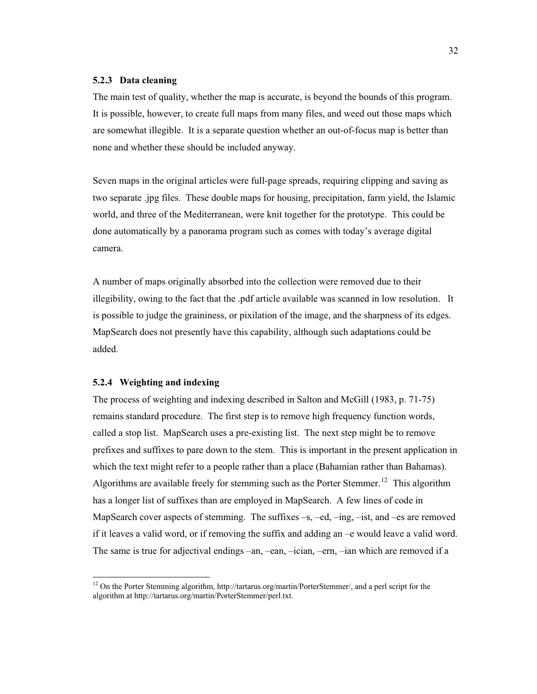#### **5.2.3 Data cleaning**

The main test of quality, whether the map is accurate, is beyond the bounds of this program. It is possible, however, to create full maps from many files, and weed out those maps which are somewhat illegible. It is a separate question whether an out-of-focus map is better than none and whether these should be included anyway.

Seven maps in the original articles were full-page spreads, requiring clipping and saving as two separate .jpg files. These double maps for housing, precipitation, farm yield, the Islamic world, and three of the Mediterranean, were knit together for the prototype. This could be done automatically by a panorama program such as comes with today's average digital camera.

A number of maps originally absorbed into the collection were removed due to their illegibility, owing to the fact that the .pdf article available was scanned in low resolution. It is possible to judge the graininess, or pixilation of the image, and the sharpness of its edges. MapSearch does not presently have this capability, although such adaptations could be added.

## **5.2.4 Weighting and indexing**

 $\overline{a}$ 

The process of weighting and indexing described in Salton and McGill (1983, p. 71-75) remains standard procedure. The first step is to remove high frequency function words, called a stop list. MapSearch uses a pre-existing list. The next step might be to remove prefixes and suffixes to pare down to the stem. This is important in the present application in which the text might refer to a people rather than a place (Bahamian rather than Bahamas). Algorithms are available freely for stemming such as the Porter Stemmer.<sup>12</sup> This algorithm has a longer list of suffixes than are employed in MapSearch. A few lines of code in MapSearch cover aspects of stemming. The suffixes –s, –ed, –ing, –ist, and –es are removed if it leaves a valid word, or if removing the suffix and adding an –e would leave a valid word. The same is true for adjectival endings –an, –ean, –ician, –ern, –ian which are removed if a

<sup>&</sup>lt;sup>12</sup> On the Porter Stemming algorithm, http://tartarus.org/martin/PorterStemmer/, and a perl script for the algorithm at http://tartarus.org/martin/PorterStemmer/perl.txt.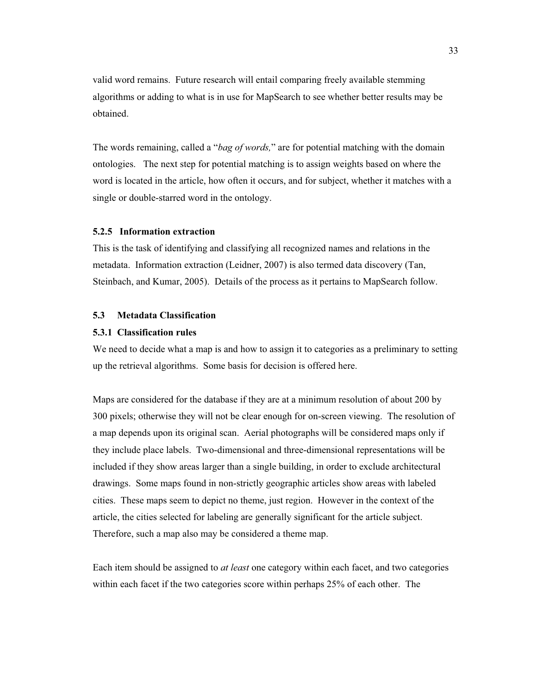valid word remains. Future research will entail comparing freely available stemming algorithms or adding to what is in use for MapSearch to see whether better results may be obtained.

The words remaining, called a "*bag of words,*" are for potential matching with the domain ontologies. The next step for potential matching is to assign weights based on where the word is located in the article, how often it occurs, and for subject, whether it matches with a single or double-starred word in the ontology.

# **5.2.5 Information extraction**

This is the task of identifying and classifying all recognized names and relations in the metadata. Information extraction (Leidner, 2007) is also termed data discovery (Tan, Steinbach, and Kumar, 2005). Details of the process as it pertains to MapSearch follow.

# **5.3 Metadata Classification**

# **5.3.1 Classification rules**

We need to decide what a map is and how to assign it to categories as a preliminary to setting up the retrieval algorithms. Some basis for decision is offered here.

Maps are considered for the database if they are at a minimum resolution of about 200 by 300 pixels; otherwise they will not be clear enough for on-screen viewing. The resolution of a map depends upon its original scan. Aerial photographs will be considered maps only if they include place labels. Two-dimensional and three-dimensional representations will be included if they show areas larger than a single building, in order to exclude architectural drawings. Some maps found in non-strictly geographic articles show areas with labeled cities. These maps seem to depict no theme, just region. However in the context of the article, the cities selected for labeling are generally significant for the article subject. Therefore, such a map also may be considered a theme map.

Each item should be assigned to *at least* one category within each facet, and two categories within each facet if the two categories score within perhaps 25% of each other. The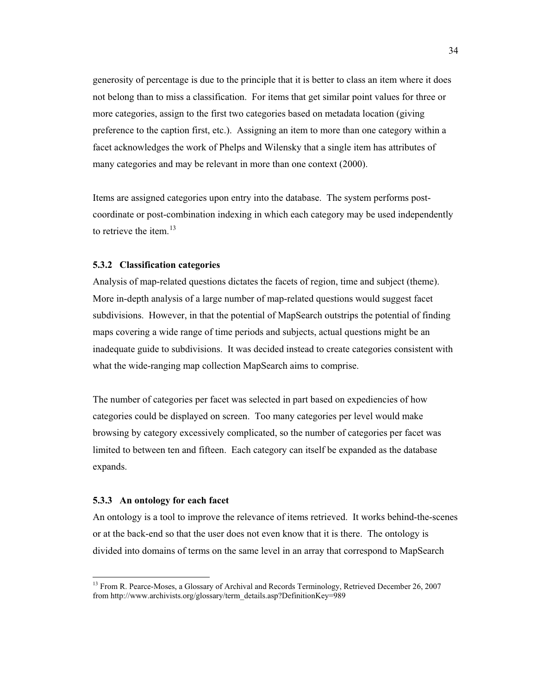generosity of percentage is due to the principle that it is better to class an item where it does not belong than to miss a classification. For items that get similar point values for three or more categories, assign to the first two categories based on metadata location (giving preference to the caption first, etc.). Assigning an item to more than one category within a facet acknowledges the work of Phelps and Wilensky that a single item has attributes of many categories and may be relevant in more than one context (2000).

Items are assigned categories upon entry into the database. The system performs postcoordinate or post-combination indexing in which each category may be used independently to retrieve the item. $13$ 

# **5.3.2 Classification categories**

Analysis of map-related questions dictates the facets of region, time and subject (theme). More in-depth analysis of a large number of map-related questions would suggest facet subdivisions. However, in that the potential of MapSearch outstrips the potential of finding maps covering a wide range of time periods and subjects, actual questions might be an inadequate guide to subdivisions. It was decided instead to create categories consistent with what the wide-ranging map collection MapSearch aims to comprise.

The number of categories per facet was selected in part based on expediencies of how categories could be displayed on screen. Too many categories per level would make browsing by category excessively complicated, so the number of categories per facet was limited to between ten and fifteen. Each category can itself be expanded as the database expands.

#### **5.3.3 An ontology for each facet**

 $\overline{a}$ 

An ontology is a tool to improve the relevance of items retrieved. It works behind-the-scenes or at the back-end so that the user does not even know that it is there. The ontology is divided into domains of terms on the same level in an array that correspond to MapSearch

<sup>&</sup>lt;sup>13</sup> From R. Pearce-Moses, a Glossary of Archival and Records Terminology, Retrieved December 26, 2007 from http://www.archivists.org/glossary/term\_details.asp?DefinitionKey=989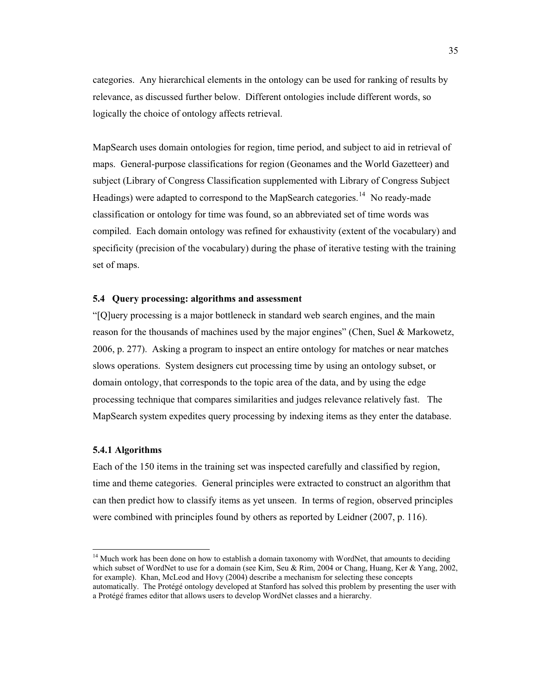categories. Any hierarchical elements in the ontology can be used for ranking of results by relevance, as discussed further below. Different ontologies include different words, so logically the choice of ontology affects retrieval.

MapSearch uses domain ontologies for region, time period, and subject to aid in retrieval of maps. General-purpose classifications for region (Geonames and the World Gazetteer) and subject (Library of Congress Classification supplemented with Library of Congress Subject Headings) were adapted to correspond to the MapSearch categories.<sup>14</sup> No ready-made classification or ontology for time was found, so an abbreviated set of time words was compiled. Each domain ontology was refined for exhaustivity (extent of the vocabulary) and specificity (precision of the vocabulary) during the phase of iterative testing with the training set of maps.

## **5.4 Query processing: algorithms and assessment**

"[Q]uery processing is a major bottleneck in standard web search engines, and the main reason for the thousands of machines used by the major engines" (Chen, Suel & Markowetz, 2006, p. 277). Asking a program to inspect an entire ontology for matches or near matches slows operations. System designers cut processing time by using an ontology subset, or domain ontology, that corresponds to the topic area of the data, and by using the edge processing technique that compares similarities and judges relevance relatively fast. The MapSearch system expedites query processing by indexing items as they enter the database.

## **5.4.1 Algorithms**

 $\overline{a}$ 

Each of the 150 items in the training set was inspected carefully and classified by region, time and theme categories. General principles were extracted to construct an algorithm that can then predict how to classify items as yet unseen. In terms of region, observed principles were combined with principles found by others as reported by Leidner (2007, p. 116).

<sup>&</sup>lt;sup>14</sup> Much work has been done on how to establish a domain taxonomy with WordNet, that amounts to deciding which subset of WordNet to use for a domain (see Kim, Seu & Rim, 2004 or Chang, Huang, Ker & Yang, 2002, for example). Khan, McLeod and Hovy (2004) describe a mechanism for selecting these concepts automatically. The Protégé ontology developed at Stanford has solved this problem by presenting the user with a Protégé frames editor that allows users to develop WordNet classes and a hierarchy.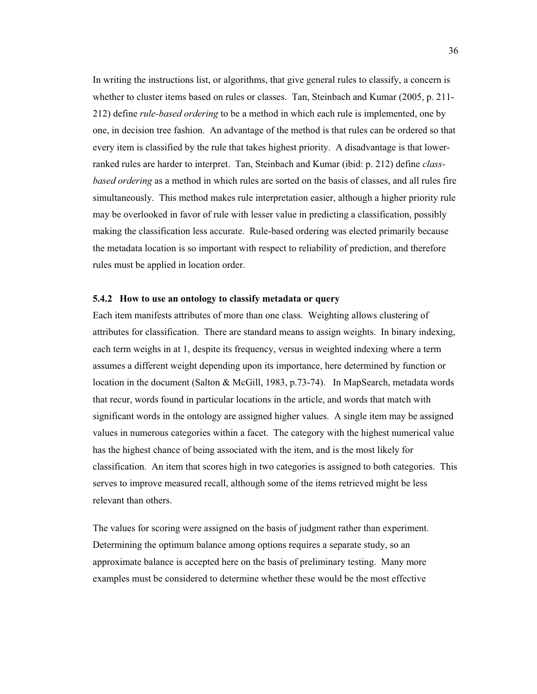In writing the instructions list, or algorithms, that give general rules to classify, a concern is whether to cluster items based on rules or classes. Tan, Steinbach and Kumar (2005, p. 211- 212) define *rule-based ordering* to be a method in which each rule is implemented, one by one, in decision tree fashion. An advantage of the method is that rules can be ordered so that every item is classified by the rule that takes highest priority. A disadvantage is that lowerranked rules are harder to interpret. Tan, Steinbach and Kumar (ibid: p. 212) define *classbased ordering* as a method in which rules are sorted on the basis of classes, and all rules fire simultaneously. This method makes rule interpretation easier, although a higher priority rule may be overlooked in favor of rule with lesser value in predicting a classification, possibly making the classification less accurate. Rule-based ordering was elected primarily because the metadata location is so important with respect to reliability of prediction, and therefore rules must be applied in location order.

## **5.4.2 How to use an ontology to classify metadata or query**

Each item manifests attributes of more than one class. Weighting allows clustering of attributes for classification. There are standard means to assign weights. In binary indexing, each term weighs in at 1, despite its frequency, versus in weighted indexing where a term assumes a different weight depending upon its importance, here determined by function or location in the document (Salton & McGill, 1983, p.73-74). In MapSearch, metadata words that recur, words found in particular locations in the article, and words that match with significant words in the ontology are assigned higher values. A single item may be assigned values in numerous categories within a facet. The category with the highest numerical value has the highest chance of being associated with the item, and is the most likely for classification. An item that scores high in two categories is assigned to both categories. This serves to improve measured recall, although some of the items retrieved might be less relevant than others.

The values for scoring were assigned on the basis of judgment rather than experiment. Determining the optimum balance among options requires a separate study, so an approximate balance is accepted here on the basis of preliminary testing. Many more examples must be considered to determine whether these would be the most effective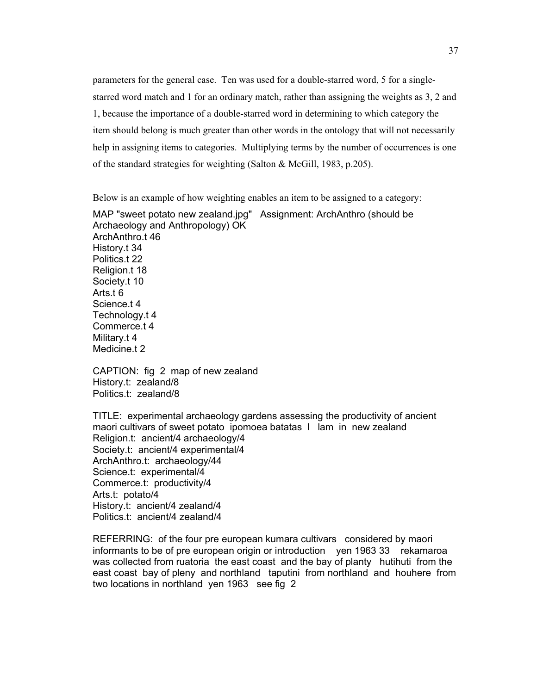parameters for the general case. Ten was used for a double-starred word, 5 for a singlestarred word match and 1 for an ordinary match, rather than assigning the weights as 3, 2 and 1, because the importance of a double-starred word in determining to which category the item should belong is much greater than other words in the ontology that will not necessarily help in assigning items to categories. Multiplying terms by the number of occurrences is one of the standard strategies for weighting (Salton & McGill, 1983, p.205).

Below is an example of how weighting enables an item to be assigned to a category:

MAP "sweet potato new zealand.jpg" Assignment: ArchAnthro (should be Archaeology and Anthropology) OK ArchAnthro.t 46 History.t 34 Politics.t 22 Religion.t 18 Society.t 10 Arts.t 6 Science.t 4 Technology.t 4 Commerce.t 4 Military.t 4 Medicine.t 2

CAPTION: fig 2 map of new zealand History.t: zealand/8 Politics.t: zealand/8

TITLE: experimental archaeology gardens assessing the productivity of ancient maori cultivars of sweet potato ipomoea batatas l lam in new zealand Religion.t: ancient/4 archaeology/4 Society.t: ancient/4 experimental/4 ArchAnthro.t: archaeology/44 Science.t: experimental/4 Commerce.t: productivity/4 Arts.t: potato/4 History.t: ancient/4 zealand/4 Politics.t: ancient/4 zealand/4

REFERRING: of the four pre european kumara cultivars considered by maori informants to be of pre european origin or introduction yen 1963 33 rekamaroa was collected from ruatoria the east coast and the bay of planty hutihuti from the east coast bay of pleny and northland taputini from northland and houhere from two locations in northland yen 1963 see fig 2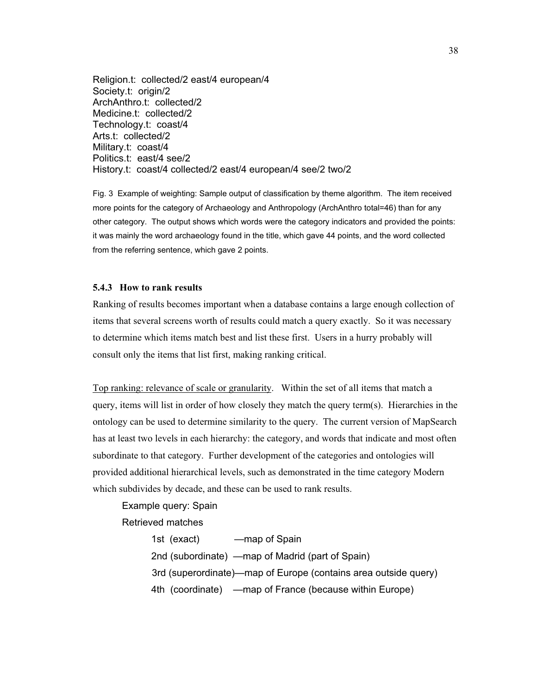Religion.t: collected/2 east/4 european/4 Society.t: origin/2 ArchAnthro.t: collected/2 Medicine.t: collected/2 Technology.t: coast/4 Arts.t: collected/2 Military.t: coast/4 Politics.t: east/4 see/2 History.t: coast/4 collected/2 east/4 european/4 see/2 two/2

Fig. 3 Example of weighting: Sample output of classification by theme algorithm. The item received more points for the category of Archaeology and Anthropology (ArchAnthro total=46) than for any other category. The output shows which words were the category indicators and provided the points: it was mainly the word archaeology found in the title, which gave 44 points, and the word collected from the referring sentence, which gave 2 points.

## **5.4.3 How to rank results**

Ranking of results becomes important when a database contains a large enough collection of items that several screens worth of results could match a query exactly. So it was necessary to determine which items match best and list these first. Users in a hurry probably will consult only the items that list first, making ranking critical.

Top ranking: relevance of scale or granularity. Within the set of all items that match a query, items will list in order of how closely they match the query term(s). Hierarchies in the ontology can be used to determine similarity to the query. The current version of MapSearch has at least two levels in each hierarchy: the category, and words that indicate and most often subordinate to that category. Further development of the categories and ontologies will provided additional hierarchical levels, such as demonstrated in the time category Modern which subdivides by decade, and these can be used to rank results.

Example query: Spain

Retrieved matches

 1st (exact) —map of Spain 2nd (subordinate) —map of Madrid (part of Spain) 3rd (superordinate)—map of Europe (contains area outside query) 4th (coordinate) —map of France (because within Europe)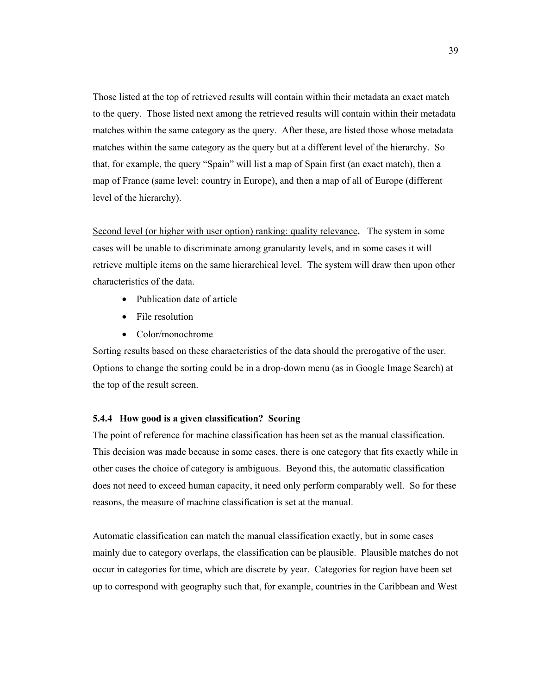Those listed at the top of retrieved results will contain within their metadata an exact match to the query. Those listed next among the retrieved results will contain within their metadata matches within the same category as the query. After these, are listed those whose metadata matches within the same category as the query but at a different level of the hierarchy. So that, for example, the query "Spain" will list a map of Spain first (an exact match), then a map of France (same level: country in Europe), and then a map of all of Europe (different level of the hierarchy).

Second level (or higher with user option) ranking: quality relevance**.** The system in some cases will be unable to discriminate among granularity levels, and in some cases it will retrieve multiple items on the same hierarchical level. The system will draw then upon other characteristics of the data.

- Publication date of article
- File resolution
- Color/monochrome

Sorting results based on these characteristics of the data should the prerogative of the user. Options to change the sorting could be in a drop-down menu (as in Google Image Search) at the top of the result screen.

#### **5.4.4 How good is a given classification? Scoring**

The point of reference for machine classification has been set as the manual classification. This decision was made because in some cases, there is one category that fits exactly while in other cases the choice of category is ambiguous. Beyond this, the automatic classification does not need to exceed human capacity, it need only perform comparably well. So for these reasons, the measure of machine classification is set at the manual.

Automatic classification can match the manual classification exactly, but in some cases mainly due to category overlaps, the classification can be plausible. Plausible matches do not occur in categories for time, which are discrete by year. Categories for region have been set up to correspond with geography such that, for example, countries in the Caribbean and West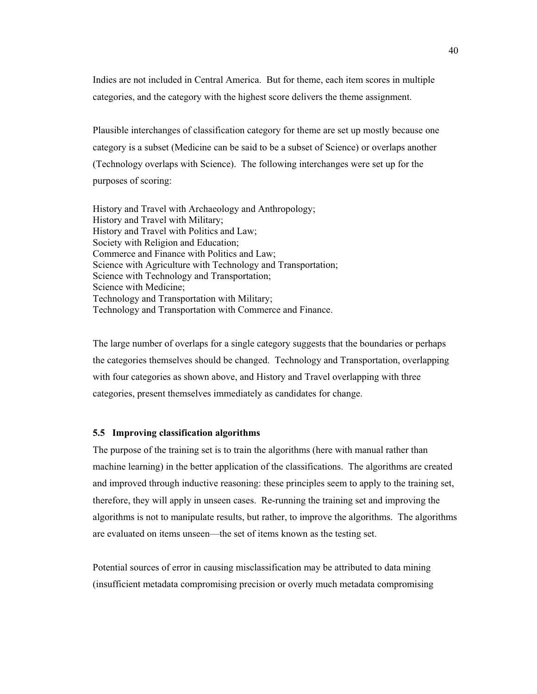Indies are not included in Central America. But for theme, each item scores in multiple categories, and the category with the highest score delivers the theme assignment.

Plausible interchanges of classification category for theme are set up mostly because one category is a subset (Medicine can be said to be a subset of Science) or overlaps another (Technology overlaps with Science). The following interchanges were set up for the purposes of scoring:

History and Travel with Archaeology and Anthropology; History and Travel with Military; History and Travel with Politics and Law; Society with Religion and Education; Commerce and Finance with Politics and Law; Science with Agriculture with Technology and Transportation; Science with Technology and Transportation; Science with Medicine; Technology and Transportation with Military; Technology and Transportation with Commerce and Finance.

The large number of overlaps for a single category suggests that the boundaries or perhaps the categories themselves should be changed. Technology and Transportation, overlapping with four categories as shown above, and History and Travel overlapping with three categories, present themselves immediately as candidates for change.

# **5.5 Improving classification algorithms**

The purpose of the training set is to train the algorithms (here with manual rather than machine learning) in the better application of the classifications. The algorithms are created and improved through inductive reasoning: these principles seem to apply to the training set, therefore, they will apply in unseen cases. Re-running the training set and improving the algorithms is not to manipulate results, but rather, to improve the algorithms. The algorithms are evaluated on items unseen—the set of items known as the testing set.

Potential sources of error in causing misclassification may be attributed to data mining (insufficient metadata compromising precision or overly much metadata compromising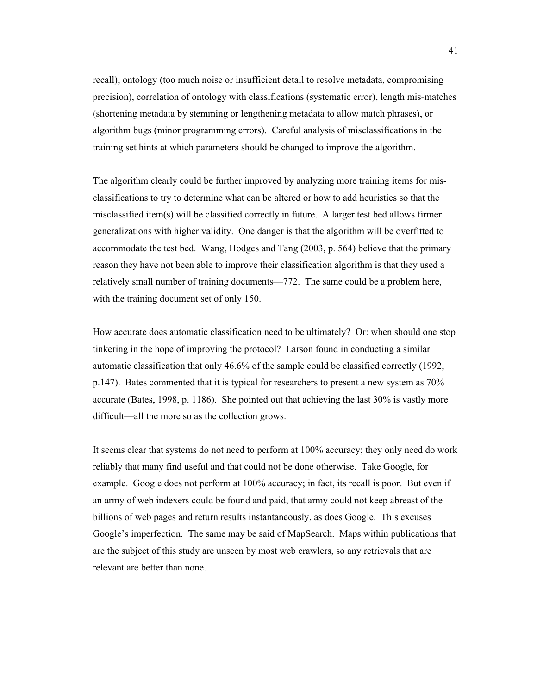recall), ontology (too much noise or insufficient detail to resolve metadata, compromising precision), correlation of ontology with classifications (systematic error), length mis-matches (shortening metadata by stemming or lengthening metadata to allow match phrases), or algorithm bugs (minor programming errors). Careful analysis of misclassifications in the training set hints at which parameters should be changed to improve the algorithm.

The algorithm clearly could be further improved by analyzing more training items for misclassifications to try to determine what can be altered or how to add heuristics so that the misclassified item(s) will be classified correctly in future. A larger test bed allows firmer generalizations with higher validity. One danger is that the algorithm will be overfitted to accommodate the test bed. Wang, Hodges and Tang (2003, p. 564) believe that the primary reason they have not been able to improve their classification algorithm is that they used a relatively small number of training documents—772. The same could be a problem here, with the training document set of only 150.

How accurate does automatic classification need to be ultimately? Or: when should one stop tinkering in the hope of improving the protocol? Larson found in conducting a similar automatic classification that only 46.6% of the sample could be classified correctly (1992, p.147). Bates commented that it is typical for researchers to present a new system as 70% accurate (Bates, 1998, p. 1186). She pointed out that achieving the last 30% is vastly more difficult—all the more so as the collection grows.

It seems clear that systems do not need to perform at 100% accuracy; they only need do work reliably that many find useful and that could not be done otherwise. Take Google, for example. Google does not perform at 100% accuracy; in fact, its recall is poor. But even if an army of web indexers could be found and paid, that army could not keep abreast of the billions of web pages and return results instantaneously, as does Google. This excuses Google's imperfection. The same may be said of MapSearch. Maps within publications that are the subject of this study are unseen by most web crawlers, so any retrievals that are relevant are better than none.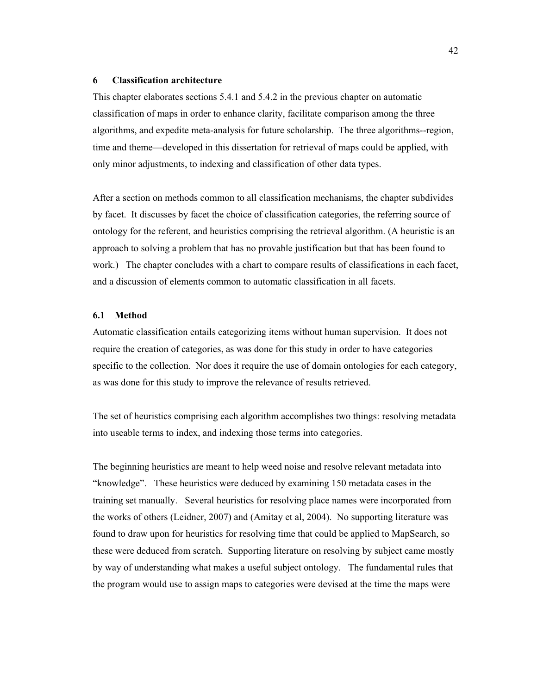#### **6 Classification architecture**

This chapter elaborates sections 5.4.1 and 5.4.2 in the previous chapter on automatic classification of maps in order to enhance clarity, facilitate comparison among the three algorithms, and expedite meta-analysis for future scholarship. The three algorithms--region, time and theme—developed in this dissertation for retrieval of maps could be applied, with only minor adjustments, to indexing and classification of other data types.

After a section on methods common to all classification mechanisms, the chapter subdivides by facet. It discusses by facet the choice of classification categories, the referring source of ontology for the referent, and heuristics comprising the retrieval algorithm. (A heuristic is an approach to solving a problem that has no provable justification but that has been found to work.) The chapter concludes with a chart to compare results of classifications in each facet, and a discussion of elements common to automatic classification in all facets.

#### **6.1 Method**

Automatic classification entails categorizing items without human supervision. It does not require the creation of categories, as was done for this study in order to have categories specific to the collection. Nor does it require the use of domain ontologies for each category, as was done for this study to improve the relevance of results retrieved.

The set of heuristics comprising each algorithm accomplishes two things: resolving metadata into useable terms to index, and indexing those terms into categories.

The beginning heuristics are meant to help weed noise and resolve relevant metadata into "knowledge". These heuristics were deduced by examining 150 metadata cases in the training set manually. Several heuristics for resolving place names were incorporated from the works of others (Leidner, 2007) and (Amitay et al, 2004). No supporting literature was found to draw upon for heuristics for resolving time that could be applied to MapSearch, so these were deduced from scratch. Supporting literature on resolving by subject came mostly by way of understanding what makes a useful subject ontology. The fundamental rules that the program would use to assign maps to categories were devised at the time the maps were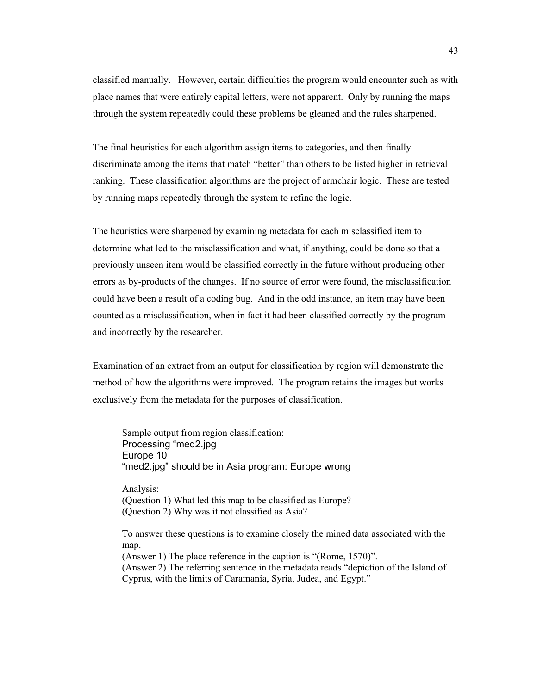classified manually. However, certain difficulties the program would encounter such as with place names that were entirely capital letters, were not apparent. Only by running the maps through the system repeatedly could these problems be gleaned and the rules sharpened.

The final heuristics for each algorithm assign items to categories, and then finally discriminate among the items that match "better" than others to be listed higher in retrieval ranking. These classification algorithms are the project of armchair logic. These are tested by running maps repeatedly through the system to refine the logic.

The heuristics were sharpened by examining metadata for each misclassified item to determine what led to the misclassification and what, if anything, could be done so that a previously unseen item would be classified correctly in the future without producing other errors as by-products of the changes. If no source of error were found, the misclassification could have been a result of a coding bug. And in the odd instance, an item may have been counted as a misclassification, when in fact it had been classified correctly by the program and incorrectly by the researcher.

Examination of an extract from an output for classification by region will demonstrate the method of how the algorithms were improved. The program retains the images but works exclusively from the metadata for the purposes of classification.

 Sample output from region classification: Processing "med2.jpg Europe 10 "med2.jpg" should be in Asia program: Europe wrong

 Analysis: (Question 1) What led this map to be classified as Europe? (Question 2) Why was it not classified as Asia?

To answer these questions is to examine closely the mined data associated with the map.

(Answer 1) The place reference in the caption is "(Rome, 1570)". (Answer 2) The referring sentence in the metadata reads "depiction of the Island of Cyprus, with the limits of Caramania, Syria, Judea, and Egypt."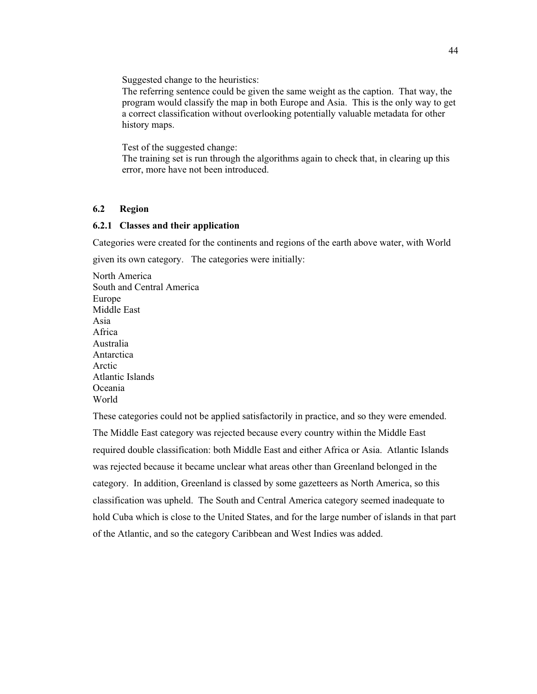Suggested change to the heuristics:

The referring sentence could be given the same weight as the caption. That way, the program would classify the map in both Europe and Asia. This is the only way to get a correct classification without overlooking potentially valuable metadata for other history maps.

Test of the suggested change:

The training set is run through the algorithms again to check that, in clearing up this error, more have not been introduced.

# **6.2 Region**

### **6.2.1 Classes and their application**

Categories were created for the continents and regions of the earth above water, with World given its own category. The categories were initially:

North America South and Central America Europe Middle East Asia Africa Australia Antarctica Arctic Atlantic Islands Oceania World

These categories could not be applied satisfactorily in practice, and so they were emended. The Middle East category was rejected because every country within the Middle East required double classification: both Middle East and either Africa or Asia. Atlantic Islands was rejected because it became unclear what areas other than Greenland belonged in the category. In addition, Greenland is classed by some gazetteers as North America, so this classification was upheld. The South and Central America category seemed inadequate to hold Cuba which is close to the United States, and for the large number of islands in that part of the Atlantic, and so the category Caribbean and West Indies was added.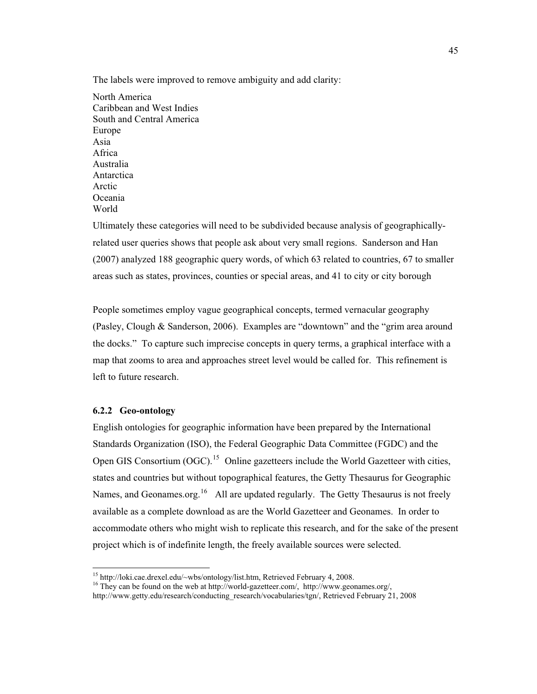The labels were improved to remove ambiguity and add clarity:

North America Caribbean and West Indies South and Central America Europe Asia Africa Australia Antarctica Arctic Oceania World

Ultimately these categories will need to be subdivided because analysis of geographicallyrelated user queries shows that people ask about very small regions. Sanderson and Han (2007) analyzed 188 geographic query words, of which 63 related to countries, 67 to smaller areas such as states, provinces, counties or special areas, and 41 to city or city borough

People sometimes employ vague geographical concepts, termed vernacular geography (Pasley, Clough & Sanderson, 2006). Examples are "downtown" and the "grim area around the docks." To capture such imprecise concepts in query terms, a graphical interface with a map that zooms to area and approaches street level would be called for. This refinement is left to future research.

# **6.2.2 Geo-ontology**

English ontologies for geographic information have been prepared by the International Standards Organization (ISO), the Federal Geographic Data Committee (FGDC) and the Open GIS Consortium  $(OGC)$ <sup>15</sup> Online gazetteers include the World Gazetteer with cities, states and countries but without topographical features, the Getty Thesaurus for Geographic Names, and Geonames.org.<sup>16</sup> All are updated regularly. The Getty Thesaurus is not freely available as a complete download as are the World Gazetteer and Geonames. In order to accommodate others who might wish to replicate this research, and for the sake of the present project which is of indefinite length, the freely available sources were selected.

<sup>&</sup>lt;sup>15</sup> http://loki.cae.drexel.edu/~wbs/ontology/list.htm, Retrieved February 4, 2008.

<sup>&</sup>lt;sup>16</sup> They can be found on the web at http://world-gazetteer.com/, http://www.geonames.org/,

http://www.getty.edu/research/conducting\_research/vocabularies/tgn/, Retrieved February 21, 2008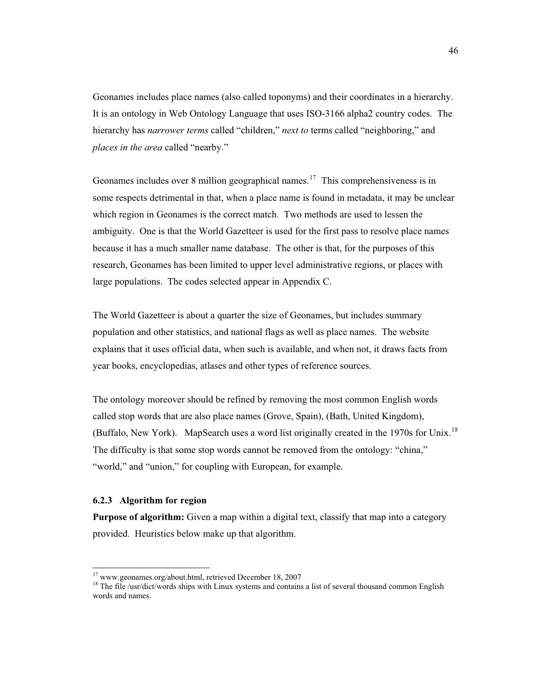Geonames includes place names (also called toponyms) and their coordinates in a hierarchy. It is an ontology in Web Ontology Language that uses ISO-3166 alpha2 country codes. The hierarchy has *narrower terms* called "children," *next to* terms called "neighboring," and *places in the area* called "nearby."

Geonames includes over 8 million geographical names.<sup>17</sup> This comprehensiveness is in some respects detrimental in that, when a place name is found in metadata, it may be unclear which region in Geonames is the correct match. Two methods are used to lessen the ambiguity. One is that the World Gazetteer is used for the first pass to resolve place names because it has a much smaller name database. The other is that, for the purposes of this research, Geonames has been limited to upper level administrative regions, or places w ith large populations. The codes selected appear in Appendix C.

The World Gazetteer is about a quarter the size of Geonames, but includes summary population and other statistics, and national flags as well as place names. The website explains that it uses official data, when such is available, and when not, it draws facts from year books, encyclopedias, atlases and other types of reference sources.

The ontology moreover should be refined by removing the most common English words called stop words that are also place names (Grove, Spain), (Bath, United Kingdom), (Buffalo, New York). MapSearch uses a word list originally created in the 1970s for Unix.<sup>18</sup> The difficulty is that some stop words cannot be removed from the ontology: "china," "world," and "union," for coupling with European, for example.

# **6.2.3 Algorithm for region**

**Purpose of algorithm:** Given a map within a digital text, classify that map into a category provided. Heuristics below make up that algorithm.

<sup>&</sup>lt;sup>17</sup> www.geonames.org/about.html, retrieved December 18, 2007

 $18$  The file /usr/dict/words ships with Linux systems and contains a list of several thousand common English words and names.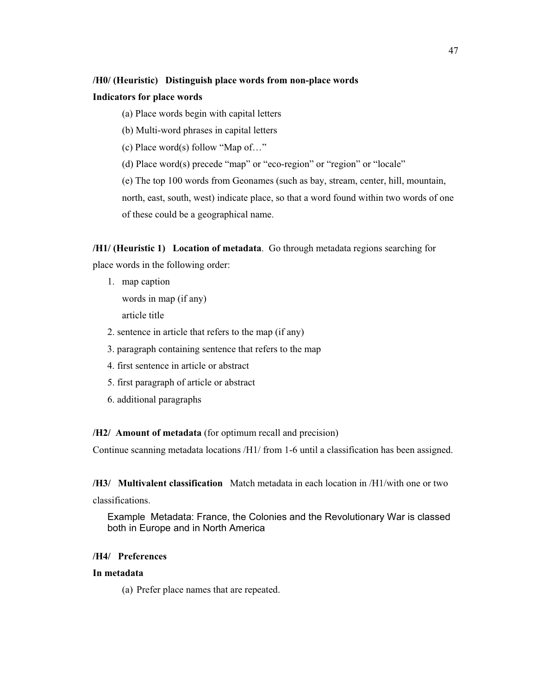## **/H0/ (Heuristic) Distinguish place words from non-place words**

## **Indicators for place words**

(a) Place words begin with capital letters

(b) Multi-word phrases in capital letters

(c) Place word(s) follow "Map of…"

(d) Place word(s) precede "map" or "eco-region" or "region" or "locale"

(e) The top 100 words from Geonames (such as bay, stream, center, hill, mountain, north, east, south, west) indicate place, so that a word found within two words of one of these could be a geographical name.

**/H1/ (Heuristic 1) Location of metadata**. Go through metadata regions searching for place words in the following order:

1. map caption

words in map (if any)

article title

2. sentence in article that refers to the map (if any)

- 3. paragraph containing sentence that refers to the map
- 4. first sentence in article or abstract
- 5. first paragraph of article or abstract
- 6. additional paragraphs

**/H2/ Amount of metadata** (for optimum recall and precision)

Continue scanning metadata locations /H1/ from 1-6 until a classification has been assigned.

**/H3/ Multivalent classification** Match metadata in each location in /H1/with one or two

classifications.

Example Metadata: France, the Colonies and the Revolutionary War is classed both in Europe and in North America

# **/H4/ Preferences**

# **In metadata**

(a) Prefer place names that are repeated.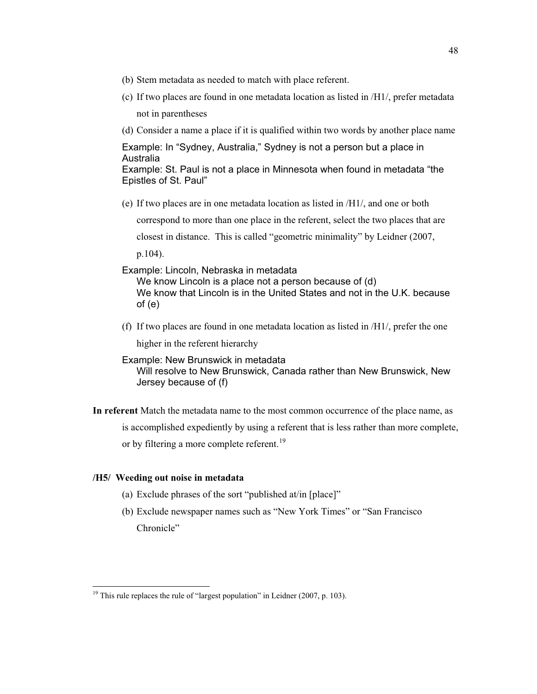- (b) Stem metadata as needed to match with place referent.
- (c) If two places are found in one metadata location as listed in /H1/, prefer metadata not in parentheses
- (d) Consider a name a place if it is qualified within two words by another place name

Example: In "Sydney, Australia," Sydney is not a person but a place in Australia

Example: St. Paul is not a place in Minnesota when found in metadata "the Epistles of St. Paul"

(e) If two places are in one metadata location as listed in /H1/, and one or both

correspond to more than one place in the referent, select the two places that are

closest in distance. This is called "geometric minimality" by Leidner (2007,

p.104).

Example: Lincoln, Nebraska in metadata

We know Lincoln is a place not a person because of (d) We know that Lincoln is in the United States and not in the U.K. because of (e)

(f) If two places are found in one metadata location as listed in /H1/, prefer the one higher in the referent hierarchy

Example: New Brunswick in metadata Will resolve to New Brunswick, Canada rather than New Brunswick, New Jersey because of (f)

**In referent** Match the metadata name to the most common occurrence of the place name, as is accomplished expediently by using a referent that is less rather than more complete, or by filtering a more complete referent.<sup>19</sup>

## **/H5/ Weeding out noise in metadata**

 $\ddot{\phantom{a}}$ 

- (a) Exclude phrases of the sort "published at/in [place]"
- (b) Exclude newspaper names such as "New York Times" or "San Francisco Chronicle"

<sup>&</sup>lt;sup>19</sup> This rule replaces the rule of "largest population" in Leidner (2007, p. 103).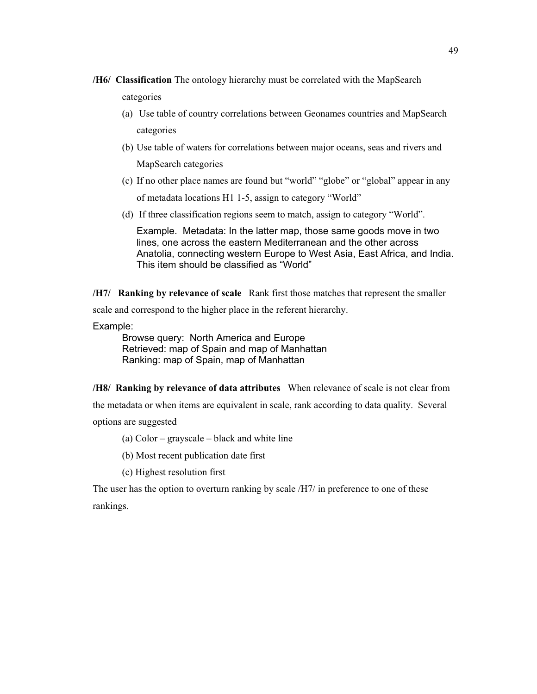- **/H6/ Classification** The ontology hierarchy must be correlated with the MapSearch categories
	- (a) Use table of country correlations between Geonames countries and MapSearch categories
	- (b) Use table of waters for correlations between major oceans, seas and rivers and MapSearch categories
	- (c) If no other place names are found but "world" "globe" or "global" appear in any of metadata locations H1 1-5, assign to category "World"
	- (d) If three classification regions seem to match, assign to category "World".

Example. Metadata: In the latter map, those same goods move in two lines, one across the eastern Mediterranean and the other across Anatolia, connecting western Europe to West Asia, East Africa, and India. This item should be classified as "World"

**/H7/ Ranking by relevance of scale** Rank first those matches that represent the smaller scale and correspond to the higher place in the referent hierarchy.

Example:

Browse query: North America and Europe Retrieved: map of Spain and map of Manhattan Ranking: map of Spain, map of Manhattan

**/H8/ Ranking by relevance of data attributes** When relevance of scale is not clear from

the metadata or when items are equivalent in scale, rank according to data quality. Several

options are suggested

(a) Color – grayscale – black and white line

- (b) Most recent publication date first
- (c) Highest resolution first

The user has the option to overturn ranking by scale /H7/ in preference to one of these rankings.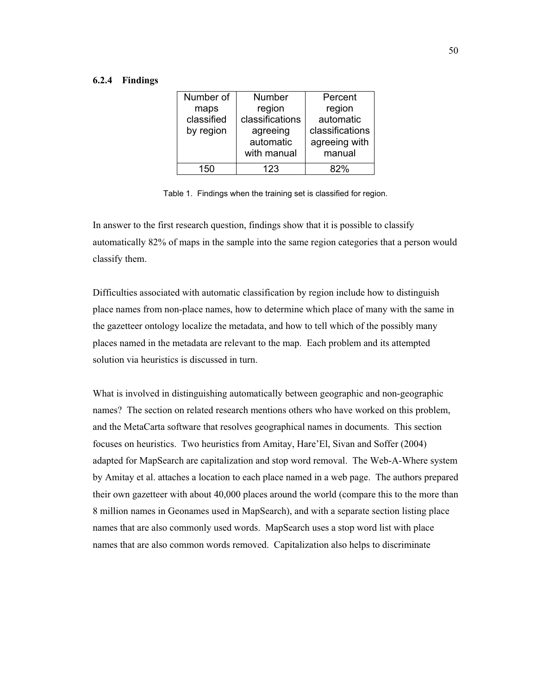#### **6.2.4 Findings**

| Number of  | Number          | Percent         |
|------------|-----------------|-----------------|
| maps       | region          | region          |
| classified | classifications | automatic       |
| by region  | agreeing        | classifications |
|            | automatic       | agreeing with   |
|            | with manual     | manual          |
| 150        | 123             | ጸ2%             |

Table 1. Findings when the training set is classified for region.

In answer to the first research question, findings show that it is possible to classify automatically 82% of maps in the sample into the same region categories that a person would classify them.

Difficulties associated with automatic classification by region include how to distinguish place names from non-place names, how to determine which place of many with the same in the gazetteer ontology localize the metadata, and how to tell which of the possibly many places named in the metadata are relevant to the map. Each problem and its attempted solution via heuristics is discussed in turn.

What is involved in distinguishing automatically between geographic and non-geographic names? The section on related research mentions others who have worked on this problem, and the MetaCarta software that resolves geographical names in documents. This section focuses on heuristics. Two heuristics from Amitay, Hare'El, Sivan and Soffer (2004) adapted for MapSearch are capitalization and stop word removal. The Web-A-Where system by Amitay et al. attaches a location to each place named in a web page. The authors prepared their own gazetteer with about 40,000 places around the world (compare this to the more than 8 million names in Geonames used in MapSearch), and with a separate section listing place names that are also commonly used words. MapSearch uses a stop word list with place names that are also common words removed. Capitalization also helps to discriminate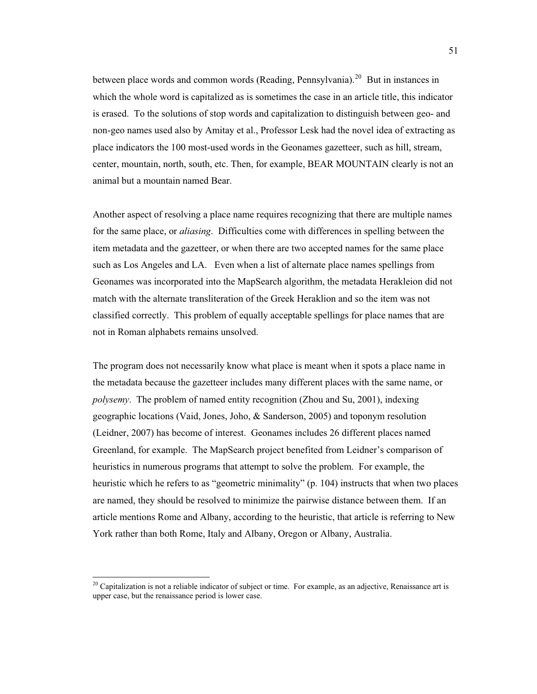between place words and common words (Reading, Pennsylvania).<sup>20</sup> But in instances in which the whole word is capitalized as is sometimes the case in an article title, this indicator is erased. To the solutions of stop words and capitalization to distinguish between geo- and non-geo names used also by Amitay et al., Professor Lesk had the novel idea of extracting as place indicators the 100 most-used words in the Geonames gazetteer, such as hill, stream, center, mountain, north, south, etc. Then, for example, BEAR MOUNTAIN clearly is not an animal but a mountain named Bear.

Another aspect of resolving a place name requires recognizing that there are multiple names for the same place, or *aliasing*. Difficulties come with differences in spelling between the item metadata and the gazetteer, or when there are two accepted names for the same place such as Los Angeles and LA. Even when a list of alternate place names spellings from Geonames was incorporated into the MapSearch algorithm, the metadata Herakleion did not match with the alternate transliteration of the Greek Heraklion and so the item was not classified correctly. This problem of equally acceptable spellings for place names that are not in Roman alphabets remains unsolved.

The program does not necessarily know what place is meant when it spots a place name in the metadata because the gazetteer includes many different places with the same name, or *polysemy*. The problem of named entity recognition (Zhou and Su, 2001), indexing geographic locations (Vaid, Jones, Joho, & Sanderson, 2005) and toponym resolution (Leidner, 2007) has become of interest. Geonames includes 26 different places named Greenland, for example. The MapSearch project benefited from Leidner's comparison of heuristics in numerous programs that attempt to solve the problem. For example, the heuristic which he refers to as "geometric minimality" (p. 104) instructs that when two places are named, they should be resolved to minimize the pairwise distance between them. If an article mentions Rome and Albany, according to the heuristic, that article is referring to New York rather than both Rome, Italy and Albany, Oregon or Albany, Australia.

 $\overline{a}$ 

 $20$  Capitalization is not a reliable indicator of subject or time. For example, as an adjective, Renaissance art is upper case, but the renaissance period is lower case.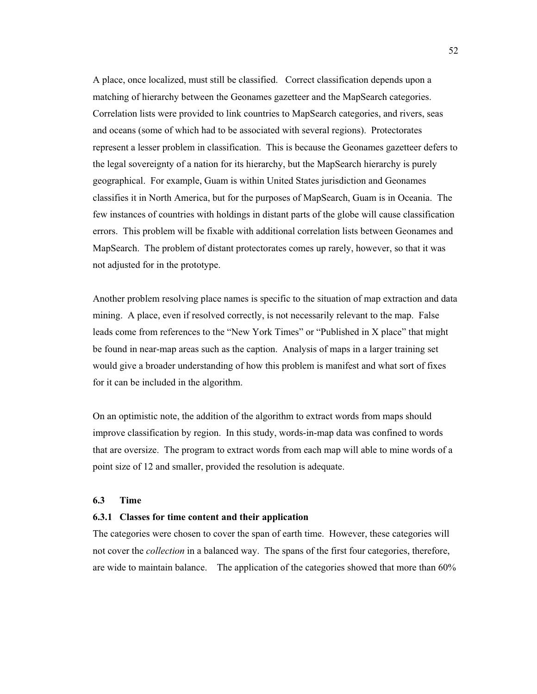A place, once localized, must still be classified. Correct classification depends upon a matching of hierarchy between the Geonames gazetteer and the MapSearch categories. Correlation lists were provided to link countries to MapSearch categories, and rivers, seas and oceans (some of which had to be associated with several regions). Protectorates represent a lesser problem in classification. This is because the Geonames gazetteer defers to the legal sovereignty of a nation for its hierarchy, but the MapSearch hierarchy is purely geographical. For example, Guam is within United States jurisdiction and Geonames classifies it in North America, but for the purposes of MapSearch, Guam is in Oceania. The few instances of countries with holdings in distant parts of the globe will cause classification errors. This problem will be fixable with additional correlation lists between Geonames and MapSearch. The problem of distant protectorates comes up rarely, however, so that it was not adjusted for in the prototype.

Another problem resolving place names is specific to the situation of map extraction and data mining. A place, even if resolved correctly, is not necessarily relevant to the map. False leads come from references to the "New York Times" or "Published in X place" that might be found in near-map areas such as the caption. Analysis of maps in a larger training set would give a broader understanding of how this problem is manifest and what sort of fixes for it can be included in the algorithm.

On an optimistic note, the addition of the algorithm to extract words from maps should improve classification by region. In this study, words-in-map data was confined to words that are oversize. The program to extract words from each map will able to mine words of a point size of 12 and smaller, provided the resolution is adequate.

#### **6.3 Time**

## **6.3.1 Classes for time content and their application**

The categories were chosen to cover the span of earth time. However, these categories will not cover the *collection* in a balanced way. The spans of the first four categories, therefore, are wide to maintain balance. The application of the categories showed that more than 60%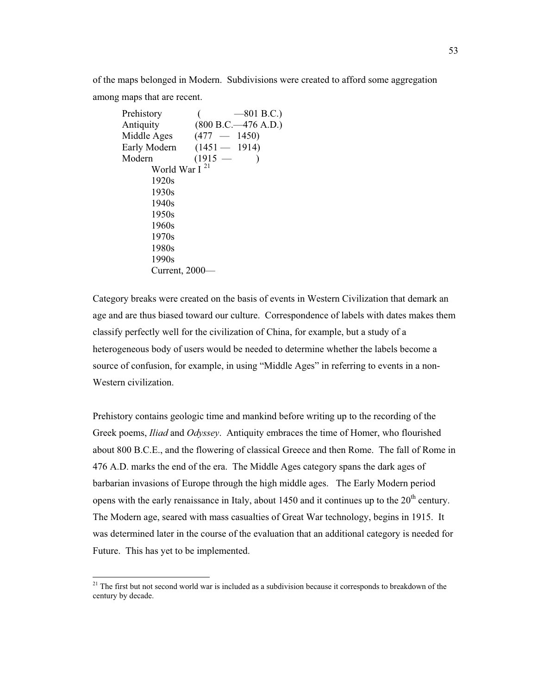of the maps belonged in Modern. Subdivisions were created to afford some aggregation among maps that are recent.

```
Prehistory (-801 B.C.)Antiquity (800 B.C.—476 A.D.) 
Middle Ages (477 - 1450)Early Modern (1451 — 1914)
Modern (1915 — )
      World War I<sup>21</sup>
       1920s 
       1930s 
       1940s 
       1950s 
       1960s 
       1970s 
       1980s 
       1990s 
       Current, 2000—
```
Category breaks were created on the basis of events in Western Civilization that demark an age and are thus biased toward our culture. Correspondence of labels with dates makes them classify perfectly well for the civilization of China, for example, but a study of a heterogeneous body of users would be needed to determine whether the labels become a source of confusion, for example, in using "Middle Ages" in referring to events in a non-Western civilization.

Prehistory contains geologic time and mankind before writing up to the recording of the Greek poems, *Iliad* and *Odyssey*. Antiquity embraces the time of Homer, who flourished about 800 B.C.E., and the flowering of classical Greece and then Rome. The fall of Rome in 476 A.D. marks the end of the era. The Middle Ages category spans the dark ages of barbarian invasions of Europe through the high middle ages. The Early Modern period opens with the early renaissance in Italy, about 1450 and it continues up to the  $20<sup>th</sup>$  century. The Modern age, seared with mass casualties of Great War technology, begins in 1915. It was determined later in the course of the evaluation that an additional category is needed for Future. This has yet to be implemented.

 $\overline{a}$ 

<sup>&</sup>lt;sup>21</sup> The first but not second world war is included as a subdivision because it corresponds to breakdown of the century by decade.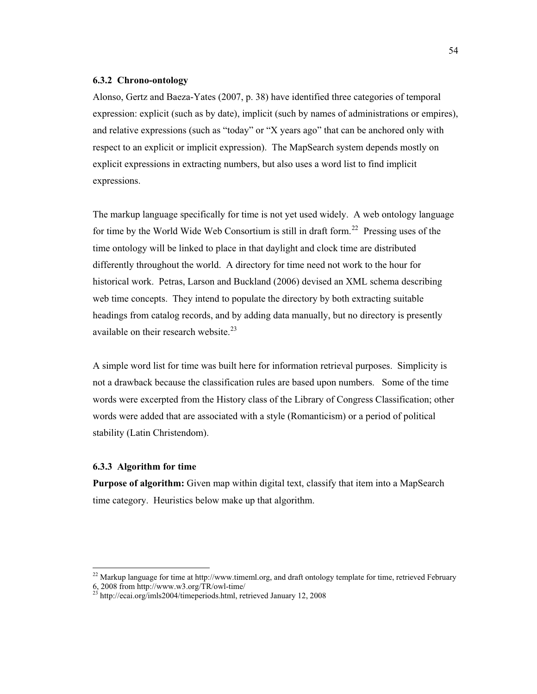#### **6.3.2 Chrono-ontology**

Alonso, Gertz and Baeza-Yates (2007, p. 38) have identified three categories of temporal expression: explicit (such as by date), implicit (such by names of administrations or empires), and relative expressions (such as "today" or "X years ago" that can be anchored only with respect to an explicit or implicit expression). The MapSearch system depends mostly on explicit expressions in extracting numbers, but also uses a word list to find implicit expressions.

The markup language specifically for time is not yet used widely. A web ontology language for time by the World Wide Web Consortium is still in draft form.<sup>22</sup> Pressing uses of the time ontology will be linked to place in that daylight and clock time are distributed differently throughout the world. A directory for time need not work to the hour for historical work. Petras, Larson and Buckland (2006) devised an XML schema describing web time concepts. They intend to populate the directory by both extracting suitable headings from catalog records, and by adding data manually, but no directory is presently available on their research website. $^{23}$ 

A simple word list for time was built here for information retrieval purposes. Simplicity is not a drawback because the classification rules are based upon numbers. Some of the time words were excerpted from the History class of the Library of Congress Classification; other words were added that are associated with a style (Romanticism) or a period of political stability (Latin Christendom).

# **6.3.3 Algorithm for time**

 $\ddot{\phantom{a}}$ 

**Purpose of algorithm:** Given map within digital text, classify that item into a MapSearch time category. Heuristics below make up that algorithm.

 $22$  Markup language for time at http://www.timeml.org, and draft ontology template for time, retrieved February 6, 2008 from http://www.w3.org/TR/owl-time/ 23 http://ecai.org/imls2004/timeperiods.html, retrieved January 12, 2008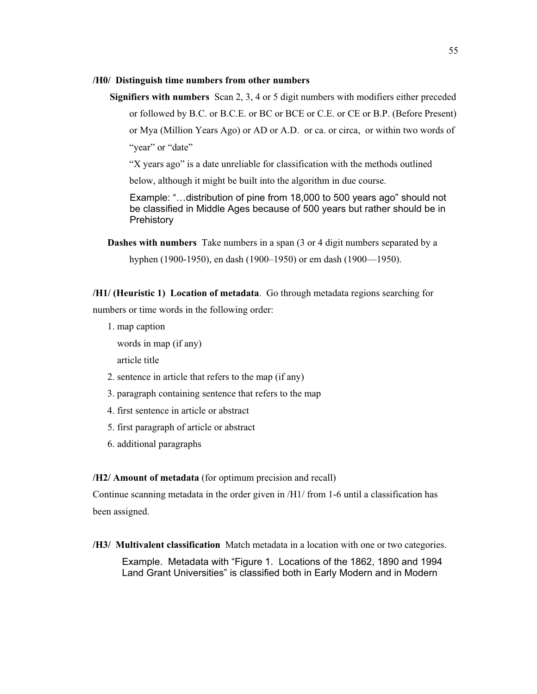#### **/H0/ Distinguish time numbers from other numbers**

 **Signifiers with numbers** Scan 2, 3, 4 or 5 digit numbers with modifiers either preceded or followed by B.C. or B.C.E. or BC or BCE or C.E. or CE or B.P. (Before Present) or Mya (Million Years Ago) or AD or A.D. or ca. or circa, or within two words of "year" or "date"

"X years ago" is a date unreliable for classification with the methods outlined

below, although it might be built into the algorithm in due course.

Example: "…distribution of pine from 18,000 to 500 years ago" should not be classified in Middle Ages because of 500 years but rather should be in **Prehistory** 

**Dashes with numbers** Take numbers in a span (3 or 4 digit numbers separated by a

hyphen (1900-1950), en dash (1900–1950) or em dash (1900—1950).

**/H1/ (Heuristic 1) Location of metadata**. Go through metadata regions searching for numbers or time words in the following order:

1. map caption

words in map (if any)

article title

- 2. sentence in article that refers to the map (if any)
- 3. paragraph containing sentence that refers to the map
- 4. first sentence in article or abstract
- 5. first paragraph of article or abstract
- 6. additional paragraphs

## **/H2/ Amount of metadata** (for optimum precision and recall)

Continue scanning metadata in the order given in  $/H1/$  from 1-6 until a classification has been assigned.

**/H3/ Multivalent classification** Match metadata in a location with one or two categories.

Example. Metadata with "Figure 1. Locations of the 1862, 1890 and 1994 Land Grant Universities" is classified both in Early Modern and in Modern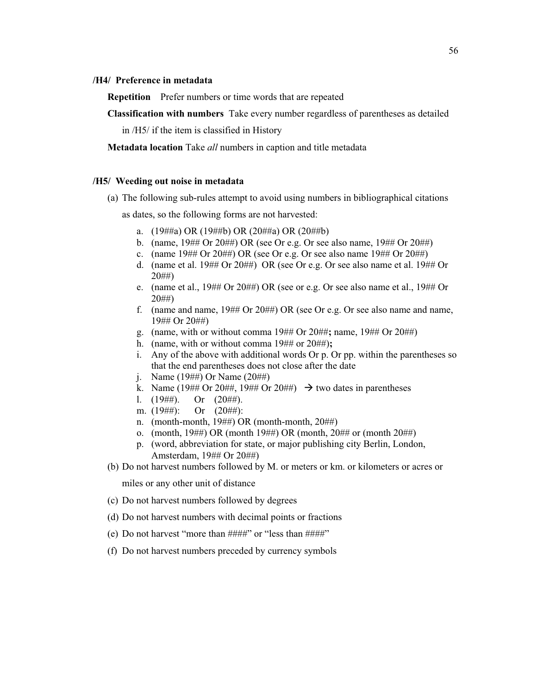### **/H4/ Preference in metadata**

**Repetition** Prefer numbers or time words that are repeated

**Classification with numbers** Take every number regardless of parentheses as detailed

in /H5/ if the item is classified in History

**Metadata location** Take *all* numbers in caption and title metadata

#### **/H5/ Weeding out noise in metadata**

(a) The following sub-rules attempt to avoid using numbers in bibliographical citations

as dates, so the following forms are not harvested:

- a. (19##a) OR (19##b) OR (20##a) OR (20##b)
- b. (name, 19## Or 20##) OR (see Or e.g. Or see also name, 19## Or 20##)
- c. (name  $19#H$  Or  $20#H$ ) OR (see Or e.g. Or see also name  $19#H$  Or  $20#H$ )
- d. (name et al. 19## Or 20##) OR (see Or e.g. Or see also name et al. 19## Or 20##)
- e. (name et al., 19## Or 20##) OR (see or e.g. Or see also name et al., 19## Or 20##)
- f. (name and name, 19## Or 20##) OR (see Or e.g. Or see also name and name, 19## Or 20##)
- g. (name, with or without comma 19## Or 20##**;** name, 19## Or 20##)
- h. (name, with or without comma 19## or 20##)**;**
- i. Any of the above with additional words Or p. Or pp. within the parentheses so that the end parentheses does not close after the date
- j. Name (19##) Or Name (20##)
- k. Name (19## Or 20##, 19## Or 20##)  $\rightarrow$  two dates in parentheses
- 1.  $(19 \# \#)$ . Or  $(20 \# \#)$ .
- m. (19##): Or (20##):
- n. (month-month, 19##) OR (month-month, 20##)
- o. (month, 19##) OR (month 19##) OR (month, 20## or (month 20##)
- p. (word, abbreviation for state, or major publishing city Berlin, London, Amsterdam, 19## Or 20##)

(b) Do not harvest numbers followed by M. or meters or km. or kilometers or acres or

miles or any other unit of distance

- (c) Do not harvest numbers followed by degrees
- (d) Do not harvest numbers with decimal points or fractions
- (e) Do not harvest "more than  $\# \# \# \#$ " or "less than  $\# \# \# \#$ "
- (f) Do not harvest numbers preceded by currency symbols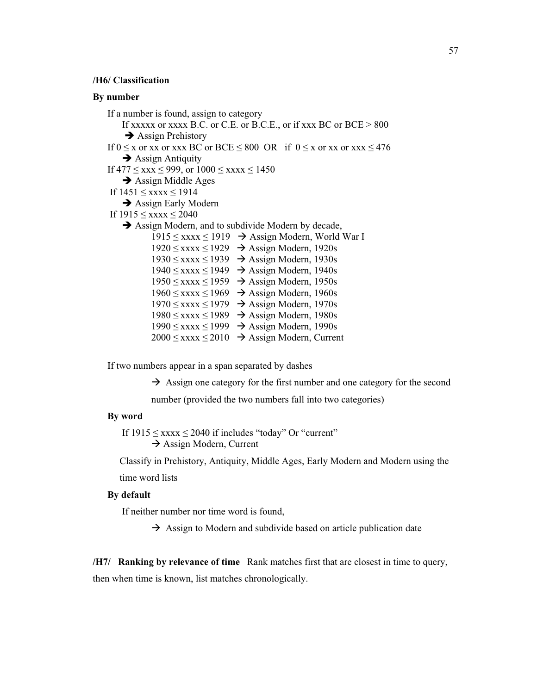## **/H6/ Classification**

### **By number**

If a number is found, assign to category If xxxxx or xxxx B.C. or C.E. or B.C.E., or if xxx BC or BCE > 800  $\rightarrow$  Assign Prehistory If  $0 \le x$  or  $xx$  or  $xx \le BC$  or  $BCE \le 800$  OR if  $0 \le x$  or  $xx$  or  $xxx \le 476$  $\rightarrow$  Assign Antiquity If  $477 \leq$  xxx  $\leq$  999, or  $1000 \leq$  xxxx  $\leq$  1450  $\rightarrow$  Assign Middle Ages If  $1451 \leq$  xxxx  $\leq 1914$  $\rightarrow$  Assign Early Modern If  $1915 \leq$  xxxx  $\leq$  2040  $\rightarrow$  Assign Modern, and to subdivide Modern by decade,  $1915 \leq$  xxxx  $\leq 1919$   $\rightarrow$  Assign Modern, World War I  $1920 \leq$  xxxx  $\leq 1929$   $\rightarrow$  Assign Modern, 1920s  $1930 \leq$  xxxx  $\leq 1939$   $\rightarrow$  Assign Modern, 1930s  $1940 \leq$  xxxx  $\leq 1949$   $\rightarrow$  Assign Modern, 1940s  $1950 \leq$  xxxx  $\leq 1959$   $\rightarrow$  Assign Modern, 1950s  $1960 \leq$  xxxx  $\leq 1969$   $\rightarrow$  Assign Modern, 1960s  $1970 \leq$  xxxx  $\leq 1979$   $\rightarrow$  Assign Modern, 1970s  $1980 \leq$  xxxx  $\leq 1989$   $\rightarrow$  Assign Modern, 1980s  $1990 \leq$  xxxx  $\leq 1999 \rightarrow$  Assign Modern, 1990s  $2000 \leq$  xxxx  $\leq 2010 \rightarrow$  Assign Modern, Current

If two numbers appear in a span separated by dashes

 $\rightarrow$  Assign one category for the first number and one category for the second

number (provided the two numbers fall into two categories)

# **By word**

If  $1915 \leq$  xxxx  $\leq$  2040 if includes "today" Or "current" - Assign Modern, Current

Classify in Prehistory, Antiquity, Middle Ages, Early Modern and Modern using the time word lists

#### **By default**

If neither number nor time word is found,

 $\rightarrow$  Assign to Modern and subdivide based on article publication date

**/H7/ Ranking by relevance of time** Rank matches first that are closest in time to query, then when time is known, list matches chronologically.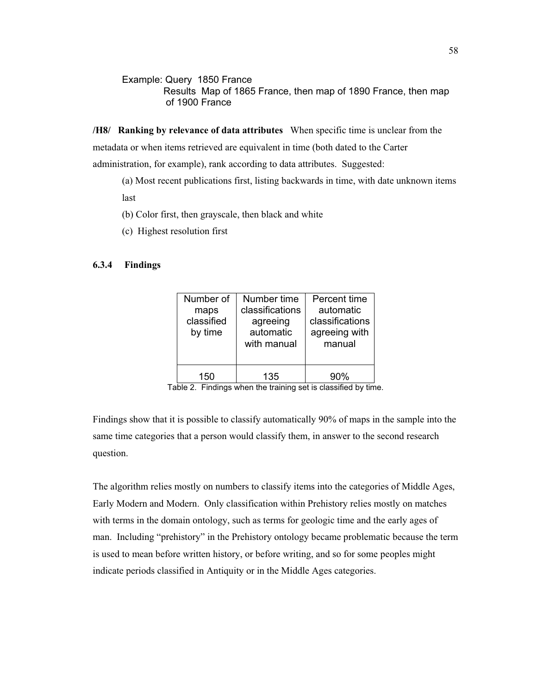Example: Query 1850 France Results Map of 1865 France, then map of 1890 France, then map of 1900 France

**/H8/ Ranking by relevance of data attributes** When specific time is unclear from the metadata or when items retrieved are equivalent in time (both dated to the Carter administration, for example), rank according to data attributes. Suggested:

(a) Most recent publications first, listing backwards in time, with date unknown items last

- (b) Color first, then grayscale, then black and white
- (c) Highest resolution first

# **6.3.4 Findings**

| Number of<br>maps<br>classified<br>by time | Number time<br>classifications<br>agreeing<br>automatic<br>with manual | Percent time<br>automatic<br>classifications<br>agreeing with<br>manual |
|--------------------------------------------|------------------------------------------------------------------------|-------------------------------------------------------------------------|
| 150                                        | 135                                                                    | 90%                                                                     |

Table 2. Findings when the training set is classified by time.

Findings show that it is possible to classify automatically 90% of maps in the sample into the same time categories that a person would classify them, in answer to the second research question.

The algorithm relies mostly on numbers to classify items into the categories of Middle Ages, Early Modern and Modern. Only classification within Prehistory relies mostly on matches with terms in the domain ontology, such as terms for geologic time and the early ages of man. Including "prehistory" in the Prehistory ontology became problematic because the term is used to mean before written history, or before writing, and so for some peoples might indicate periods classified in Antiquity or in the Middle Ages categories.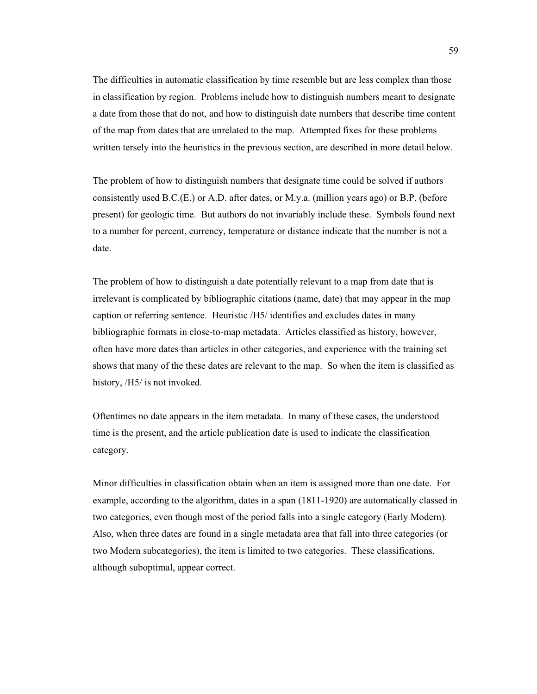The difficulties in automatic classification by time resemble but are less complex than those in classification by region. Problems include how to distinguish numbers meant to designate a date from those that do not, and how to distinguish date numbers that describe time content of the map from dates that are unrelated to the map. Attempted fixes for these problems written tersely into the heuristics in the previous section, are described in more detail below.

The problem of how to distinguish numbers that designate time could be solved if authors consistently used B.C.(E.) or A.D. after dates, or M.y.a. (million years ago) or B.P. (before present) for geologic time. But authors do not invariably include these. Symbols found next to a number for percent, currency, temperature or distance indicate that the number is not a date.

The problem of how to distinguish a date potentially relevant to a map from date that is irrelevant is complicated by bibliographic citations (name, date) that may appear in the map caption or referring sentence. Heuristic /H5/ identifies and excludes dates in many bibliographic formats in close-to-map metadata. Articles classified as history, however, often have more dates than articles in other categories, and experience with the training set shows that many of the these dates are relevant to the map. So when the item is classified as history, /H5/ is not invoked.

Oftentimes no date appears in the item metadata. In many of these cases, the understood time is the present, and the article publication date is used to indicate the classification category.

Minor difficulties in classification obtain when an item is assigned more than one date. For example, according to the algorithm, dates in a span (1811-1920) are automatically classed in two categories, even though most of the period falls into a single category (Early Modern). Also, when three dates are found in a single metadata area that fall into three categories (or two Modern subcategories), the item is limited to two categories. These classifications, although suboptimal, appear correct.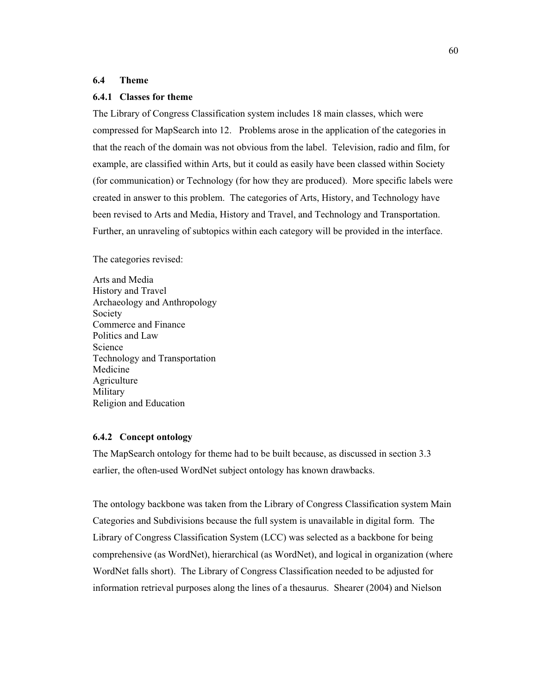## **6.4 Theme**

#### **6.4.1 Classes for theme**

The Library of Congress Classification system includes 18 main classes, which were compressed for MapSearch into 12. Problems arose in the application of the categories in that the reach of the domain was not obvious from the label. Television, radio and film, for example, are classified within Arts, but it could as easily have been classed within Society (for communication) or Technology (for how they are produced). More specific labels were created in answer to this problem. The categories of Arts, History, and Technology have been revised to Arts and Media, History and Travel, and Technology and Transportation. Further, an unraveling of subtopics within each category will be provided in the interface.

The categories revised:

Arts and Media History and Travel Archaeology and Anthropology Society Commerce and Finance Politics and Law Science Technology and Transportation Medicine **Agriculture** Military Religion and Education

#### **6.4.2 Concept ontology**

The MapSearch ontology for theme had to be built because, as discussed in section 3.3 earlier, the often-used WordNet subject ontology has known drawbacks.

The ontology backbone was taken from the Library of Congress Classification system Main Categories and Subdivisions because the full system is unavailable in digital form. The Library of Congress Classification System (LCC) was selected as a backbone for being comprehensive (as WordNet), hierarchical (as WordNet), and logical in organization (where WordNet falls short). The Library of Congress Classification needed to be adjusted for information retrieval purposes along the lines of a thesaurus. Shearer (2004) and Nielson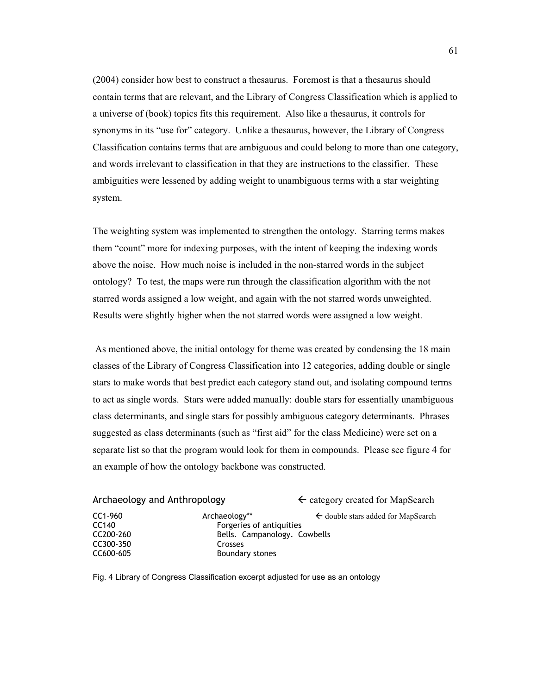(2004) consider how best to construct a thesaurus. Foremost is that a thesaurus should contain terms that are relevant, and the Library of Congress Classification which is applied to a universe of (book) topics fits this requirement. Also like a thesaurus, it controls for synonyms in its "use for" category. Unlike a thesaurus, however, the Library of Congress Classification contains terms that are ambiguous and could belong to more than one category, and words irrelevant to classification in that they are instructions to the classifier. These ambiguities were lessened by adding weight to unambiguous terms with a star weighting system.

The weighting system was implemented to strengthen the ontology. Starring terms makes them "count" more for indexing purposes, with the intent of keeping the indexing words above the noise. How much noise is included in the non-starred words in the subject ontology? To test, the maps were run through the classification algorithm with the not starred words assigned a low weight, and again with the not starred words unweighted. Results were slightly higher when the not starred words were assigned a low weight.

 As mentioned above, the initial ontology for theme was created by condensing the 18 main classes of the Library of Congress Classification into 12 categories, adding double or single stars to make words that best predict each category stand out, and isolating compound terms to act as single words. Stars were added manually: double stars for essentially unambiguous class determinants, and single stars for possibly ambiguous category determinants. Phrases suggested as class determinants (such as "first aid" for the class Medicine) were set on a separate list so that the program would look for them in compounds. Please see figure 4 for an example of how the ontology backbone was constructed.

| Archaeology and Anthropology |                              | $\leftarrow$ category created for MapSearch   |
|------------------------------|------------------------------|-----------------------------------------------|
| CC1-960                      | Archaeology**                | $\leftarrow$ double stars added for MapSearch |
| CC140                        | Forgeries of antiquities     |                                               |
| CC200-260                    | Bells. Campanology. Cowbells |                                               |
| CC300-350                    | Crosses                      |                                               |
| CC600-605                    | Boundary stones              |                                               |

Fig. 4 Library of Congress Classification excerpt adjusted for use as an ontology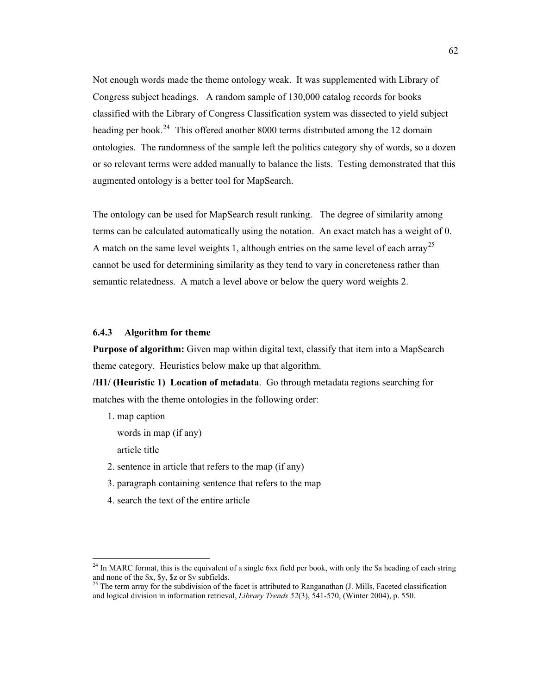Not enough words made the theme ontology weak. It was supplemented with Library of Congress subject headings. A random sample of 130,000 catalog records for books classified with the Library of Congress Classification system was dissected to yield subject heading per book.<sup>24</sup> This offered another 8000 terms distributed among the 12 domain ontologies. The randomness of the sample left the politics category shy of words, so a dozen or so relevant terms were added manually to balance the lists. Testing demonstrated that this augmented ontology is a better tool for MapSearch.

The ontology can be used for MapSearch result ranking. The degree of similarity among terms can be calculated automatically using the notation. An exact match has a weight of 0. A match on the same level weights 1, although entries on the same level of each array<sup>25</sup> cannot be used for determining similarity as they tend to vary in concreteness rather than semantic relatedness. A match a level above or below the query word weights 2.

# **6.4.3 Algorithm for theme**

**Purpose of algorithm:** Given map within digital text, classify that item into a MapSearch theme category. Heuristics below make up that algorithm.

**/H1/ (Heuristic 1) Location of metadata**. Go through metadata regions searching for matches with the theme ontologies in the following order:

- 1. map caption
	- words in map (if any)
	- article title

 $\overline{a}$ 

- 2. sentence in article that refers to the map (if any)
- 3. paragraph containing sentence that refers to the map
- 4. search the text of the entire article

 $24$  In MARC format, this is the equivalent of a single 6xx field per book, with only the \$a heading of each string and none of the \$x, \$y, \$z or \$v subfields.<br><sup>25</sup> The term array for the subdivision of the facet is attributed to Ranganathan (J. Mills, Faceted classification

and logical division in information retrieval, *Library Trends 52*(3), 541-570, (Winter 2004), p. 550.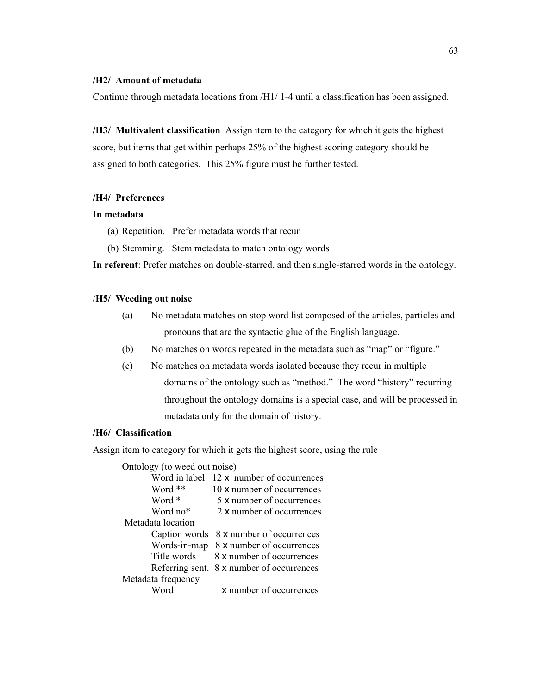#### **/H2/ Amount of metadata**

Continue through metadata locations from /H1/ 1-4 until a classification has been assigned.

**/H3/ Multivalent classification** Assign item to the category for which it gets the highest score, but items that get within perhaps 25% of the highest scoring category should be assigned to both categories. This 25% figure must be further tested.

## **/H4/ Preferences**

## **In metadata**

- (a) Repetition. Prefer metadata words that recur
- (b) Stemming. Stem metadata to match ontology words

**In referent**: Prefer matches on double-starred, and then single-starred words in the ontology.

## /**H5/ Weeding out noise**

- (a) No metadata matches on stop word list composed of the articles, particles and pronouns that are the syntactic glue of the English language.
- (b) No matches on words repeated in the metadata such as "map" or "figure."
- (c) No matches on metadata words isolated because they recur in multiple domains of the ontology such as "method." The word "history" recurring throughout the ontology domains is a special case, and will be processed in metadata only for the domain of history.

# **/H6/ Classification**

Assign item to category for which it gets the highest score, using the rule

Ontology (to weed out noise)

| Word in label      | 12 x number of occurrences |
|--------------------|----------------------------|
| Word **            | 10 x number of occurrences |
| Word *             | 5 x number of occurrences  |
| Word no*           | 2 x number of occurrences  |
| Metadata location  |                            |
| Caption words      | 8 x number of occurrences  |
| Words-in-map       | 8 x number of occurrences  |
| Title words        | 8 x number of occurrences  |
| Referring sent.    | 8 x number of occurrences  |
| Metadata frequency |                            |
| Word               | x number of occurrences    |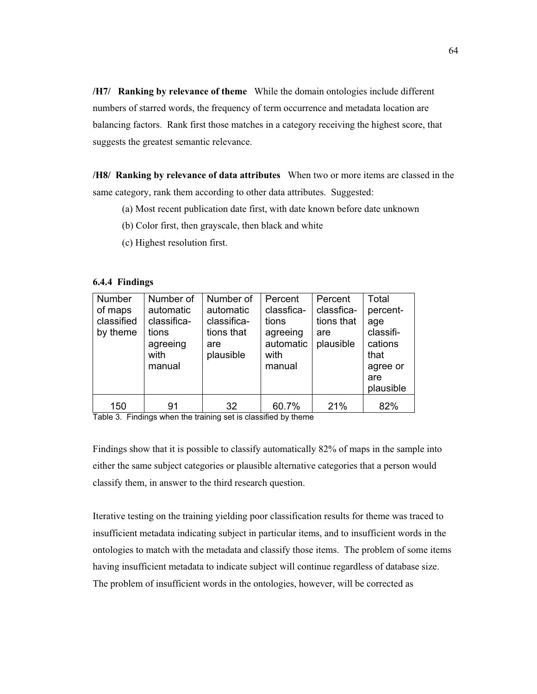**/H7/ Ranking by relevance of theme** While the domain ontologies include different numbers of starred words, the frequency of term occurrence and metadata location are balancing factors. Rank first those matches in a category receiving the highest score, that suggests the greatest semantic relevance.

**/H8/ Ranking by relevance of data attributes** When two or more items are classed in the same category, rank them according to other data attributes. Suggested:

- (a) Most recent publication date first, with date known before date unknown
- (b) Color first, then grayscale, then black and white
- (c) Highest resolution first.

#### **6.4.4 Findings**

| Number<br>of maps<br>classified<br>by theme | Number of<br>automatic<br>classifica-<br>tions<br>agreeing<br>with<br>manual | Number of<br>automatic<br>classifica-<br>tions that<br>are<br>plausible | Percent<br>classfica-<br>tions<br>agreeing<br>automatic<br>with<br>manual | Percent<br>classfica-<br>tions that<br>are<br>plausible | Total<br>percent-<br>age<br>classifi-<br>cations<br>that<br>agree or<br>are<br>plausible |
|---------------------------------------------|------------------------------------------------------------------------------|-------------------------------------------------------------------------|---------------------------------------------------------------------------|---------------------------------------------------------|------------------------------------------------------------------------------------------|
| 150<br>— <u>11 A</u><br>--                  | 91<br>$\cdots$                                                               | 32<br>$\cdot$ $\cdot$                                                   | 60.7%                                                                     | 21%                                                     | 82%                                                                                      |

Table 3. Findings when the training set is classified by theme

Findings show that it is possible to classify automatically 82% of maps in the sample into either the same subject categories or plausible alternative categories that a person would classify them, in answer to the third research question.

Iterative testing on the training yielding poor classification results for theme was traced to insufficient metadata indicating subject in particular items, and to insufficient words in the ontologies to match with the metadata and classify those items. The problem of some items having insufficient metadata to indicate subject will continue regardless of database size. The problem of insufficient words in the ontologies, however, will be corrected as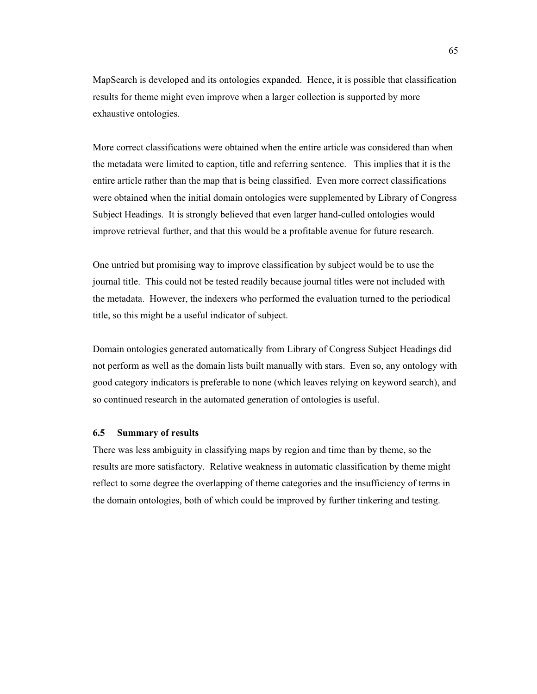MapSearch is developed and its ontologies expanded. Hence, it is possible that classification results for theme might even improve when a larger collection is supported by more exhaustive ontologies.

More correct classifications were obtained when the entire article was considered than when the metadata were limited to caption, title and referring sentence. This implies that it is the entire article rather than the map that is being classified. Even more correct classifications were obtained when the initial domain ontologies were supplemented by Library of Congress Subject Headings. It is strongly believed that even larger hand-culled ontologies would improve retrieval further, and that this would be a profitable avenue for future research.

One untried but promising way to improve classification by subject would be to use the journal title. This could not be tested readily because journal titles were not included with the metadata. However, the indexers who performed the evaluation turned to the periodical title, so this might be a useful indicator of subject.

Domain ontologies generated automatically from Library of Congress Subject Headings did not perform as well as the domain lists built manually with stars. Even so, any ontology with good category indicators is preferable to none (which leaves relying on keyword search), and so continued research in the automated generation of ontologies is useful.

## **6.5 Summary of results**

There was less ambiguity in classifying maps by region and time than by theme, so the results are more satisfactory. Relative weakness in automatic classification by theme might reflect to some degree the overlapping of theme categories and the insufficiency of terms in the domain ontologies, both of which could be improved by further tinkering and testing.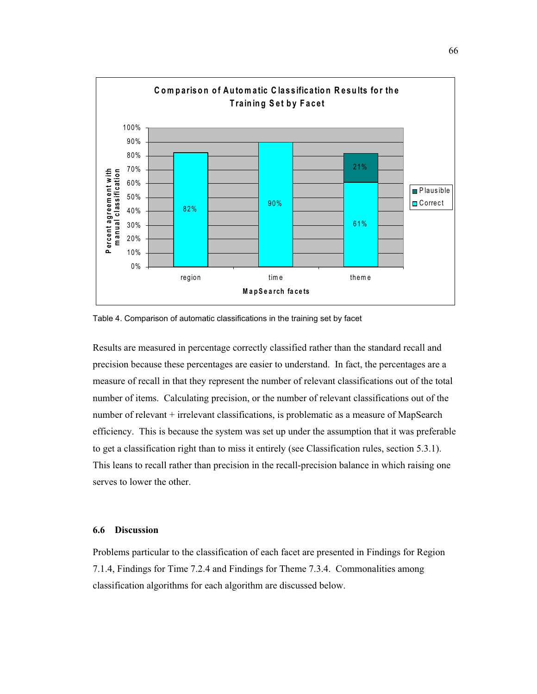

Table 4. Comparison of automatic classifications in the training set by facet

Results are measured in percentage correctly classified rather than the standard recall and precision because these percentages are easier to understand. In fact, the percentages are a measure of recall in that they represent the number of relevant classifications out of the total number of items. Calculating precision, or the number of relevant classifications out of the number of relevant + irrelevant classifications, is problematic as a measure of MapSearch efficiency. This is because the system was set up under the assumption that it was preferable to get a classification right than to miss it entirely (see Classification rules, section 5.3.1). This leans to recall rather than precision in the recall-precision balance in which raising one serves to lower the other.

#### **6.6 Discussion**

Problems particular to the classification of each facet are presented in Findings for Region 7.1.4, Findings for Time 7.2.4 and Findings for Theme 7.3.4. Commonalities among classification algorithms for each algorithm are discussed below.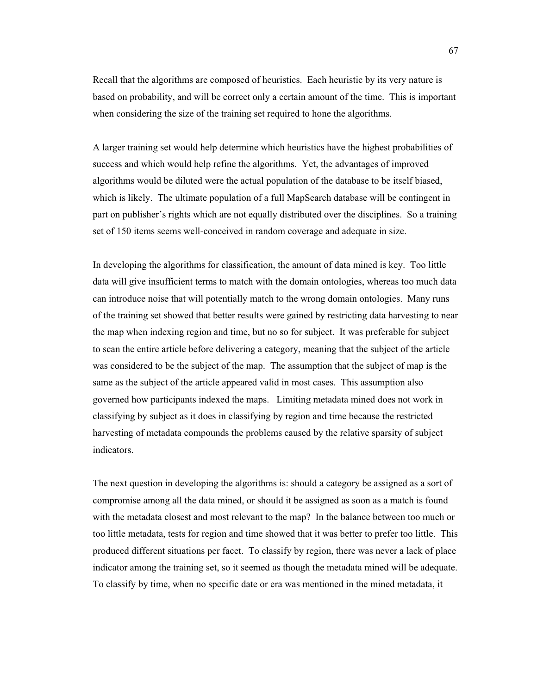Recall that the algorithms are composed of heuristics. Each heuristic by its very nature is based on probability, and will be correct only a certain amount of the time. This is important when considering the size of the training set required to hone the algorithms.

A larger training set would help determine which heuristics have the highest probabilities of success and which would help refine the algorithms. Yet, the advantages of improved algorithms would be diluted were the actual population of the database to be itself biased, which is likely. The ultimate population of a full MapSearch database will be contingent in part on publisher's rights which are not equally distributed over the disciplines. So a training set of 150 items seems well-conceived in random coverage and adequate in size.

In developing the algorithms for classification, the amount of data mined is key. Too little data will give insufficient terms to match with the domain ontologies, whereas too much data can introduce noise that will potentially match to the wrong domain ontologies. Many runs of the training set showed that better results were gained by restricting data harvesting to near the map when indexing region and time, but no so for subject. It was preferable for subject to scan the entire article before delivering a category, meaning that the subject of the article was considered to be the subject of the map. The assumption that the subject of map is the same as the subject of the article appeared valid in most cases. This assumption also governed how participants indexed the maps. Limiting metadata mined does not work in classifying by subject as it does in classifying by region and time because the restricted harvesting of metadata compounds the problems caused by the relative sparsity of subject indicators.

The next question in developing the algorithms is: should a category be assigned as a sort of compromise among all the data mined, or should it be assigned as soon as a match is found with the metadata closest and most relevant to the map? In the balance between too much or too little metadata, tests for region and time showed that it was better to prefer too little. This produced different situations per facet. To classify by region, there was never a lack of place indicator among the training set, so it seemed as though the metadata mined will be adequate. To classify by time, when no specific date or era was mentioned in the mined metadata, it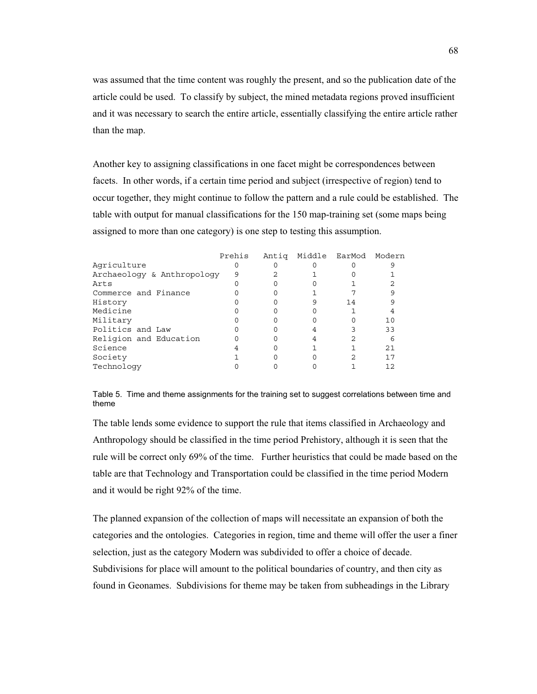was assumed that the time content was roughly the present, and so the publication date of the article could be used. To classify by subject, the mined metadata regions proved insufficient and it was necessary to search the entire article, essentially classifying the entire article rather than the map.

Another key to assigning classifications in one facet might be correspondences between facets. In other words, if a certain time period and subject (irrespective of region) tend to occur together, they might continue to follow the pattern and a rule could be established. The table with output for manual classifications for the 150 map-training set (some maps being assigned to more than one category) is one step to testing this assumption.

|                            | Prehis | Antiq Middle EarMod Modern |    |    |
|----------------------------|--------|----------------------------|----|----|
| Agriculture                |        |                            |    |    |
| Archaeology & Anthropology | 9      |                            |    |    |
| Arts                       |        |                            |    |    |
| Commerce and Finance       |        |                            |    |    |
| History                    |        |                            | 14 |    |
| Medicine                   |        |                            |    |    |
| Military                   |        |                            |    | 10 |
| Politics and Law           |        |                            |    | 33 |
| Religion and Education     |        |                            |    |    |
| Science                    |        |                            |    | 21 |
| Society                    |        |                            |    | 17 |
| Technology                 |        |                            |    | 12 |

Table 5. Time and theme assignments for the training set to suggest correlations between time and theme

The table lends some evidence to support the rule that items classified in Archaeology and Anthropology should be classified in the time period Prehistory, although it is seen that the rule will be correct only 69% of the time. Further heuristics that could be made based on the table are that Technology and Transportation could be classified in the time period Modern and it would be right 92% of the time.

The planned expansion of the collection of maps will necessitate an expansion of both the categories and the ontologies. Categories in region, time and theme will offer the user a finer selection, just as the category Modern was subdivided to offer a choice of decade. Subdivisions for place will amount to the political boundaries of country, and then city as found in Geonames. Subdivisions for theme may be taken from subheadings in the Library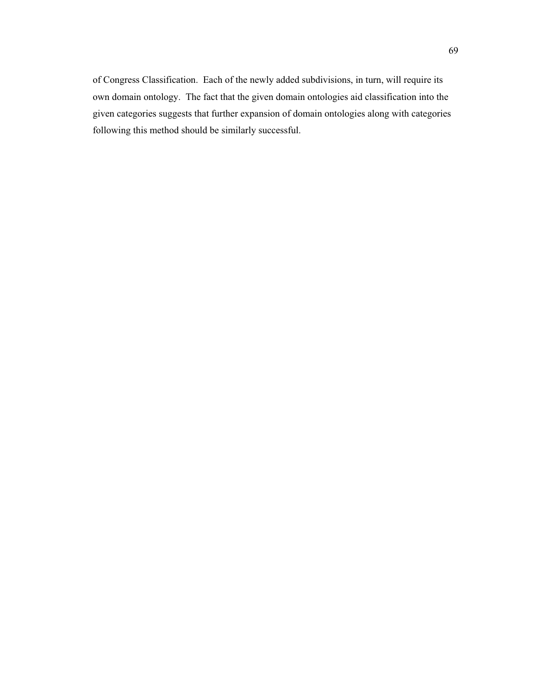of Congress Classification. Each of the newly added subdivisions, in turn, will require its own domain ontology. The fact that the given domain ontologies aid classification into the given categories suggests that further expansion of domain ontologies along with categories following this method should be similarly successful.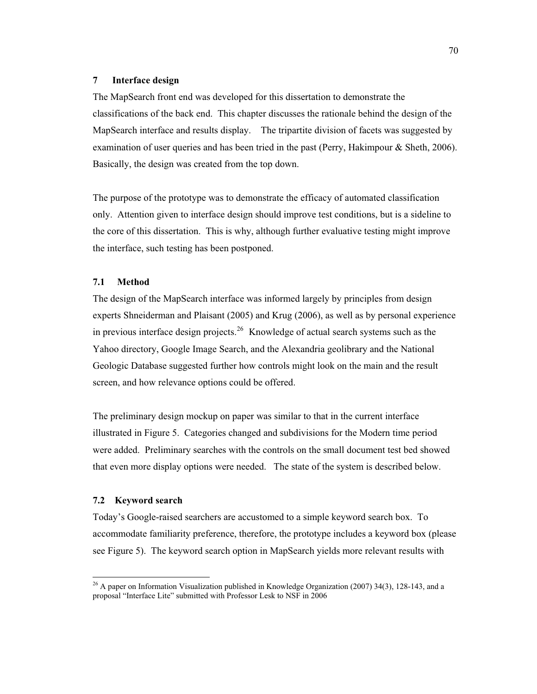#### **7 Interface design**

The MapSearch front end was developed for this dissertation to demonstrate the classifications of the back end. This chapter discusses the rationale behind the design of the MapSearch interface and results display. The tripartite division of facets was suggested by examination of user queries and has been tried in the past (Perry, Hakimpour & Sheth, 2006). Basically, the design was created from the top down.

The purpose of the prototype was to demonstrate the efficacy of automated classification only. Attention given to interface design should improve test conditions, but is a sideline to the core of this dissertation. This is why, although further evaluative testing might improve the interface, such testing has been postponed.

## **7.1 Method**

The design of the MapSearch interface was informed largely by principles from design experts Shneiderman and Plaisant (2005) and Krug (2006), as well as by personal experience in previous interface design projects.<sup>26</sup> Knowledge of actual search systems such as the Yahoo directory, Google Image Search, and the Alexandria geolibrary and the National Geologic Database suggested further how controls might look on the main and the result screen, and how relevance options could be offered.

The preliminary design mockup on paper was similar to that in the current interface illustrated in Figure 5. Categories changed and subdivisions for the Modern time period were added. Preliminary searches with the controls on the small document test bed showed that even more display options were needed. The state of the system is described below.

## **7.2 Keyword search**

 $\overline{a}$ 

Today's Google-raised searchers are accustomed to a simple keyword search box. To accommodate familiarity preference, therefore, the prototype includes a keyword box (please see Figure 5). The keyword search option in MapSearch yields more relevant results with

 $26$  A paper on Information Visualization published in Knowledge Organization (2007) 34(3), 128-143, and a proposal "Interface Lite" submitted with Professor Lesk to NSF in 2006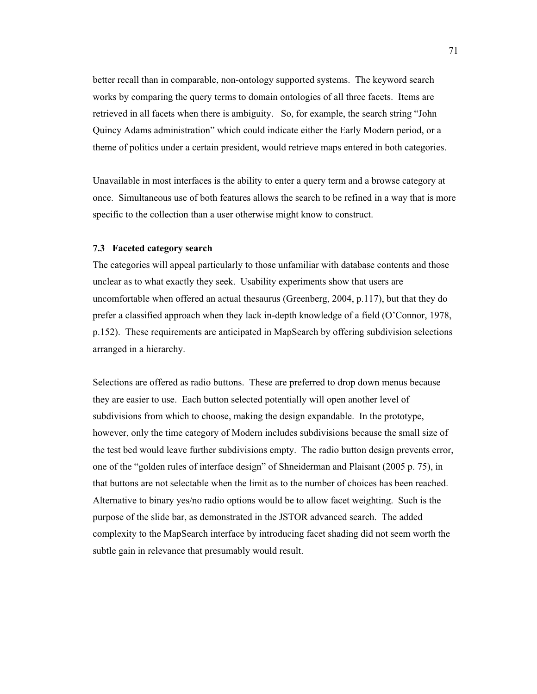better recall than in comparable, non-ontology supported systems. The keyword search works by comparing the query terms to domain ontologies of all three facets. Items are retrieved in all facets when there is ambiguity. So, for example, the search string "John Quincy Adams administration" which could indicate either the Early Modern period, or a theme of politics under a certain president, would retrieve maps entered in both categories.

Unavailable in most interfaces is the ability to enter a query term and a browse category at once. Simultaneous use of both features allows the search to be refined in a way that is more specific to the collection than a user otherwise might know to construct.

#### **7.3 Faceted category search**

The categories will appeal particularly to those unfamiliar with database contents and those unclear as to what exactly they seek. Usability experiments show that users are uncomfortable when offered an actual thesaurus (Greenberg, 2004, p.117), but that they do prefer a classified approach when they lack in-depth knowledge of a field (O'Connor, 1978, p.152). These requirements are anticipated in MapSearch by offering subdivision selections arranged in a hierarchy.

Selections are offered as radio buttons. These are preferred to drop down menus because they are easier to use. Each button selected potentially will open another level of subdivisions from which to choose, making the design expandable. In the prototype, however, only the time category of Modern includes subdivisions because the small size of the test bed would leave further subdivisions empty. The radio button design prevents error, one of the "golden rules of interface design" of Shneiderman and Plaisant (2005 p. 75), in that buttons are not selectable when the limit as to the number of choices has been reached. Alternative to binary yes/no radio options would be to allow facet weighting. Such is the purpose of the slide bar, as demonstrated in the JSTOR advanced search. The added complexity to the MapSearch interface by introducing facet shading did not seem worth the subtle gain in relevance that presumably would result.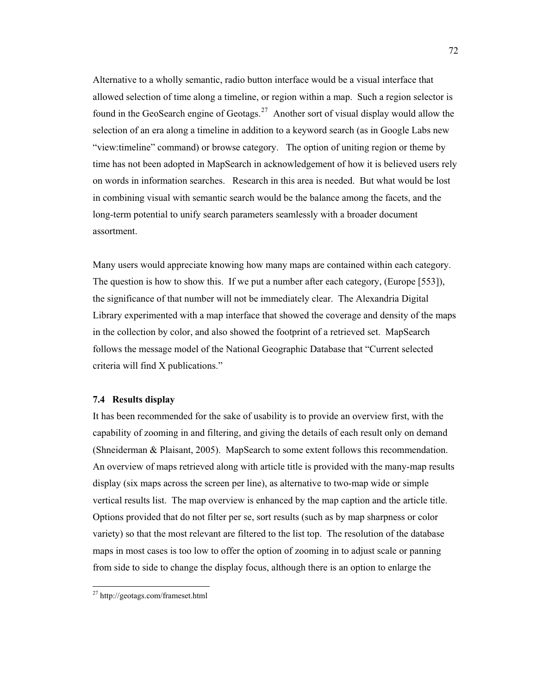Alternative to a wholly semantic, radio button interface would be a visual interface that allowed selection of time along a timeline, or region within a map. Such a region selector is found in the GeoSearch engine of Geotags.<sup>27</sup> Another sort of visual display would allow the selection of an era along a timeline in addition to a keyword search (as in Google Labs new "view:timeline" command) or browse category. The option of uniting region or theme by time has not been adopted in MapSearch in acknowledgement of how it is believed users rely on words in information searches. Research in this area is needed. But what would be lost in combining visual with semantic search would be the balance among the facets, and the long-term potential to unify search parameters seamlessly with a broader document assortment.

Many users would appreciate knowing how many maps are contained within each category. The question is how to show this. If we put a number after each category, (Europe [553]), the significance of that number will not be immediately clear. The Alexandria Digital Library experimented with a map interface that showed the coverage and density of the maps in the collection by color, and also showed the footprint of a retrieved set. MapSearch follows the message model of the National Geographic Database that "Current selected criteria will find X publications."

## **7.4 Results display**

It has been recommended for the sake of usability is to provide an overview first, with the capability of zooming in and filtering, and giving the details of each result only on demand (Shneiderman & Plaisant, 2005). MapSearch to some extent follows this recommendation. An overview of maps retrieved along with article title is provided with the many-map results display (six maps across the screen per line), as alternative to two-map wide or simple vertical results list. The map overview is enhanced by the map caption and the article title. Options provided that do not filter per se, sort results (such as by map sharpness or color variety) so that the most relevant are filtered to the list top. The resolution of the database maps in most cases is too low to offer the option of zooming in to adjust scale or panning from side to side to change the display focus, although there is an option to enlarge the

 $\ddot{\phantom{a}}$ 

<sup>&</sup>lt;sup>27</sup> http://geotags.com/frameset.html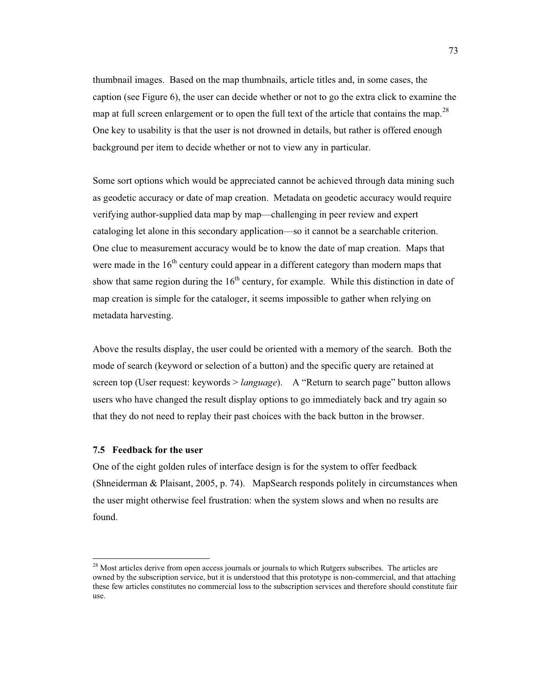thumbnail images. Based on the map thumbnails, article titles and, in some cases, the caption (see Figure 6), the user can decide whether or not to go the extra click to examine the map at full screen enlargement or to open the full text of the article that contains the map.<sup>28</sup> One key to usability is that the user is not drowned in details, but rather is offered enough background per item to decide whether or not to view any in particular.

Some sort options which would be appreciated cannot be achieved through data mining such as geodetic accuracy or date of map creation. Metadata on geodetic accuracy would require verifying author-supplied data map by map—challenging in peer review and expert cataloging let alone in this secondary application—so it cannot be a searchable criterion. One clue to measurement accuracy would be to know the date of map creation. Maps that were made in the  $16<sup>th</sup>$  century could appear in a different category than modern maps that show that same region during the  $16<sup>th</sup>$  century, for example. While this distinction in date of map creation is simple for the cataloger, it seems impossible to gather when relying on metadata harvesting.

Above the results display, the user could be oriented with a memory of the search. Both the mode of search (keyword or selection of a button) and the specific query are retained at screen top (User request: keywords > *language*). A "Return to search page" button allows users who have changed the result display options to go immediately back and try again so that they do not need to replay their past choices with the back button in the browser.

## **7.5 Feedback for the user**

 $\overline{a}$ 

One of the eight golden rules of interface design is for the system to offer feedback (Shneiderman & Plaisant, 2005, p. 74). MapSearch responds politely in circumstances when the user might otherwise feel frustration: when the system slows and when no results are found.

 $2<sup>8</sup>$  Most articles derive from open access journals or journals to which Rutgers subscribes. The articles are owned by the subscription service, but it is understood that this prototype is non-commercial, and that attaching these few articles constitutes no commercial loss to the subscription services and therefore should constitute fair use.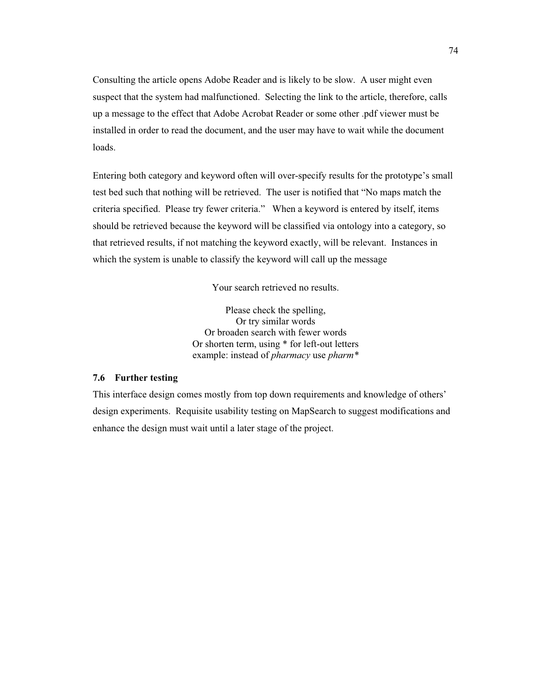Consulting the article opens Adobe Reader and is likely to be slow. A user might even suspect that the system had malfunctioned. Selecting the link to the article, therefore, calls up a message to the effect that Adobe Acrobat Reader or some other .pdf viewer must be installed in order to read the document, and the user may have to wait while the document loads.

Entering both category and keyword often will over-specify results for the prototype's small test bed such that nothing will be retrieved. The user is notified that "No maps match the criteria specified. Please try fewer criteria." When a keyword is entered by itself, items should be retrieved because the keyword will be classified via ontology into a category, so that retrieved results, if not matching the keyword exactly, will be relevant. Instances in which the system is unable to classify the keyword will call up the message

Your search retrieved no results.

Please check the spelling, Or try similar words Or broaden search with fewer words Or shorten term, using \* for left-out letters example: instead of *pharmacy* use *pharm\**

## **7.6 Further testing**

This interface design comes mostly from top down requirements and knowledge of others' design experiments. Requisite usability testing on MapSearch to suggest modifications and enhance the design must wait until a later stage of the project.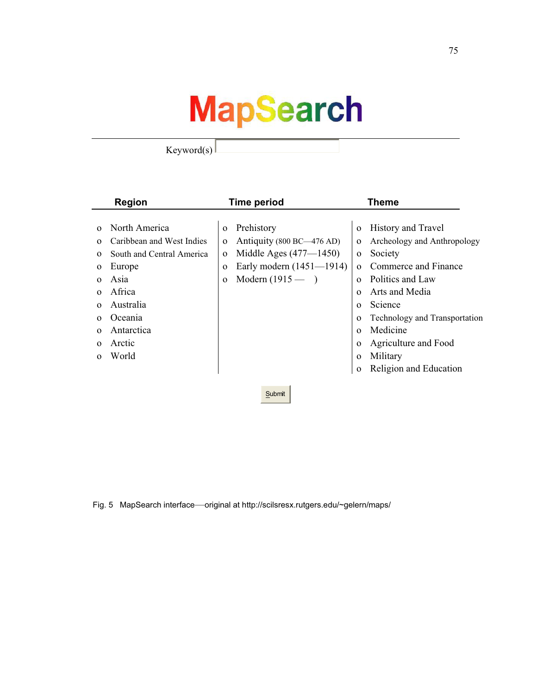# **MapSearch**

Keyword(s)

|          | <b>Region</b>             |              | <b>Time period</b>         |              | <b>Theme</b>                  |  |
|----------|---------------------------|--------------|----------------------------|--------------|-------------------------------|--|
|          |                           |              |                            |              |                               |  |
| $\Omega$ | North America             | $\mathbf{O}$ | Prehistory                 | $\Omega$     | <b>History and Travel</b>     |  |
| $\Omega$ | Caribbean and West Indies | $\Omega$     | Antiquity (800 BC—476 AD)  | $\mathbf{o}$ | Archeology and Anthropology   |  |
| $\Omega$ | South and Central America | $\Omega$     | Middle Ages $(477 - 1450)$ | $\mathbf{O}$ | Society                       |  |
|          | Europe                    | $\Omega$     | Early modern (1451—1914)   | $\Omega$     | Commerce and Finance          |  |
| $\Omega$ | Asia                      | $\Omega$     | Modern $(1915 - )$         | $\Omega$     | Politics and Law              |  |
|          | Africa                    |              |                            | $\Omega$     | Arts and Media                |  |
| $\Omega$ | Australia                 |              |                            | $\Omega$     | Science                       |  |
| $\Omega$ | Oceania                   |              |                            | $\Omega$     | Technology and Transportation |  |
|          | Antarctica                |              |                            | $\Omega$     | Medicine                      |  |
| $\Omega$ | Arctic                    |              |                            | $\Omega$     | Agriculture and Food          |  |
|          | World                     |              |                            | $\Omega$     | Military                      |  |
|          |                           |              |                            | $\Omega$     | Religion and Education        |  |
|          |                           |              |                            |              |                               |  |
|          | Submit                    |              |                            |              |                               |  |

Fig. 5 MapSearch interface—original at http://scilsresx.rutgers.edu/~gelern/maps/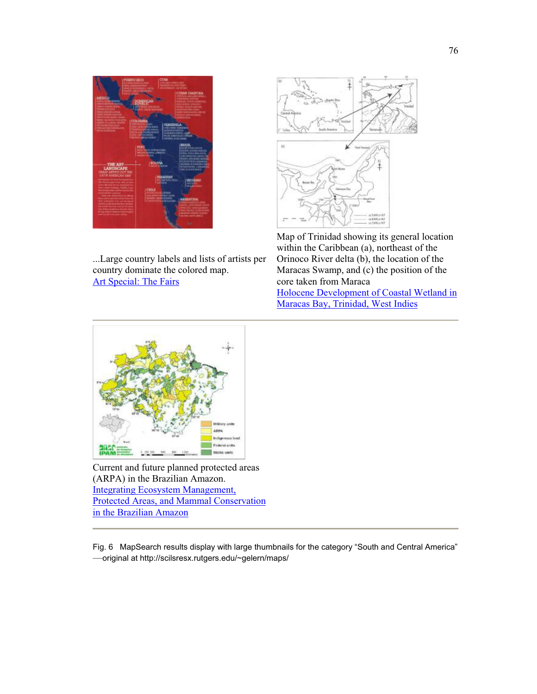

...Large country labels and lists of artists per country dominate the colored map. Art Special: The Fairs



Map of Trinidad showing its general location within the Caribbean (a), northeast of the Orinoco River delta (b), the location of the Maracas Swamp, and (c) the position of the core taken from Maraca Holocene Development of Coastal Wetland in Maracas Bay, Trinidad, West Indies



Current and future planned protected areas (ARPA) in the Brazilian Amazon. Integrating Ecosystem Management, Protected Areas, and Mammal Conservation in the Brazilian Amazon

Fig. 6 MapSearch results display with large thumbnails for the category "South and Central America" —original at http://scilsresx.rutgers.edu/~gelern/maps/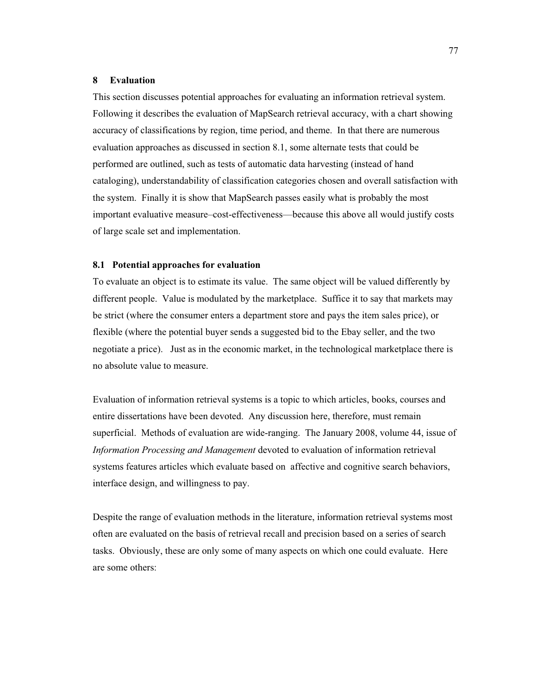#### **8 Evaluation**

This section discusses potential approaches for evaluating an information retrieval system. Following it describes the evaluation of MapSearch retrieval accuracy, with a chart showing accuracy of classifications by region, time period, and theme. In that there are numerous evaluation approaches as discussed in section 8.1, some alternate tests that could be performed are outlined, such as tests of automatic data harvesting (instead of hand cataloging), understandability of classification categories chosen and overall satisfaction with the system. Finally it is show that MapSearch passes easily what is probably the most important evaluative measure–cost-effectiveness—because this above all would justify costs of large scale set and implementation.

## **8.1 Potential approaches for evaluation**

To evaluate an object is to estimate its value. The same object will be valued differently by different people. Value is modulated by the marketplace. Suffice it to say that markets may be strict (where the consumer enters a department store and pays the item sales price), or flexible (where the potential buyer sends a suggested bid to the Ebay seller, and the two negotiate a price). Just as in the economic market, in the technological marketplace there is no absolute value to measure.

Evaluation of information retrieval systems is a topic to which articles, books, courses and entire dissertations have been devoted. Any discussion here, therefore, must remain superficial. Methods of evaluation are wide-ranging. The January 2008, volume 44, issue of *Information Processing and Management* devoted to evaluation of information retrieval systems features articles which evaluate based on affective and cognitive search behaviors, interface design, and willingness to pay.

Despite the range of evaluation methods in the literature, information retrieval systems most often are evaluated on the basis of retrieval recall and precision based on a series of search tasks. Obviously, these are only some of many aspects on which one could evaluate. Here are some others: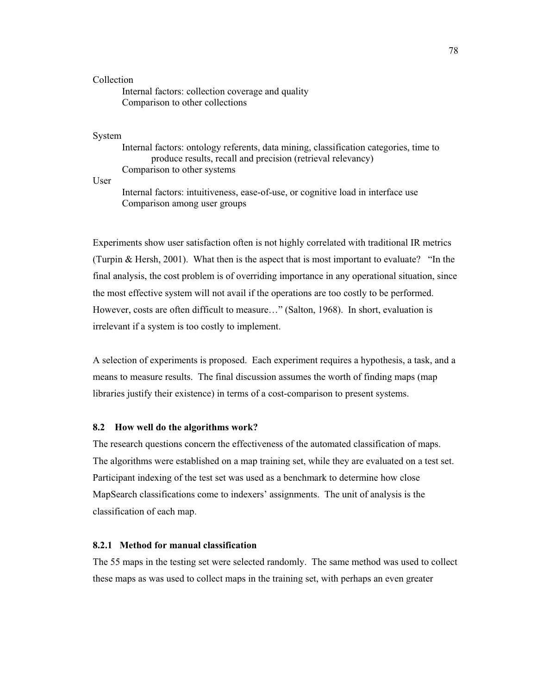## Collection

 Internal factors: collection coverage and quality Comparison to other collections

#### System

Internal factors: ontology referents, data mining, classification categories, time to produce results, recall and precision (retrieval relevancy) Comparison to other systems

User

 Internal factors: intuitiveness, ease-of-use, or cognitive load in interface use Comparison among user groups

Experiments show user satisfaction often is not highly correlated with traditional IR metrics (Turpin & Hersh, 2001). What then is the aspect that is most important to evaluate? "In the final analysis, the cost problem is of overriding importance in any operational situation, since the most effective system will not avail if the operations are too costly to be performed. However, costs are often difficult to measure…" (Salton, 1968). In short, evaluation is irrelevant if a system is too costly to implement.

A selection of experiments is proposed. Each experiment requires a hypothesis, a task, and a means to measure results. The final discussion assumes the worth of finding maps (map libraries justify their existence) in terms of a cost-comparison to present systems.

#### **8.2 How well do the algorithms work?**

The research questions concern the effectiveness of the automated classification of maps. The algorithms were established on a map training set, while they are evaluated on a test set. Participant indexing of the test set was used as a benchmark to determine how close MapSearch classifications come to indexers' assignments. The unit of analysis is the classification of each map.

## **8.2.1 Method for manual classification**

The 55 maps in the testing set were selected randomly. The same method was used to collect these maps as was used to collect maps in the training set, with perhaps an even greater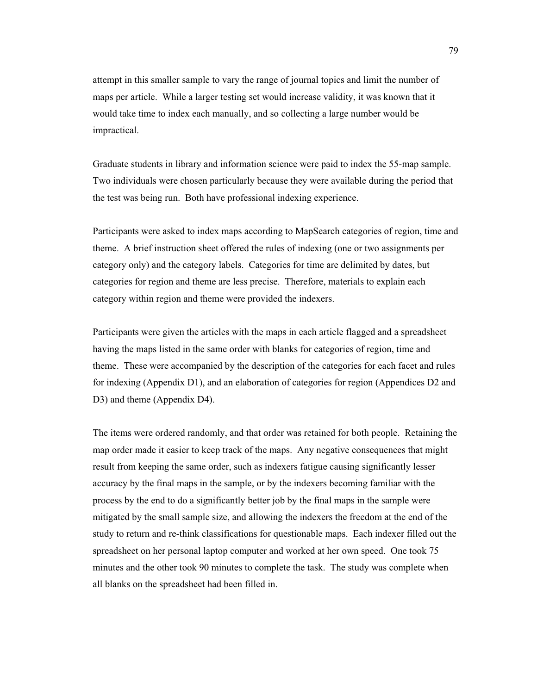attempt in this smaller sample to vary the range of journal topics and limit the number of maps per article. While a larger testing set would increase validity, it was known that it would take time to index each manually, and so collecting a large number would be impractical.

Graduate students in library and information science were paid to index the 55-map sample. Two individuals were chosen particularly because they were available during the period that the test was being run. Both have professional indexing experience.

Participants were asked to index maps according to MapSearch categories of region, time and theme. A brief instruction sheet offered the rules of indexing (one or two assignments per category only) and the category labels. Categories for time are delimited by dates, but categories for region and theme are less precise. Therefore, materials to explain each category within region and theme were provided the indexers.

Participants were given the articles with the maps in each article flagged and a spreadsheet having the maps listed in the same order with blanks for categories of region, time and theme. These were accompanied by the description of the categories for each facet and rules for indexing (Appendix D1), and an elaboration of categories for region (Appendices D2 and D3) and theme (Appendix D4).

The items were ordered randomly, and that order was retained for both people. Retaining the map order made it easier to keep track of the maps. Any negative consequences that might result from keeping the same order, such as indexers fatigue causing significantly lesser accuracy by the final maps in the sample, or by the indexers becoming familiar with the process by the end to do a significantly better job by the final maps in the sample were mitigated by the small sample size, and allowing the indexers the freedom at the end of the study to return and re-think classifications for questionable maps. Each indexer filled out the spreadsheet on her personal laptop computer and worked at her own speed. One took 75 minutes and the other took 90 minutes to complete the task. The study was complete when all blanks on the spreadsheet had been filled in.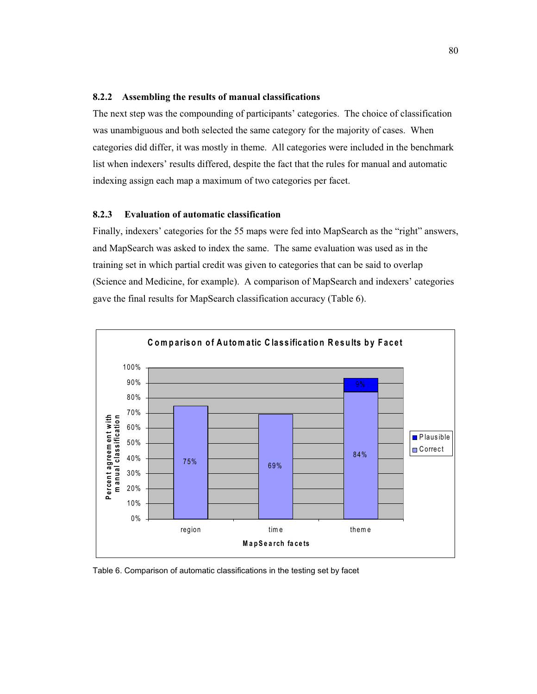## **8.2.2 Assembling the results of manual classifications**

The next step was the compounding of participants' categories. The choice of classification was unambiguous and both selected the same category for the majority of cases. When categories did differ, it was mostly in theme. All categories were included in the benchmark list when indexers' results differed, despite the fact that the rules for manual and automatic indexing assign each map a maximum of two categories per facet.

## **8.2.3 Evaluation of automatic classification**

Finally, indexers' categories for the 55 maps were fed into MapSearch as the "right" answers, and MapSearch was asked to index the same. The same evaluation was used as in the training set in which partial credit was given to categories that can be said to overlap (Science and Medicine, for example). A comparison of MapSearch and indexers' categories gave the final results for MapSearch classification accuracy (Table 6).



Table 6. Comparison of automatic classifications in the testing set by facet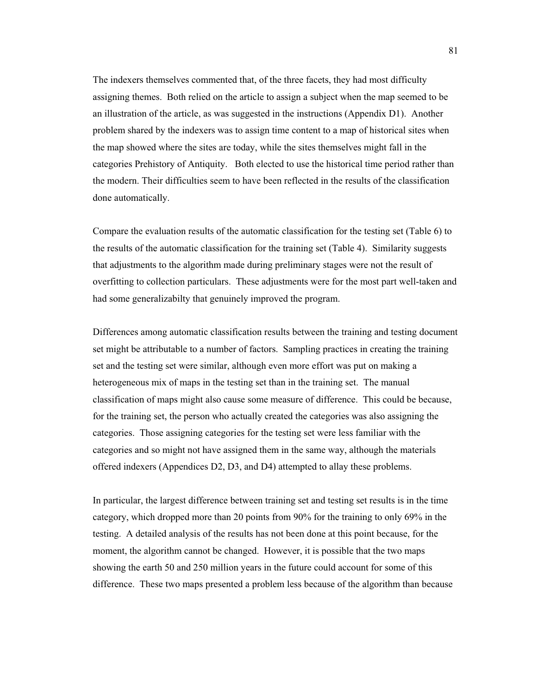The indexers themselves commented that, of the three facets, they had most difficulty assigning themes. Both relied on the article to assign a subject when the map seemed to be an illustration of the article, as was suggested in the instructions (Appendix D1). Another problem shared by the indexers was to assign time content to a map of historical sites when the map showed where the sites are today, while the sites themselves might fall in the categories Prehistory of Antiquity. Both elected to use the historical time period rather than the modern. Their difficulties seem to have been reflected in the results of the classification done automatically.

Compare the evaluation results of the automatic classification for the testing set (Table 6) to the results of the automatic classification for the training set (Table 4). Similarity suggests that adjustments to the algorithm made during preliminary stages were not the result of overfitting to collection particulars. These adjustments were for the most part well-taken and had some generalizabilty that genuinely improved the program.

Differences among automatic classification results between the training and testing document set might be attributable to a number of factors. Sampling practices in creating the training set and the testing set were similar, although even more effort was put on making a heterogeneous mix of maps in the testing set than in the training set. The manual classification of maps might also cause some measure of difference. This could be because, for the training set, the person who actually created the categories was also assigning the categories. Those assigning categories for the testing set were less familiar with the categories and so might not have assigned them in the same way, although the materials offered indexers (Appendices D2, D3, and D4) attempted to allay these problems.

In particular, the largest difference between training set and testing set results is in the time category, which dropped more than 20 points from 90% for the training to only 69% in the testing. A detailed analysis of the results has not been done at this point because, for the moment, the algorithm cannot be changed. However, it is possible that the two maps showing the earth 50 and 250 million years in the future could account for some of this difference. These two maps presented a problem less because of the algorithm than because

81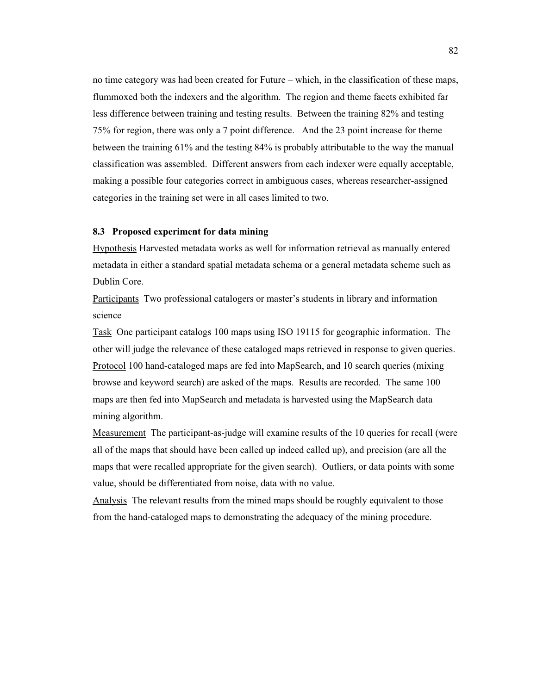no time category was had been created for Future – which, in the classification of these maps, flummoxed both the indexers and the algorithm. The region and theme facets exhibited far less difference between training and testing results. Between the training 82% and testing 75% for region, there was only a 7 point difference. And the 23 point increase for theme between the training 61% and the testing 84% is probably attributable to the way the manual classification was assembled. Different answers from each indexer were equally acceptable, making a possible four categories correct in ambiguous cases, whereas researcher-assigned categories in the training set were in all cases limited to two.

## **8.3 Proposed experiment for data mining**

Hypothesis Harvested metadata works as well for information retrieval as manually entered metadata in either a standard spatial metadata schema or a general metadata scheme such as Dublin Core.

Participants Two professional catalogers or master's students in library and information science

Task One participant catalogs 100 maps using ISO 19115 for geographic information. The other will judge the relevance of these cataloged maps retrieved in response to given queries. Protocol 100 hand-cataloged maps are fed into MapSearch, and 10 search queries (mixing browse and keyword search) are asked of the maps. Results are recorded. The same 100 maps are then fed into MapSearch and metadata is harvested using the MapSearch data mining algorithm.

Measurement The participant-as-judge will examine results of the 10 queries for recall (were all of the maps that should have been called up indeed called up), and precision (are all the maps that were recalled appropriate for the given search). Outliers, or data points with some value, should be differentiated from noise, data with no value.

Analysis The relevant results from the mined maps should be roughly equivalent to those from the hand-cataloged maps to demonstrating the adequacy of the mining procedure.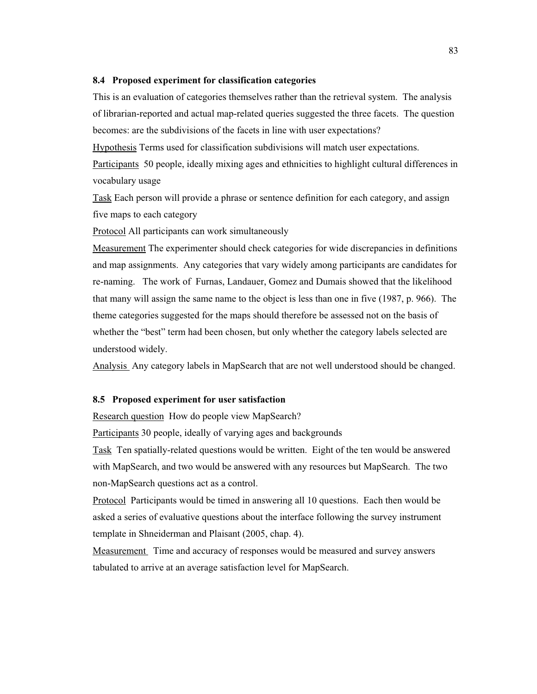#### **8.4 Proposed experiment for classification categories**

This is an evaluation of categories themselves rather than the retrieval system. The analysis of librarian-reported and actual map-related queries suggested the three facets. The question becomes: are the subdivisions of the facets in line with user expectations?

Hypothesis Terms used for classification subdivisions will match user expectations.

Participants 50 people, ideally mixing ages and ethnicities to highlight cultural differences in vocabulary usage

Task Each person will provide a phrase or sentence definition for each category, and assign five maps to each category

Protocol All participants can work simultaneously

Measurement The experimenter should check categories for wide discrepancies in definitions and map assignments. Any categories that vary widely among participants are candidates for re-naming. The work of Furnas, Landauer, Gomez and Dumais showed that the likelihood that many will assign the same name to the object is less than one in five (1987, p. 966). The theme categories suggested for the maps should therefore be assessed not on the basis of whether the "best" term had been chosen, but only whether the category labels selected are understood widely.

Analysis Any category labels in MapSearch that are not well understood should be changed.

## **8.5 Proposed experiment for user satisfaction**

Research question How do people view MapSearch?

Participants 30 people, ideally of varying ages and backgrounds

Task Ten spatially-related questions would be written. Eight of the ten would be answered with MapSearch, and two would be answered with any resources but MapSearch. The two non-MapSearch questions act as a control.

Protocol Participants would be timed in answering all 10 questions. Each then would be asked a series of evaluative questions about the interface following the survey instrument template in Shneiderman and Plaisant (2005, chap. 4).

Measurement Time and accuracy of responses would be measured and survey answers tabulated to arrive at an average satisfaction level for MapSearch.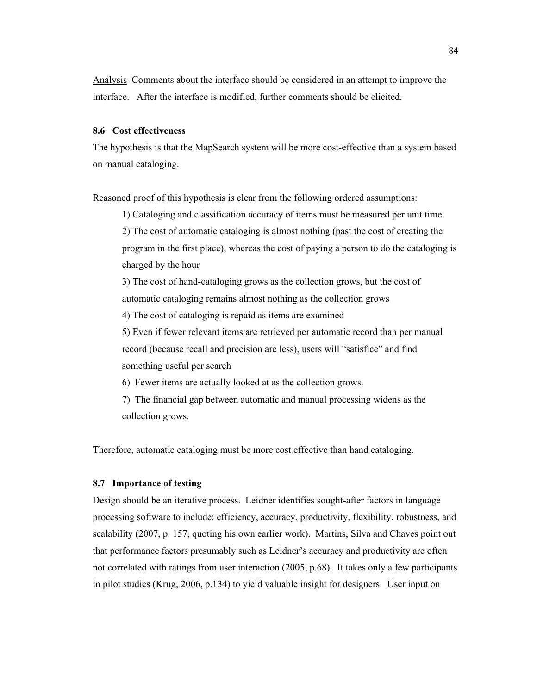Analysis Comments about the interface should be considered in an attempt to improve the interface. After the interface is modified, further comments should be elicited.

## **8.6 Cost effectiveness**

The hypothesis is that the MapSearch system will be more cost-effective than a system based on manual cataloging.

Reasoned proof of this hypothesis is clear from the following ordered assumptions:

1) Cataloging and classification accuracy of items must be measured per unit time.

2) The cost of automatic cataloging is almost nothing (past the cost of creating the program in the first place), whereas the cost of paying a person to do the cataloging is charged by the hour

3) The cost of hand-cataloging grows as the collection grows, but the cost of automatic cataloging remains almost nothing as the collection grows

4) The cost of cataloging is repaid as items are examined

5) Even if fewer relevant items are retrieved per automatic record than per manual record (because recall and precision are less), users will "satisfice" and find something useful per search

6) Fewer items are actually looked at as the collection grows.

7) The financial gap between automatic and manual processing widens as the collection grows.

Therefore, automatic cataloging must be more cost effective than hand cataloging.

## **8.7 Importance of testing**

Design should be an iterative process. Leidner identifies sought-after factors in language processing software to include: efficiency, accuracy, productivity, flexibility, robustness, and scalability (2007, p. 157, quoting his own earlier work). Martins, Silva and Chaves point out that performance factors presumably such as Leidner's accuracy and productivity are often not correlated with ratings from user interaction (2005, p.68). It takes only a few participants in pilot studies (Krug, 2006, p.134) to yield valuable insight for designers. User input on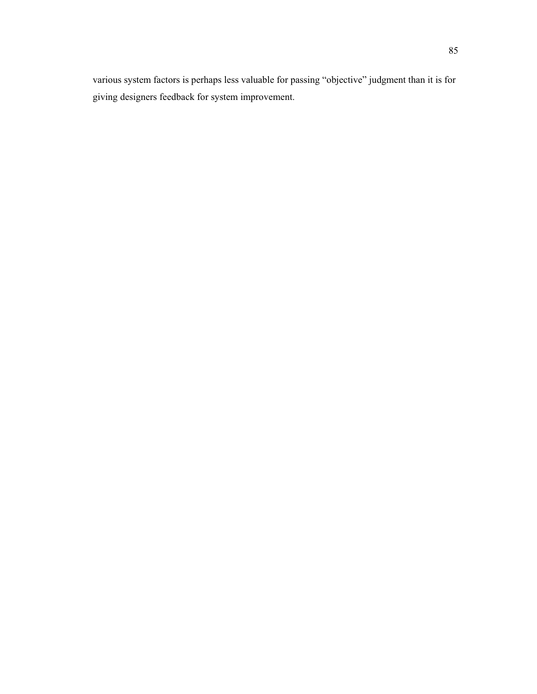various system factors is perhaps less valuable for passing "objective" judgment than it is for giving designers feedback for system improvement.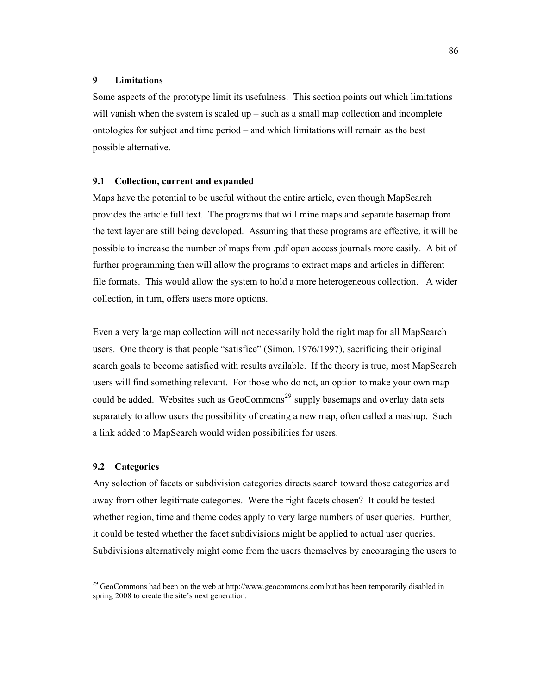#### **9 Limitations**

Some aspects of the prototype limit its usefulness. This section points out which limitations will vanish when the system is scaled  $up$  – such as a small map collection and incomplete ontologies for subject and time period – and which limitations will remain as the best possible alternative.

## **9.1 Collection, current and expanded**

Maps have the potential to be useful without the entire article, even though MapSearch provides the article full text. The programs that will mine maps and separate basemap from the text layer are still being developed. Assuming that these programs are effective, it will be possible to increase the number of maps from .pdf open access journals more easily. A bit of further programming then will allow the programs to extract maps and articles in different file formats. This would allow the system to hold a more heterogeneous collection. A wider collection, in turn, offers users more options.

Even a very large map collection will not necessarily hold the right map for all MapSearch users. One theory is that people "satisfice" (Simon, 1976/1997), sacrificing their original search goals to become satisfied with results available. If the theory is true, most MapSearch users will find something relevant. For those who do not, an option to make your own map could be added. Websites such as GeoCommons<sup>29</sup> supply basemaps and overlay data sets separately to allow users the possibility of creating a new map, often called a mashup. Such a link added to MapSearch would widen possibilities for users.

## **9.2 Categories**

 $\overline{a}$ 

Any selection of facets or subdivision categories directs search toward those categories and away from other legitimate categories. Were the right facets chosen? It could be tested whether region, time and theme codes apply to very large numbers of user queries. Further, it could be tested whether the facet subdivisions might be applied to actual user queries. Subdivisions alternatively might come from the users themselves by encouraging the users to

<sup>&</sup>lt;sup>29</sup> GeoCommons had been on the web at http://www.geocommons.com but has been temporarily disabled in spring 2008 to create the site's next generation.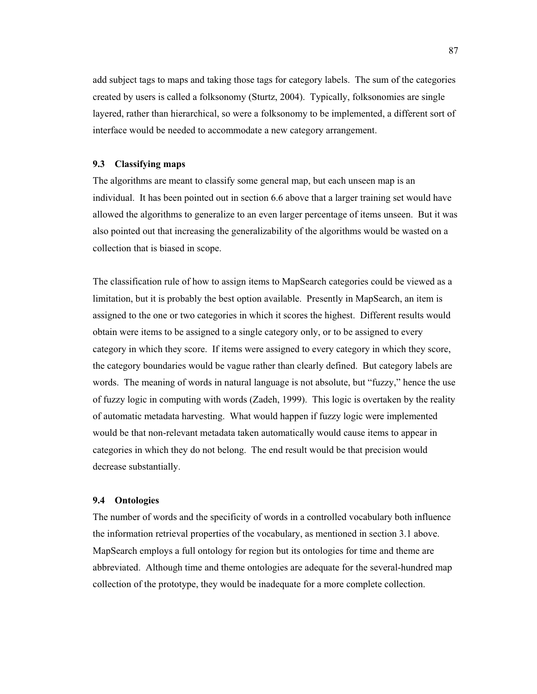add subject tags to maps and taking those tags for category labels. The sum of the categories created by users is called a folksonomy (Sturtz, 2004). Typically, folksonomies are single layered, rather than hierarchical, so were a folksonomy to be implemented, a different sort of interface would be needed to accommodate a new category arrangement.

## **9.3 Classifying maps**

The algorithms are meant to classify some general map, but each unseen map is an individual. It has been pointed out in section 6.6 above that a larger training set would have allowed the algorithms to generalize to an even larger percentage of items unseen. But it was also pointed out that increasing the generalizability of the algorithms would be wasted on a collection that is biased in scope.

The classification rule of how to assign items to MapSearch categories could be viewed as a limitation, but it is probably the best option available. Presently in MapSearch, an item is assigned to the one or two categories in which it scores the highest. Different results would obtain were items to be assigned to a single category only, or to be assigned to every category in which they score. If items were assigned to every category in which they score, the category boundaries would be vague rather than clearly defined. But category labels are words. The meaning of words in natural language is not absolute, but "fuzzy," hence the use of fuzzy logic in computing with words (Zadeh, 1999). This logic is overtaken by the reality of automatic metadata harvesting. What would happen if fuzzy logic were implemented would be that non-relevant metadata taken automatically would cause items to appear in categories in which they do not belong. The end result would be that precision would decrease substantially.

#### **9.4 Ontologies**

The number of words and the specificity of words in a controlled vocabulary both influence the information retrieval properties of the vocabulary, as mentioned in section 3.1 above. MapSearch employs a full ontology for region but its ontologies for time and theme are abbreviated. Although time and theme ontologies are adequate for the several-hundred map collection of the prototype, they would be inadequate for a more complete collection.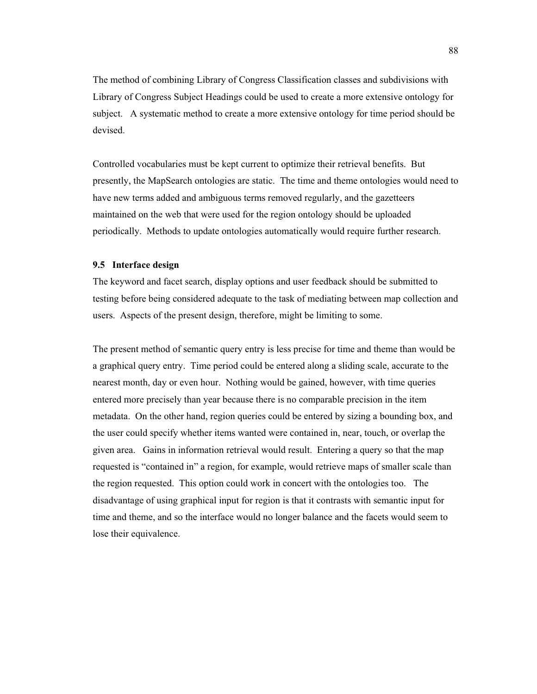The method of combining Library of Congress Classification classes and subdivisions with Library of Congress Subject Headings could be used to create a more extensive ontology for subject. A systematic method to create a more extensive ontology for time period should be devised.

Controlled vocabularies must be kept current to optimize their retrieval benefits. But presently, the MapSearch ontologies are static. The time and theme ontologies would need to have new terms added and ambiguous terms removed regularly, and the gazetteers maintained on the web that were used for the region ontology should be uploaded periodically. Methods to update ontologies automatically would require further research.

# **9.5 Interface design**

The keyword and facet search, display options and user feedback should be submitted to testing before being considered adequate to the task of mediating between map collection and users. Aspects of the present design, therefore, might be limiting to some.

The present method of semantic query entry is less precise for time and theme than would be a graphical query entry. Time period could be entered along a sliding scale, accurate to the nearest month, day or even hour. Nothing would be gained, however, with time queries entered more precisely than year because there is no comparable precision in the item metadata. On the other hand, region queries could be entered by sizing a bounding box, and the user could specify whether items wanted were contained in, near, touch, or overlap the given area. Gains in information retrieval would result. Entering a query so that the map requested is "contained in" a region, for example, would retrieve maps of smaller scale than the region requested. This option could work in concert with the ontologies too. The disadvantage of using graphical input for region is that it contrasts with semantic input for time and theme, and so the interface would no longer balance and the facets would seem to lose their equivalence.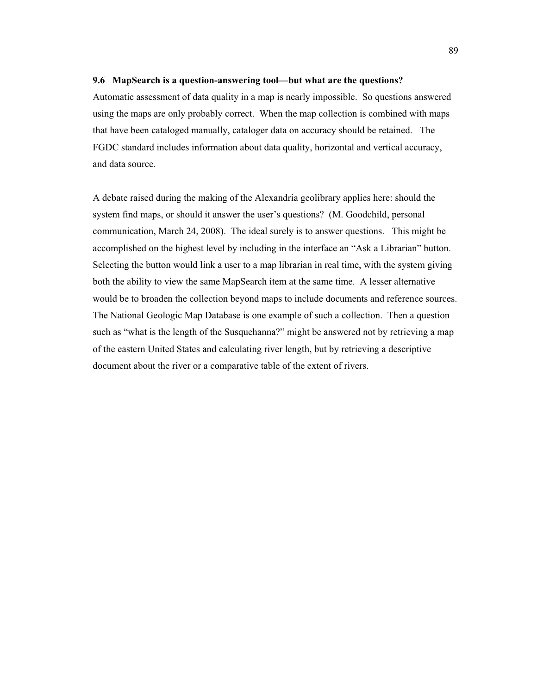#### **9.6 MapSearch is a question-answering tool—but what are the questions?**

Automatic assessment of data quality in a map is nearly impossible. So questions answered using the maps are only probably correct. When the map collection is combined with maps that have been cataloged manually, cataloger data on accuracy should be retained. The FGDC standard includes information about data quality, horizontal and vertical accuracy, and data source.

A debate raised during the making of the Alexandria geolibrary applies here: should the system find maps, or should it answer the user's questions? (M. Goodchild, personal communication, March 24, 2008). The ideal surely is to answer questions. This might be accomplished on the highest level by including in the interface an "Ask a Librarian" button. Selecting the button would link a user to a map librarian in real time, with the system giving both the ability to view the same MapSearch item at the same time. A lesser alternative would be to broaden the collection beyond maps to include documents and reference sources. The National Geologic Map Database is one example of such a collection. Then a question such as "what is the length of the Susquehanna?" might be answered not by retrieving a map of the eastern United States and calculating river length, but by retrieving a descriptive document about the river or a comparative table of the extent of rivers.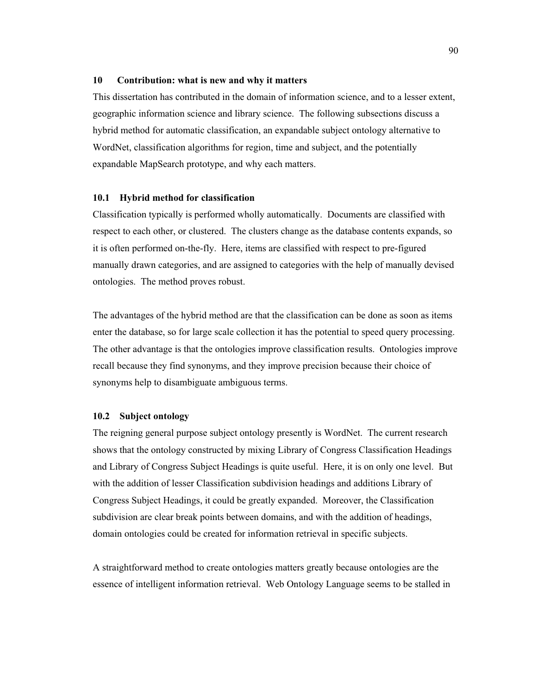#### **10 Contribution: what is new and why it matters**

This dissertation has contributed in the domain of information science, and to a lesser extent, geographic information science and library science. The following subsections discuss a hybrid method for automatic classification, an expandable subject ontology alternative to WordNet, classification algorithms for region, time and subject, and the potentially expandable MapSearch prototype, and why each matters.

#### **10.1 Hybrid method for classification**

Classification typically is performed wholly automatically. Documents are classified with respect to each other, or clustered. The clusters change as the database contents expands, so it is often performed on-the-fly. Here, items are classified with respect to pre-figured manually drawn categories, and are assigned to categories with the help of manually devised ontologies. The method proves robust.

The advantages of the hybrid method are that the classification can be done as soon as items enter the database, so for large scale collection it has the potential to speed query processing. The other advantage is that the ontologies improve classification results. Ontologies improve recall because they find synonyms, and they improve precision because their choice of synonyms help to disambiguate ambiguous terms.

## **10.2 Subject ontology**

The reigning general purpose subject ontology presently is WordNet. The current research shows that the ontology constructed by mixing Library of Congress Classification Headings and Library of Congress Subject Headings is quite useful. Here, it is on only one level. But with the addition of lesser Classification subdivision headings and additions Library of Congress Subject Headings, it could be greatly expanded. Moreover, the Classification subdivision are clear break points between domains, and with the addition of headings, domain ontologies could be created for information retrieval in specific subjects.

A straightforward method to create ontologies matters greatly because ontologies are the essence of intelligent information retrieval. Web Ontology Language seems to be stalled in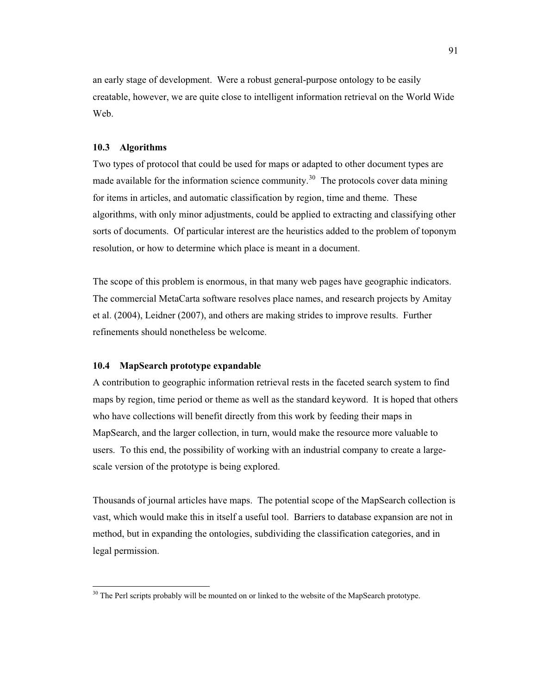an early stage of development. Were a robust general-purpose ontology to be easily creatable, however, we are quite close to intelligent information retrieval on the World Wide Web.

## **10.3 Algorithms**

 $\ddot{\phantom{a}}$ 

Two types of protocol that could be used for maps or adapted to other document types are made available for the information science community.<sup>30</sup> The protocols cover data mining for items in articles, and automatic classification by region, time and theme. These algorithms, with only minor adjustments, could be applied to extracting and classifying other sorts of documents. Of particular interest are the heuristics added to the problem of toponym resolution, or how to determine which place is meant in a document.

The scope of this problem is enormous, in that many web pages have geographic indicators. The commercial MetaCarta software resolves place names, and research projects by Amitay et al. (2004), Leidner (2007), and others are making strides to improve results. Further refinements should nonetheless be welcome.

# **10.4 MapSearch prototype expandable**

A contribution to geographic information retrieval rests in the faceted search system to find maps by region, time period or theme as well as the standard keyword. It is hoped that others who have collections will benefit directly from this work by feeding their maps in MapSearch, and the larger collection, in turn, would make the resource more valuable to users. To this end, the possibility of working with an industrial company to create a largescale version of the prototype is being explored.

Thousands of journal articles have maps. The potential scope of the MapSearch collection is vast, which would make this in itself a useful tool. Barriers to database expansion are not in method, but in expanding the ontologies, subdividing the classification categories, and in legal permission.

 $30$  The Perl scripts probably will be mounted on or linked to the website of the MapSearch prototype.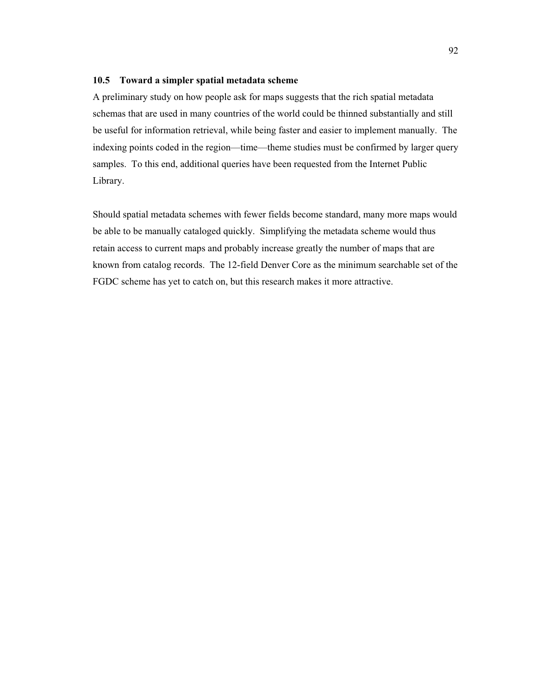## **10.5 Toward a simpler spatial metadata scheme**

A preliminary study on how people ask for maps suggests that the rich spatial metadata schemas that are used in many countries of the world could be thinned substantially and still be useful for information retrieval, while being faster and easier to implement manually. The indexing points coded in the region—time—theme studies must be confirmed by larger query samples. To this end, additional queries have been requested from the Internet Public Library.

Should spatial metadata schemes with fewer fields become standard, many more maps would be able to be manually cataloged quickly. Simplifying the metadata scheme would thus retain access to current maps and probably increase greatly the number of maps that are known from catalog records. The 12-field Denver Core as the minimum searchable set of the FGDC scheme has yet to catch on, but this research makes it more attractive.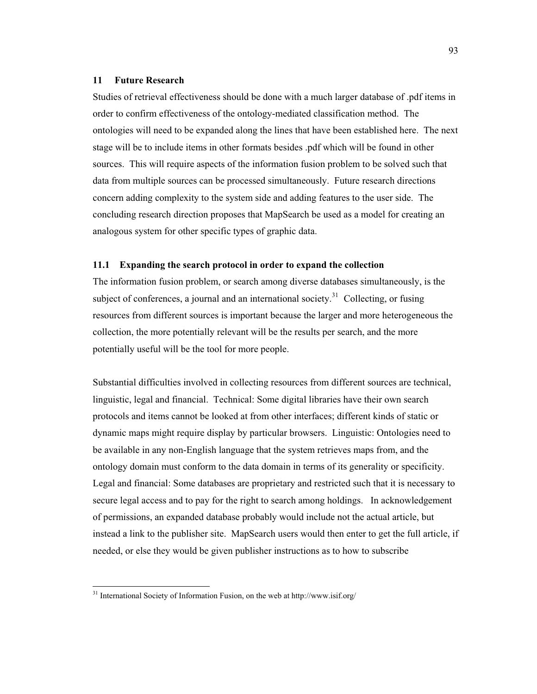#### **11 Future Research**

Studies of retrieval effectiveness should be done with a much larger database of .pdf items in order to confirm effectiveness of the ontology-mediated classification method. The ontologies will need to be expanded along the lines that have been established here. The next stage will be to include items in other formats besides .pdf which will be found in other sources. This will require aspects of the information fusion problem to be solved such that data from multiple sources can be processed simultaneously. Future research directions concern adding complexity to the system side and adding features to the user side. The concluding research direction proposes that MapSearch be used as a model for creating an analogous system for other specific types of graphic data.

## **11.1 Expanding the search protocol in order to expand the collection**

The information fusion problem, or search among diverse databases simultaneously, is the subject of conferences, a journal and an international society.<sup>31</sup> Collecting, or fusing resources from different sources is important because the larger and more heterogeneous the collection, the more potentially relevant will be the results per search, and the more potentially useful will be the tool for more people.

Substantial difficulties involved in collecting resources from different sources are technical, linguistic, legal and financial. Technical: Some digital libraries have their own search protocols and items cannot be looked at from other interfaces; different kinds of static or dynamic maps might require display by particular browsers. Linguistic: Ontologies need to be available in any non-English language that the system retrieves maps from, and the ontology domain must conform to the data domain in terms of its generality or specificity. Legal and financial: Some databases are proprietary and restricted such that it is necessary to secure legal access and to pay for the right to search among holdings. In acknowledgement of permissions, an expanded database probably would include not the actual article, but instead a link to the publisher site. MapSearch users would then enter to get the full article, if needed, or else they would be given publisher instructions as to how to subscribe

 $\ddot{\phantom{a}}$ 

<sup>&</sup>lt;sup>31</sup> International Society of Information Fusion, on the web at http://www.isif.org/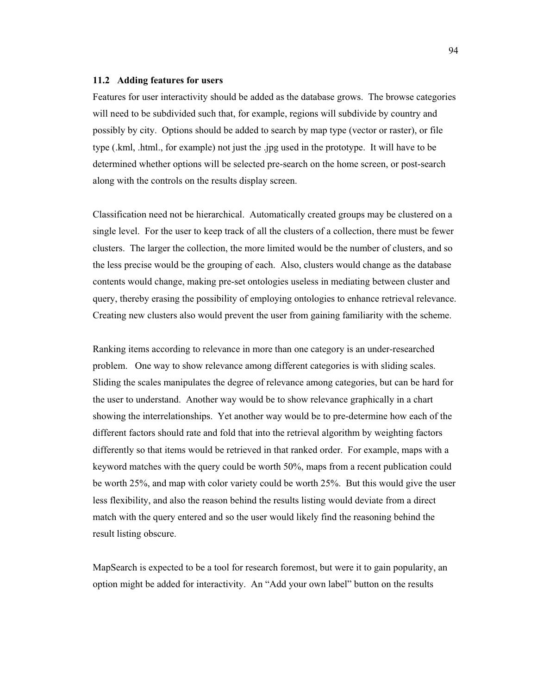#### **11.2 Adding features for users**

Features for user interactivity should be added as the database grows. The browse categories will need to be subdivided such that, for example, regions will subdivide by country and possibly by city. Options should be added to search by map type (vector or raster), or file type (.kml, .html., for example) not just the .jpg used in the prototype. It will have to be determined whether options will be selected pre-search on the home screen, or post-search along with the controls on the results display screen.

Classification need not be hierarchical. Automatically created groups may be clustered on a single level. For the user to keep track of all the clusters of a collection, there must be fewer clusters. The larger the collection, the more limited would be the number of clusters, and so the less precise would be the grouping of each. Also, clusters would change as the database contents would change, making pre-set ontologies useless in mediating between cluster and query, thereby erasing the possibility of employing ontologies to enhance retrieval relevance. Creating new clusters also would prevent the user from gaining familiarity with the scheme.

Ranking items according to relevance in more than one category is an under-researched problem. One way to show relevance among different categories is with sliding scales. Sliding the scales manipulates the degree of relevance among categories, but can be hard for the user to understand. Another way would be to show relevance graphically in a chart showing the interrelationships. Yet another way would be to pre-determine how each of the different factors should rate and fold that into the retrieval algorithm by weighting factors differently so that items would be retrieved in that ranked order. For example, maps with a keyword matches with the query could be worth 50%, maps from a recent publication could be worth 25%, and map with color variety could be worth 25%. But this would give the user less flexibility, and also the reason behind the results listing would deviate from a direct match with the query entered and so the user would likely find the reasoning behind the result listing obscure.

MapSearch is expected to be a tool for research foremost, but were it to gain popularity, an option might be added for interactivity. An "Add your own label" button on the results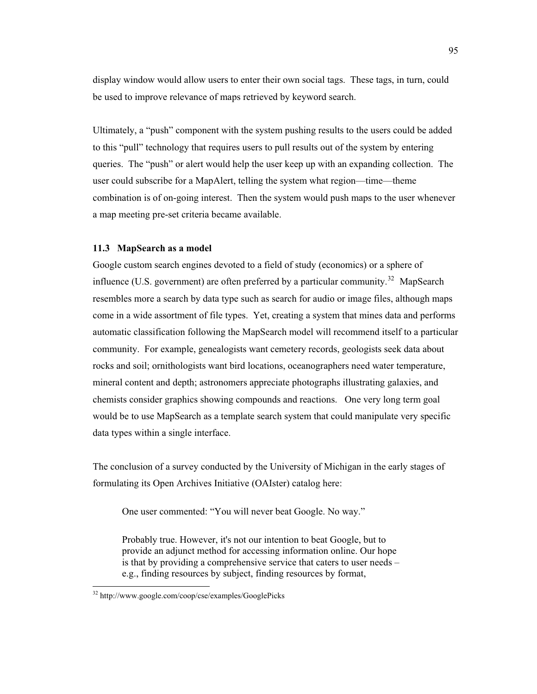display window would allow users to enter their own social tags. These tags, in turn, could be used to improve relevance of maps retrieved by keyword search.

Ultimately, a "push" component with the system pushing results to the users could be added to this "pull" technology that requires users to pull results out of the system by entering queries. The "push" or alert would help the user keep up with an expanding collection. The user could subscribe for a MapAlert, telling the system what region—time—theme combination is of on-going interest. Then the system would push maps to the user whenever a map meeting pre-set criteria became available.

## **11.3 MapSearch as a model**

Google custom search engines devoted to a field of study (economics) or a sphere of influence (U.S. government) are often preferred by a particular community.<sup>32</sup> MapSearch resembles more a search by data type such as search for audio or image files, although maps come in a wide assortment of file types. Yet, creating a system that mines data and performs automatic classification following the MapSearch model will recommend itself to a particular community. For example, genealogists want cemetery records, geologists seek data about rocks and soil; ornithologists want bird locations, oceanographers need water temperature, mineral content and depth; astronomers appreciate photographs illustrating galaxies, and chemists consider graphics showing compounds and reactions. One very long term goal would be to use MapSearch as a template search system that could manipulate very specific data types within a single interface.

The conclusion of a survey conducted by the University of Michigan in the early stages of formulating its Open Archives Initiative (OAIster) catalog here:

One user commented: "You will never beat Google. No way."

Probably true. However, it's not our intention to beat Google, but to provide an adjunct method for accessing information online. Our hope is that by providing a comprehensive service that caters to user needs – e.g., finding resources by subject, finding resources by format,

 $\ddot{\phantom{a}}$ 

<sup>&</sup>lt;sup>32</sup> http://www.google.com/coop/cse/examples/GooglePicks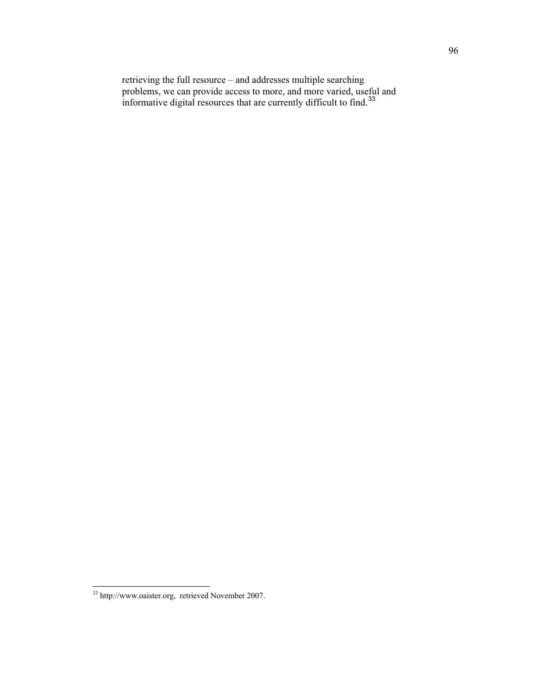retrieving the full resource – and addresses multiple searching problems, we can provide access to more, and more varied, useful and informative digital resources that are currently difficult to find.<sup>33</sup>

 $\ddot{\phantom{a}}$  $33$  http://www.oaister.org, retrieved November 2007.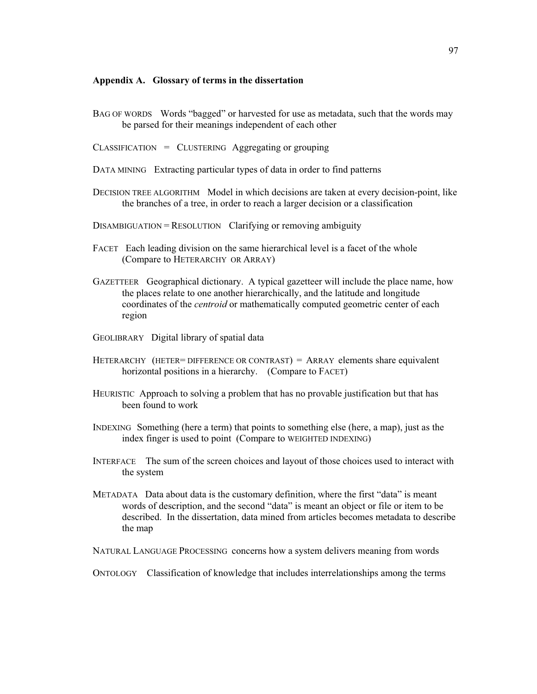#### **Appendix A. Glossary of terms in the dissertation**

- BAG OF WORDS Words "bagged" or harvested for use as metadata, such that the words may be parsed for their meanings independent of each other
- $CLASSIFICATION = CLUSTERING Aggregationg or grouping$
- DATA MINING Extracting particular types of data in order to find patterns
- DECISION TREE ALGORITHM Model in which decisions are taken at every decision-point, like the branches of a tree, in order to reach a larger decision or a classification
- $DISAMBIGUATION = RESOLUTION$  Clarifying or removing ambiguity
- FACET Each leading division on the same hierarchical level is a facet of the whole (Compare to HETERARCHY OR ARRAY)
- GAZETTEER Geographical dictionary. A typical gazetteer will include the place name, how the places relate to one another hierarchically, and the latitude and longitude coordinates of the *centroid* or mathematically computed geometric center of each region
- GEOLIBRARY Digital library of spatial data
- HETERARCHY (HETER= DIFFERENCE OR CONTRAST) = ARRAY elements share equivalent horizontal positions in a hierarchy. (Compare to FACET)
- HEURISTIC Approach to solving a problem that has no provable justification but that has been found to work
- INDEXING Something (here a term) that points to something else (here, a map), just as the index finger is used to point (Compare to WEIGHTED INDEXING)
- INTERFACE The sum of the screen choices and layout of those choices used to interact with the system
- METADATA Data about data is the customary definition, where the first "data" is meant words of description, and the second "data" is meant an object or file or item to be described. In the dissertation, data mined from articles becomes metadata to describe the map
- NATURAL LANGUAGE PROCESSING concerns how a system delivers meaning from words

ONTOLOGY Classification of knowledge that includes interrelationships among the terms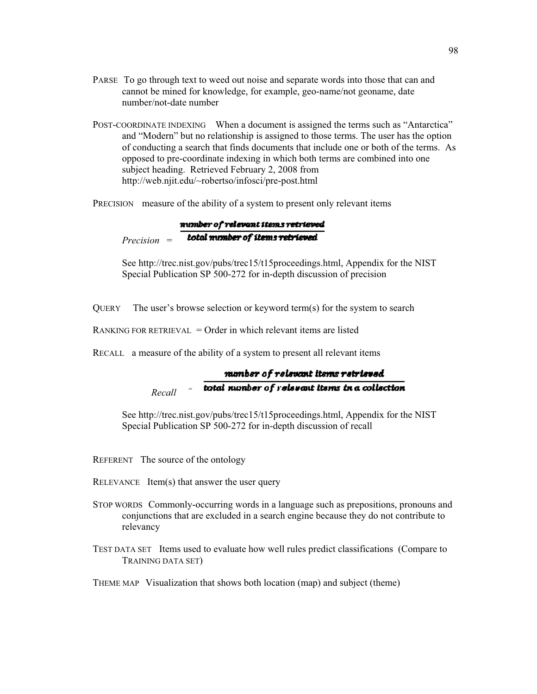- PARSE To go through text to weed out noise and separate words into those that can and cannot be mined for knowledge, for example, geo-name/not geoname, date number/not-date number
- POST-COORDINATE INDEXING When a document is assigned the terms such as "Antarctica" and "Modern" but no relationship is assigned to those terms. The user has the option of conducting a search that finds documents that include one or both of the terms. As opposed to pre-coordinate indexing in which both terms are combined into one subject heading. Retrieved February 2, 2008 from http://web.njit.edu/~robertso/infosci/pre-post.html

PRECISION measure of the ability of a system to present only relevant items

number of relevant items retrieved total mimber of items retrieved *Precision* =

See http://trec.nist.gov/pubs/trec15/t15proceedings.html, Appendix for the NIST Special Publication SP 500-272 for in-depth discussion of precision

QUERY The user's browse selection or keyword term(s) for the system to search

RANKING FOR RETRIEVAL  $=$  Order in which relevant items are listed

RECALL a measure of the ability of a system to present all relevant items

#### manber of relevant items retrieved total number of relevant items in a collection *Recall*<sup>=</sup>

See http://trec.nist.gov/pubs/trec15/t15proceedings.html, Appendix for the NIST Special Publication SP 500-272 for in-depth discussion of recall

- REFERENT The source of the ontology
- RELEVANCE  $Item(s)$  that answer the user query
- STOP WORDS Commonly-occurring words in a language such as prepositions, pronouns and conjunctions that are excluded in a search engine because they do not contribute to relevancy
- TEST DATA SET Items used to evaluate how well rules predict classifications (Compare to TRAINING DATA SET)

THEME MAP Visualization that shows both location (map) and subject (theme)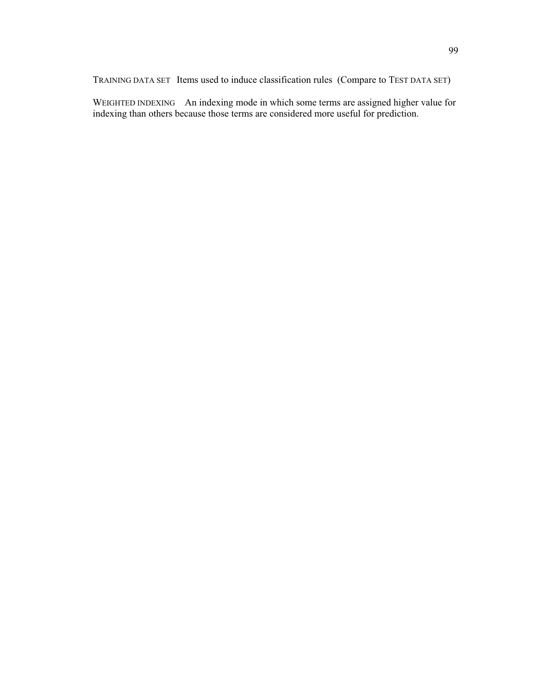TRAINING DATA SET Items used to induce classification rules (Compare to TEST DATA SET)

WEIGHTED INDEXING An indexing mode in which some terms are assigned higher value for indexing than others because those terms are considered more useful for prediction.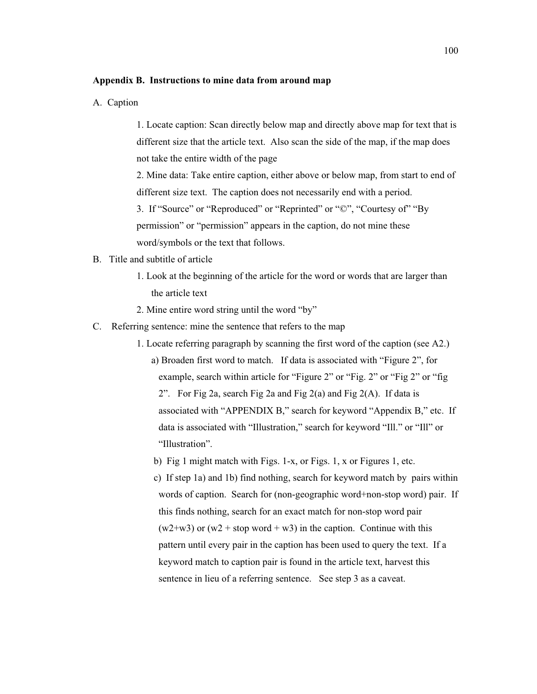## **Appendix B. Instructions to mine data from around map**

A. Caption

1. Locate caption: Scan directly below map and directly above map for text that is different size that the article text. Also scan the side of the map, if the map does not take the entire width of the page

2. Mine data: Take entire caption, either above or below map, from start to end of different size text. The caption does not necessarily end with a period.

3. If "Source" or "Reproduced" or "Reprinted" or "©", "Courtesy of" "By permission" or "permission" appears in the caption, do not mine these word/symbols or the text that follows.

- B. Title and subtitle of article
	- 1. Look at the beginning of the article for the word or words that are larger than the article text
	- 2. Mine entire word string until the word "by"
- C. Referring sentence: mine the sentence that refers to the map
	- 1. Locate referring paragraph by scanning the first word of the caption (see A2.) a) Broaden first word to match. If data is associated with "Figure 2", for example, search within article for "Figure 2" or "Fig. 2" or "Fig 2" or "fig 2". For Fig 2a, search Fig 2a and Fig 2(a) and Fig 2(A). If data is associated with "APPENDIX B," search for keyword "Appendix B," etc. If data is associated with "Illustration," search for keyword "Ill." or "Ill" or "Illustration".
		- b) Fig 1 might match with Figs. 1-x, or Figs. 1, x or Figures 1, etc.

 c) If step 1a) and 1b) find nothing, search for keyword match by pairs within words of caption. Search for (non-geographic word+non-stop word) pair. If this finds nothing, search for an exact match for non-stop word pair  $(w2+w3)$  or  $(w2 + stop word + w3)$  in the caption. Continue with this pattern until every pair in the caption has been used to query the text. If a keyword match to caption pair is found in the article text, harvest this sentence in lieu of a referring sentence. See step 3 as a caveat.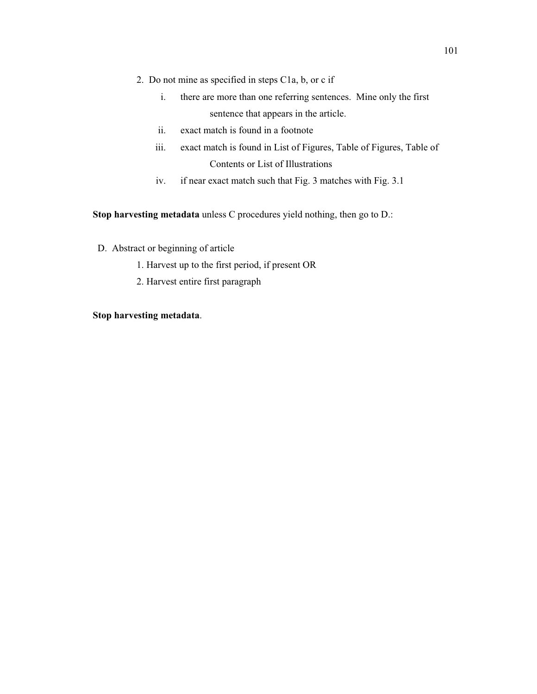- 2. Do not mine as specified in steps C1a, b, or c if
	- i. there are more than one referring sentences. Mine only the first sentence that appears in the article.
	- ii. exact match is found in a footnote
	- iii. exact match is found in List of Figures, Table of Figures, Table of Contents or List of Illustrations
	- iv. if near exact match such that Fig. 3 matches with Fig. 3.1

**Stop harvesting metadata** unless C procedures yield nothing, then go to D.:

- D. Abstract or beginning of article
	- 1. Harvest up to the first period, if present OR
	- 2. Harvest entire first paragraph

# **Stop harvesting metadata**.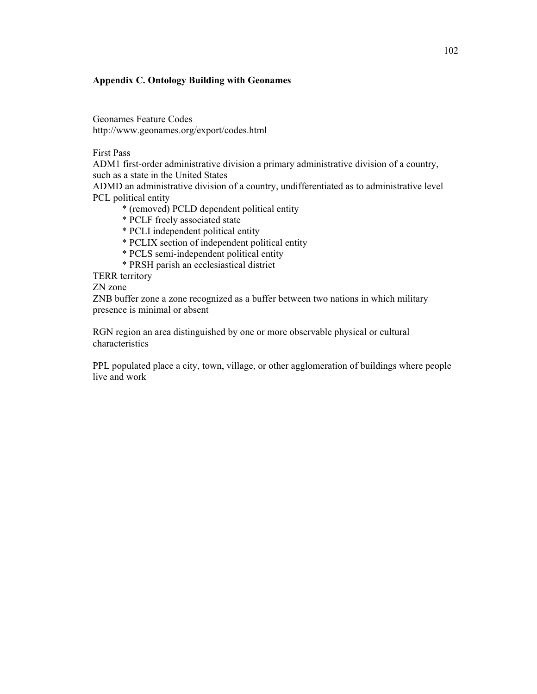# **Appendix C. Ontology Building with Geonames**

Geonames Feature Codes http://www.geonames.org/export/codes.html

First Pass

ADM1 first-order administrative division a primary administrative division of a country, such as a state in the United States

ADMD an administrative division of a country, undifferentiated as to administrative level PCL political entity

\* (removed) PCLD dependent political entity

- \* PCLF freely associated state
- \* PCLI independent political entity
- \* PCLIX section of independent political entity
- \* PCLS semi-independent political entity
- \* PRSH parish an ecclesiastical district

TERR territory

ZN zone

ZNB buffer zone a zone recognized as a buffer between two nations in which military presence is minimal or absent

RGN region an area distinguished by one or more observable physical or cultural characteristics

PPL populated place a city, town, village, or other agglomeration of buildings where people live and work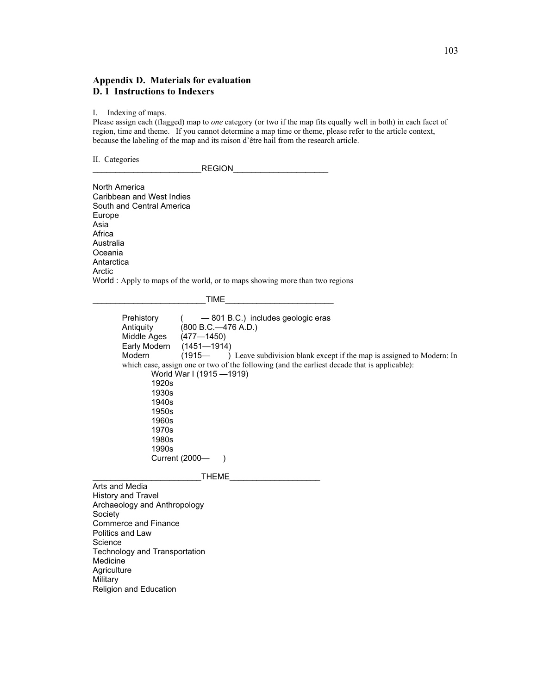# **Appendix D. Materials for evaluation D. 1 Instructions to Indexers**

I. Indexing of maps.

Please assign each (flagged) map to *one* category (or two if the map fits equally well in both) in each facet of region, time and theme. If you cannot determine a map time or theme, please refer to the article context, because the labeling of the map and its raison d'être hail from the research article.

II. Categories

\_\_\_\_\_\_\_\_\_\_\_\_\_\_\_\_\_\_\_\_\_\_\_\_REGION\_\_\_\_\_\_\_\_\_\_\_\_\_\_\_\_\_\_\_\_\_

North America Caribbean and West Indies South and Central America Europe Asia Africa Australia Oceania **Antarctica** Arctic World : Apply to maps of the world, or to maps showing more than two regions

 $TIME$   $\qquad$ 

Prehistory ( — 801 B.C.) includes geologic eras<br>Antiquity (800 B.C.—476 A.D.) Antiquity (800 B.C.—476 A.D.)<br>Middle Ages (477—1450) Middle Ages (477-1450)<br>Early Modern (1451-1914  $(1451 - 1914)$ Modern (1915— ) Leave subdivision blank except if the map is assigned to Modern: In which case, assign one or two of the following (and the earliest decade that is applicable): World War I (1915 —1919) 1920s 1930s 1940s 1950s 1960s 1970s 1980s 1990s Current (2000— ) THEME Arts and Media History and Travel

Archaeology and Anthropology **Society** Commerce and Finance Politics and Law Science Technology and Transportation Medicine **Agriculture Military** Religion and Education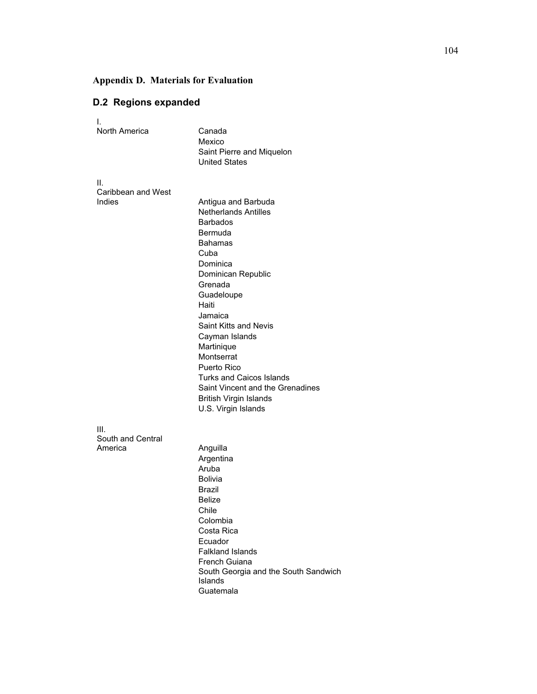# **Appendix D. Materials for Evaluation**

# **D.2 Regions expanded**

| I.<br>North America      | Canada<br>Mexico<br>Saint Pierre and Miquelon                                                                                                                                                                                                                                                                      |
|--------------------------|--------------------------------------------------------------------------------------------------------------------------------------------------------------------------------------------------------------------------------------------------------------------------------------------------------------------|
|                          | <b>United States</b>                                                                                                                                                                                                                                                                                               |
| Ш.<br>Caribbean and West |                                                                                                                                                                                                                                                                                                                    |
| Indies                   | Antigua and Barbuda<br><b>Netherlands Antilles</b><br><b>Barbados</b><br>Bermuda<br>Bahamas<br>Cuba<br>Dominica<br>Dominican Republic<br>Grenada<br>Guadeloupe<br>Haiti<br>Jamaica<br><b>Saint Kitts and Nevis</b><br>Cayman Islands<br>Martinique<br>Montserrat<br>Puerto Rico<br><b>Turks and Caicos Islands</b> |
|                          | Saint Vincent and the Grenadines<br><b>British Virgin Islands</b>                                                                                                                                                                                                                                                  |
| III.                     | U.S. Virgin Islands                                                                                                                                                                                                                                                                                                |
| South and Central        |                                                                                                                                                                                                                                                                                                                    |
| America                  | Anguilla<br>Argentina<br>Aruba<br><b>Bolivia</b><br>Brazil<br><b>Belize</b><br>Chile<br>Colombia<br>Costa Rica<br>Ecuador<br><b>Falkland Islands</b><br>French Guiana<br>South Georgia and the South Sandwich<br>Islands<br>Guatemala                                                                              |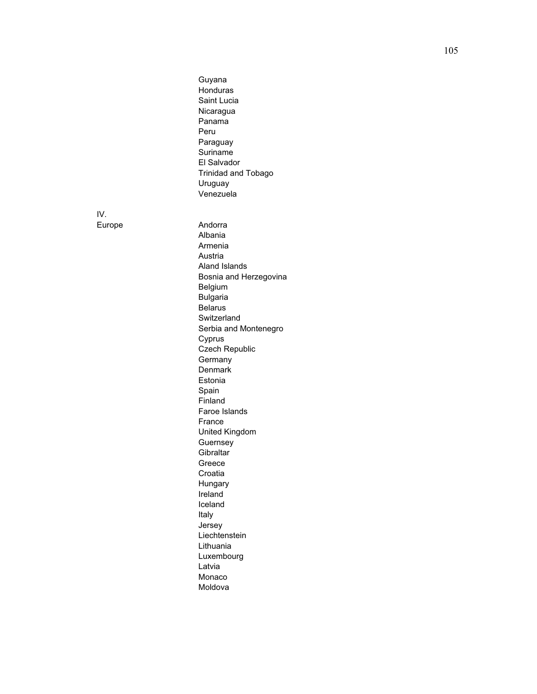Guyana Honduras Saint Lucia Nicaragua Panama Peru Paraguay **Suriname** El Salvador Trinidad and Tobago Uruguay Venezuela

IV.

Europe Andorra Albania Armenia Austria Aland Islands Bosnia and Herzegovina Belgium Bulgaria Belarus **Switzerland** Serbia and Montenegro Cyprus Czech Republic **Germany Denmark** Estonia Spain Finland Faroe Islands France United Kingdom Guernsey **Gibraltar** Greece Croatia Hungary Ireland Iceland Italy Jersey Liechtenstein Lithuania Luxembourg Latvia Monaco Moldova

105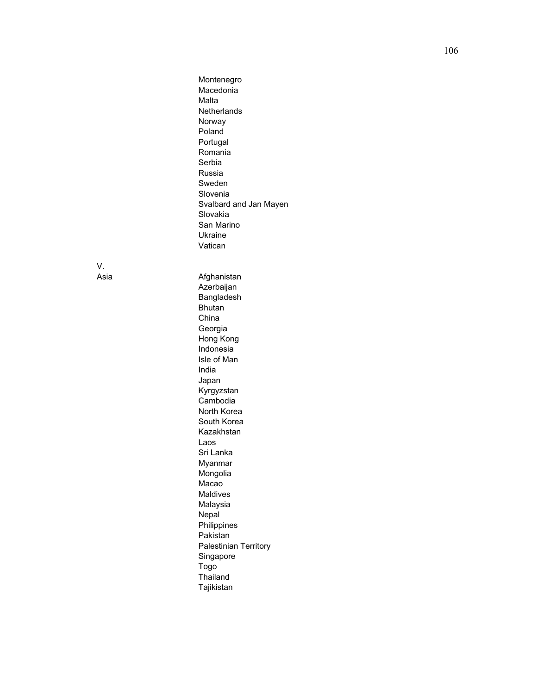Montenegro Macedonia Malta **Netherlands** Norway Poland Portugal Romania Serbia Russia Sweden Slovenia Svalbard and Jan Mayen Slovakia San Marino Ukraine Vatican

V.<br>Asia

Afghanistan Azerbaijan Bangladesh Bhutan China Georgia Hong Kong Indonesia Isle of Man India Japan Kyrgyzstan Cambodia North Korea South Korea Kazakhstan Laos Sri Lanka Myanmar Mongolia Macao Maldives Malaysia Nepal Philippines Pakistan Palestinian Territory Singapore Togo Thailand Tajikistan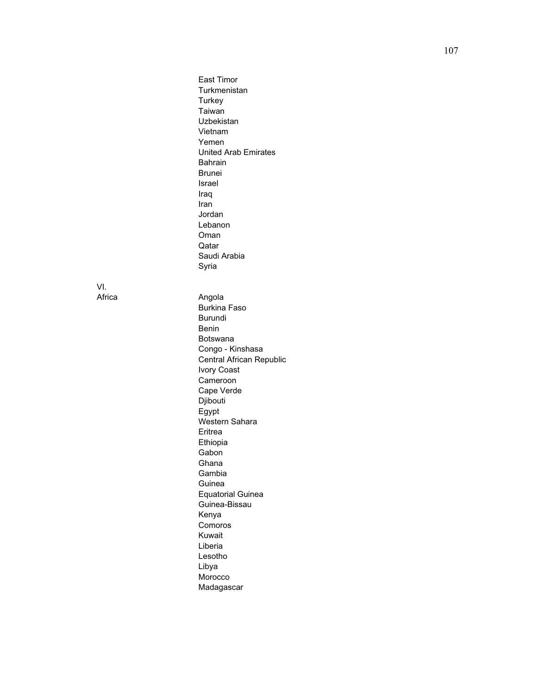East Timor Turkmenistan **Turkey** Taiwan Uzbekistan Vietnam Yemen United Arab Emirates Bahrain Brunei Israel Iraq Iran Jordan Lebanon Oman Qatar Saudi Arabia Syria

VI.

Africa **Angola** Burkina Faso Burundi Benin Botswana Congo - Kinshasa Central African Republic Ivory Coast Cameroon Cape Verde Djibouti Egypt Western Sahara Eritrea Ethiopia Gabon Ghana Gambia **Guinea** Equatorial Guinea Guinea-Bissau Kenya Comoros Kuwait Liberia Lesotho Libya Morocco

Madagascar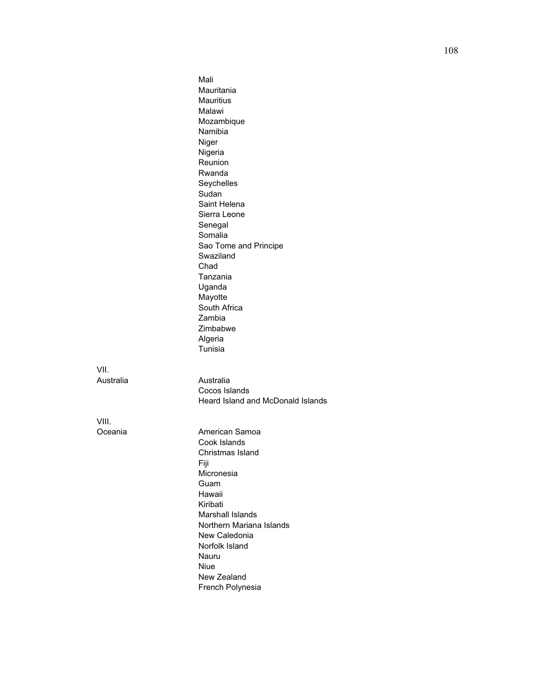|                   | Mali<br>Mauritania<br><b>Mauritius</b><br>Malawi<br>Mozambique<br>Namibia<br>Niger<br>Nigeria<br>Reunion<br>Rwanda<br>Seychelles<br>Sudan<br>Saint Helena<br>Sierra Leone<br>Senegal<br>Somalia<br>Sao Tome and Principe<br>Swaziland<br>Chad<br>Tanzania<br>Uganda<br>Mayotte<br>South Africa<br>Zambia<br>Zimbabwe<br>Algeria<br>Tunisia |
|-------------------|--------------------------------------------------------------------------------------------------------------------------------------------------------------------------------------------------------------------------------------------------------------------------------------------------------------------------------------------|
| VII.<br>Australia | Australia<br>Cocos Islands<br>Heard Island and McDonald Islands                                                                                                                                                                                                                                                                            |
| VIII.<br>Oceania  | American Samoa<br>Cook Islands<br>Christmas Island<br>Fiji<br>Micronesia<br>Guam<br>Hawaii<br>Kiribati<br><b>Marshall Islands</b><br>Northern Mariana Islands<br>New Caledonia<br>Norfolk Island<br>Nauru<br><b>Niue</b><br>New Zealand<br>French Polynesia                                                                                |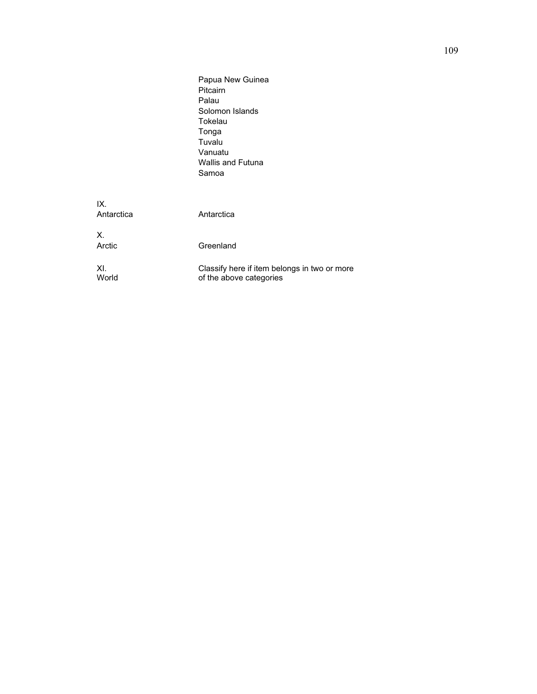|                   | Papua New Guinea<br>Pitcairn<br>Palau<br>Solomon Islands<br>Tokelau<br>Tonga<br>Tuvalu<br>Vanuatu<br><b>Wallis and Futuna</b><br>Samoa |
|-------------------|----------------------------------------------------------------------------------------------------------------------------------------|
| IX.<br>Antarctica | Antarctica                                                                                                                             |
| $X_{-}$<br>Arctic | Greenland                                                                                                                              |
| XI.<br>World      | Classify here if item belongs in two or more<br>of the above categories                                                                |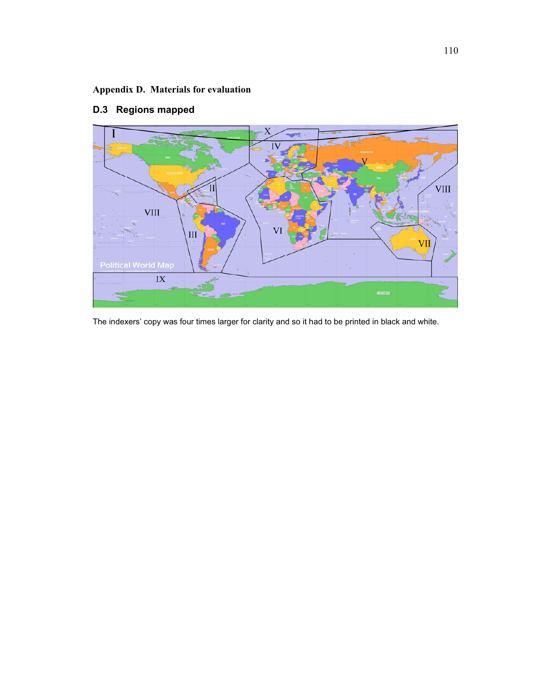# **Appendix D. Materials for evaluation**

# IV **VIII VIII**  $III$ VI  $\overline{\text{IX}}$

# **D.3 Regions mapped**

The indexers' copy was four times larger for clarity and so it had to be printed in black and white.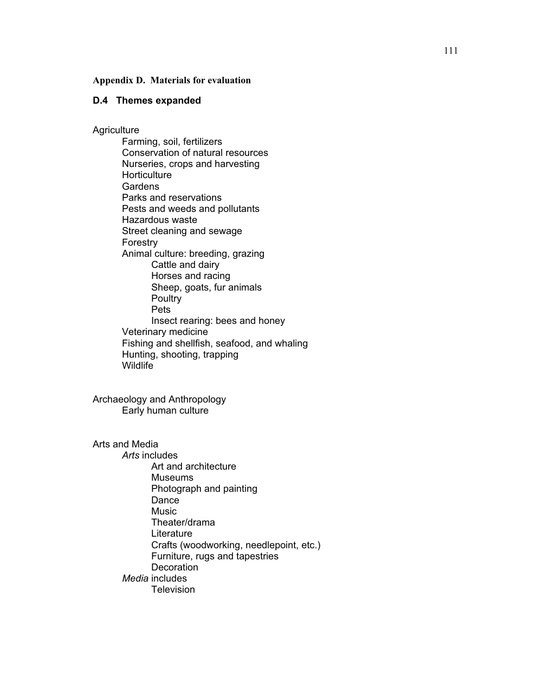## **Appendix D. Materials for evaluation**

# **D.4 Themes expanded**

**Agriculture** 

Farming, soil, fertilizers Conservation of natural resources Nurseries, crops and harvesting **Horticulture Gardens**  Parks and reservations Pests and weeds and pollutants Hazardous waste Street cleaning and sewage Forestry Animal culture: breeding, grazing Cattle and dairy Horses and racing Sheep, goats, fur animals **Poultry** Pets Insect rearing: bees and honey Veterinary medicine Fishing and shellfish, seafood, and whaling Hunting, shooting, trapping Wildlife

Archaeology and Anthropology Early human culture

Arts and Media

*Arts* includes Art and architecture Museums Photograph and painting Dance Music Theater/drama Literature Crafts (woodworking, needlepoint, etc.) Furniture, rugs and tapestries **Decoration** *Media* includes Television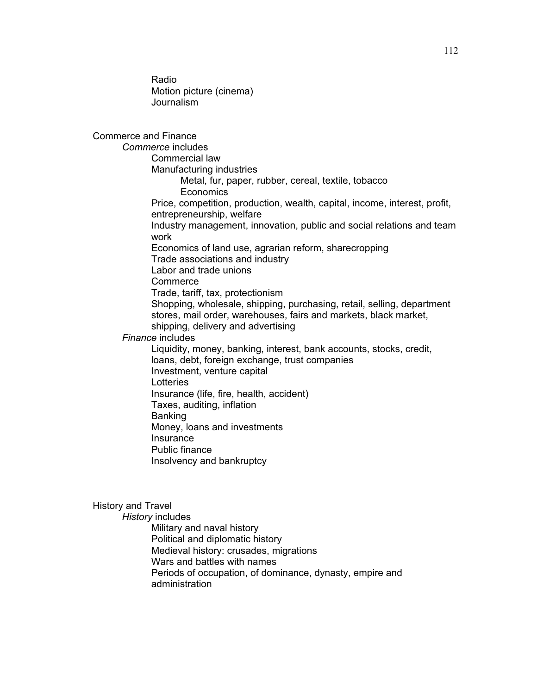Radio Motion picture (cinema) Journalism

Commerce and Finance *Commerce* includes Commercial law Manufacturing industries Metal, fur, paper, rubber, cereal, textile, tobacco **Economics** Price, competition, production, wealth, capital, income, interest, profit, entrepreneurship, welfare Industry management, innovation, public and social relations and team work Economics of land use, agrarian reform, sharecropping Trade associations and industry Labor and trade unions **Commerce**  Trade, tariff, tax, protectionism Shopping, wholesale, shipping, purchasing, retail, selling, department stores, mail order, warehouses, fairs and markets, black market, shipping, delivery and advertising *Finance* includes Liquidity, money, banking, interest, bank accounts, stocks, credit, loans, debt, foreign exchange, trust companies Investment, venture capital Lotteries Insurance (life, fire, health, accident) Taxes, auditing, inflation Banking Money, loans and investments **Insurance** Public finance Insolvency and bankruptcy

# History and Travel

*History* includes

Military and naval history Political and diplomatic history Medieval history: crusades, migrations Wars and battles with names Periods of occupation, of dominance, dynasty, empire and administration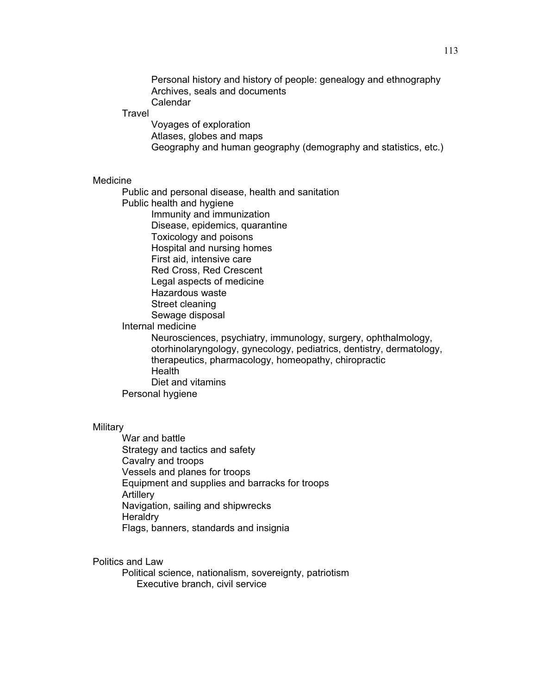Personal history and history of people: genealogy and ethnography Archives, seals and documents Calendar

#### **Travel**

 Voyages of exploration Atlases, globes and maps Geography and human geography (demography and statistics, etc.)

## Medicine

Public and personal disease, health and sanitation

Public health and hygiene

Immunity and immunization

 Disease, epidemics, quarantine Toxicology and poisons

Hospital and nursing homes

First aid, intensive care

Red Cross, Red Crescent

Legal aspects of medicine

Hazardous waste

Street cleaning

Sewage disposal

## Internal medicine

Neurosciences, psychiatry, immunology, surgery, ophthalmology, otorhinolaryngology, gynecology, pediatrics, dentistry, dermatology, therapeutics, pharmacology, homeopathy, chiropractic **Health** Diet and vitamins Personal hygiene

## **Military**

War and battle Strategy and tactics and safety Cavalry and troops Vessels and planes for troops Equipment and supplies and barracks for troops **Artillery** Navigation, sailing and shipwrecks **Heraldry** Flags, banners, standards and insignia

# Politics and Law

Political science, nationalism, sovereignty, patriotism Executive branch, civil service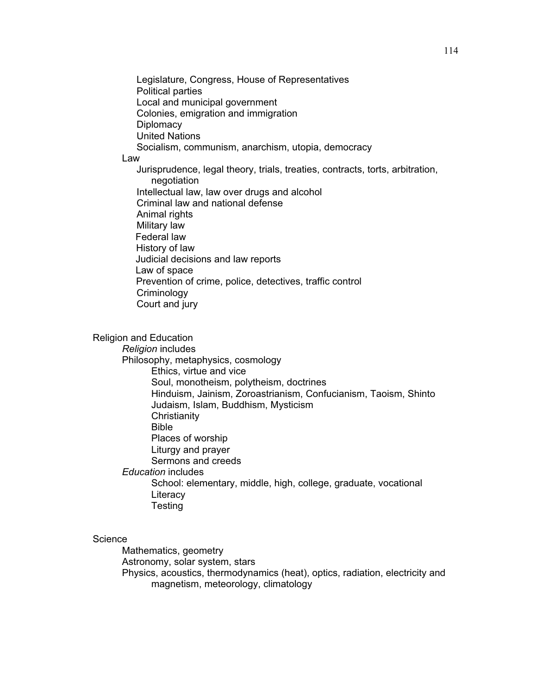Legislature, Congress, House of Representatives Political parties Local and municipal government Colonies, emigration and immigration **Diplomacy**  United Nations Socialism, communism, anarchism, utopia, democracy Law Jurisprudence, legal theory, trials, treaties, contracts, torts, arbitration, negotiation Intellectual law, law over drugs and alcohol Criminal law and national defense Animal rights Military law Federal law History of law Judicial decisions and law reports Law of space Prevention of crime, police, detectives, traffic control **Criminology** Court and jury

Religion and Education *Religion* includes Philosophy, metaphysics, cosmology Ethics, virtue and vice Soul, monotheism, polytheism, doctrines Hinduism, Jainism, Zoroastrianism, Confucianism, Taoism, Shinto Judaism, Islam, Buddhism, Mysticism **Christianity**  Bible Places of worship Liturgy and prayer Sermons and creeds *Education* includes School: elementary, middle, high, college, graduate, vocational **Literacy** Testing

# **Science**

 Mathematics, geometry Astronomy, solar system, stars Physics, acoustics, thermodynamics (heat), optics, radiation, electricity and magnetism, meteorology, climatology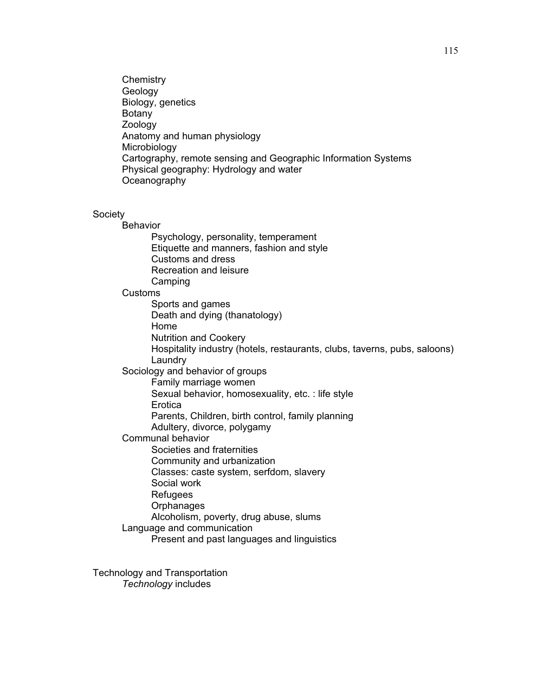**Chemistry** Geology Biology, genetics Botany Zoology Anatomy and human physiology Microbiology Cartography, remote sensing and Geographic Information Systems Physical geography: Hydrology and water **Oceanography** 

# **Society**

Behavior Psychology, personality, temperament Etiquette and manners, fashion and style Customs and dress Recreation and leisure **Camping**  Customs Sports and games Death and dying (thanatology) Home Nutrition and Cookery Hospitality industry (hotels, restaurants, clubs, taverns, pubs, saloons) Laundry Sociology and behavior of groups Family marriage women Sexual behavior, homosexuality, etc. : life style **Erotica** Parents, Children, birth control, family planning Adultery, divorce, polygamy Communal behavior Societies and fraternities Community and urbanization Classes: caste system, serfdom, slavery Social work Refugees **Orphanages** Alcoholism, poverty, drug abuse, slums Language and communication Present and past languages and linguistics

Technology and Transportation *Technology* includes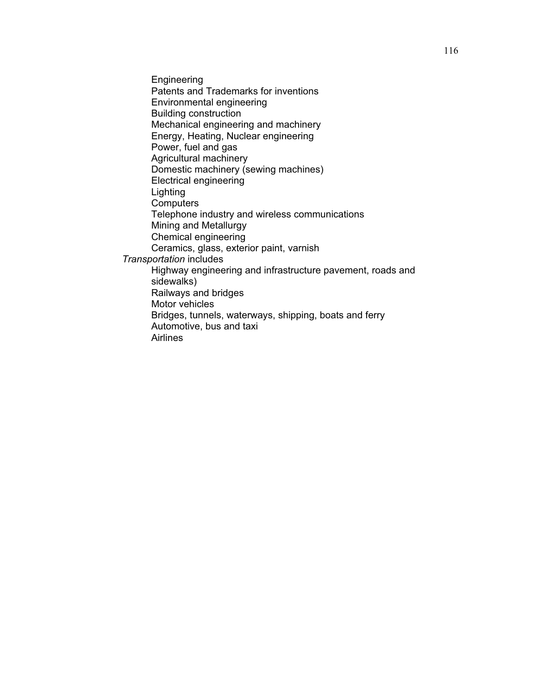**Engineering** Patents and Trademarks for inventions Environmental engineering Building construction Mechanical engineering and machinery Energy, Heating, Nuclear engineering Power, fuel and gas Agricultural machinery Domestic machinery (sewing machines) Electrical engineering Lighting **Computers** Telephone industry and wireless communications Mining and Metallurgy Chemical engineering Ceramics, glass, exterior paint, varnish *Transportation* includes Highway engineering and infrastructure pavement, roads and sidewalks) Railways and bridges Motor vehicles Bridges, tunnels, waterways, shipping, boats and ferry Automotive, bus and taxi Airlines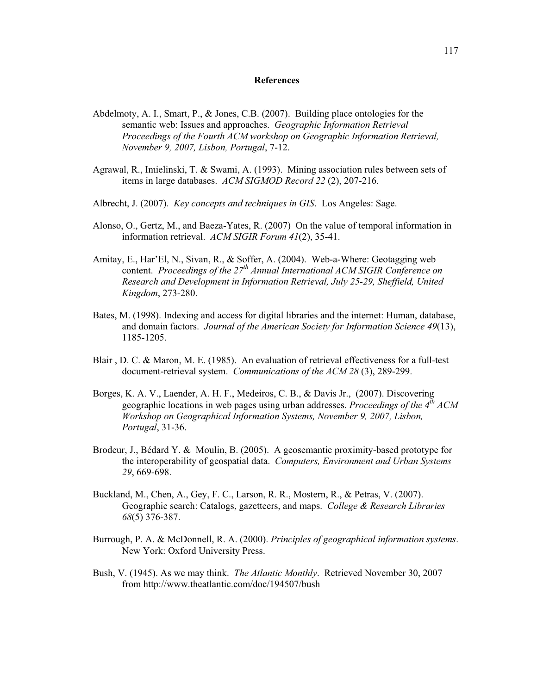#### **References**

- Abdelmoty, A. I., Smart, P., & Jones, C.B. (2007). Building place ontologies for the semantic web: Issues and approaches. *Geographic Information Retrieval Proceedings of the Fourth ACM workshop on Geographic Information Retrieval, November 9, 2007, Lisbon, Portugal*, 7-12.
- Agrawal, R., Imielinski, T. & Swami, A. (1993). Mining association rules between sets of items in large databases. *ACM SIGMOD Record 22* (2), 207-216.
- Albrecht, J. (2007). *Key concepts and techniques in GIS*. Los Angeles: Sage.
- Alonso, O., Gertz, M., and Baeza-Yates, R. (2007) On the value of temporal information in information retrieval. *ACM SIGIR Forum 41*(2), 35-41.
- Amitay, E., Har'El, N., Sivan, R., & Soffer, A. (2004). Web-a-Where: Geotagging web content. *Proceedings of the 27th Annual International ACM SIGIR Conference on Research and Development in Information Retrieval, July 25-29, Sheffield, United Kingdom*, 273-280.
- Bates, M. (1998). Indexing and access for digital libraries and the internet: Human, database, and domain factors. *Journal of the American Society for Information Science 49*(13), 1185-1205.
- Blair , D. C. & Maron, M. E. (1985). An evaluation of retrieval effectiveness for a full-test document-retrieval system. *Communications of the ACM 28* (3), 289-299.
- Borges, K. A. V., Laender, A. H. F., Medeiros, C. B., & Davis Jr., (2007). Discovering geographic locations in web pages using urban addresses. *Proceedings of the 4th ACM Workshop on Geographical Information Systems, November 9, 2007, Lisbon, Portugal*, 31-36.
- Brodeur, J., Bédard Y. & Moulin, B. (2005). A geosemantic proximity-based prototype for the interoperability of geospatial data. *Computers, Environment and Urban Systems 29*, 669-698.
- Buckland, M., Chen, A., Gey, F. C., Larson, R. R., Mostern, R., & Petras, V. (2007). Geographic search: Catalogs, gazetteers, and maps. *College & Research Libraries 68*(5) 376-387.
- Burrough, P. A. & McDonnell, R. A. (2000). *Principles of geographical information systems*. New York: Oxford University Press.
- Bush, V. (1945). As we may think. *The Atlantic Monthly*. Retrieved November 30, 2007 from http://www.theatlantic.com/doc/194507/bush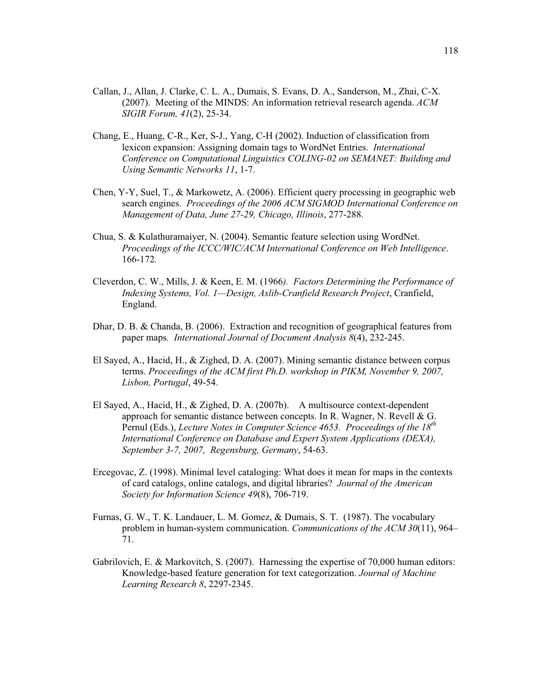- Callan, J., Allan, J. Clarke, C. L. A., Dumais, S. Evans, D. A., Sanderson, M., Zhai, C-X. (2007). Meeting of the MINDS: An information retrieval research agenda. *ACM SIGIR Forum, 41*(2), 25-34.
- Chang, E., Huang, C-R., Ker, S-J., Yang, C-H (2002). Induction of classification from lexicon expansion: Assigning domain tags to WordNet Entries. *International Conference on Computational Linguistics COLING-02 on SEMANET: Building and Using Semantic Networks 11*, 1-7.
- Chen, Y-Y, Suel, T., & Markowetz, A. (2006). Efficient query processing in geographic web search engines. *Proceedings of the 2006 ACM SIGMOD International Conference on Management of Data, June 27-29, Chicago, Illinois*, 277-288.
- Chua, S. & Kulathuramaiyer, N. (2004). Semantic feature selection using WordNet. *Proceedings of the ICCC/WIC/ACM International Conference on Web Intelligence*. 166-172*.*
- Cleverdon, C. W., Mills, J. & Keen, E. M. (1966*). Factors Determining the Performance of Indexing Systems, Vol. 1—Design, Aslib-Cranfield Research Project*, Cranfield, England.
- Dhar, D. B. & Chanda, B. (2006). Extraction and recognition of geographical features from paper maps*. International Journal of Document Analysis 8*(4), 232-245.
- El Sayed, A., Hacid, H., & Zighed, D. A. (2007). Mining semantic distance between corpus terms. *Proceedings of the ACM first Ph.D. workshop in PIKM, November 9, 2007, Lisbon, Portugal*, 49-54.
- El Sayed, A., Hacid, H., & Zighed, D. A. (2007b). A multisource context-dependent approach for semantic distance between concepts. In R. Wagner, N. Revell & G. Pernul (Eds.), *Lecture Notes in Computer Science 4653. Proceedings of the 18<sup>th</sup> International Conference on Database and Expert System Applications (DEXA), September 3-7, 2007, Regensburg, Germany*, 54-63.
- Ercegovac, Z. (1998). Minimal level cataloging: What does it mean for maps in the contexts of card catalogs, online catalogs, and digital libraries? *Journal of the American Society for Information Science 49*(8), 706-719.
- Furnas, G. W., T. K. Landauer, L. M. Gomez, & Dumais, S. T. (1987). The vocabulary problem in human-system communication. *Communications of the ACM 30*(11), 964– 71.
- Gabrilovich, E. & Markovitch, S. (2007). Harnessing the expertise of 70,000 human editors: Knowledge-based feature generation for text categorization. *Journal of Machine Learning Research 8*, 2297-2345.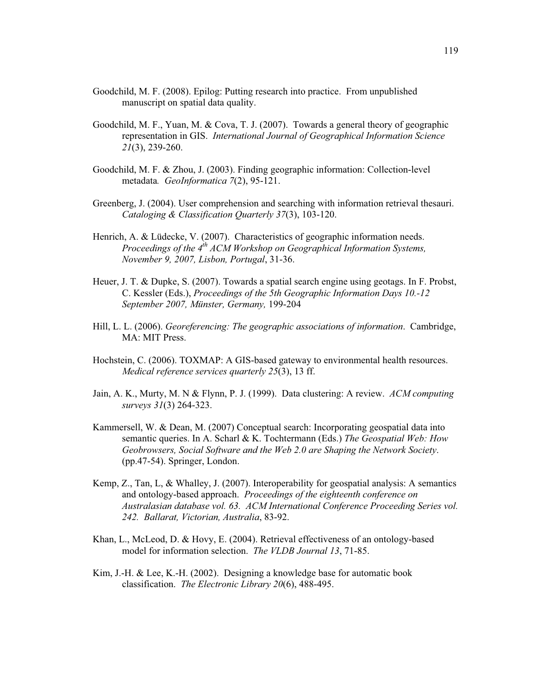- Goodchild, M. F. (2008). Epilog: Putting research into practice. From unpublished manuscript on spatial data quality.
- Goodchild, M. F., Yuan, M. & Cova, T. J. (2007). Towards a general theory of geographic representation in GIS. *International Journal of Geographical Information Science 21*(3), 239-260.
- Goodchild, M. F. & Zhou, J. (2003). Finding geographic information: Collection-level metadata*. GeoInformatica 7*(2), 95-121.
- Greenberg, J. (2004). User comprehension and searching with information retrieval thesauri. *Cataloging & Classification Quarterly 37*(3), 103-120.
- Henrich, A. & Lüdecke, V. (2007). Characteristics of geographic information needs. *Proceedings of the 4<sup>th</sup> ACM Workshop on Geographical Information Systems, November 9, 2007, Lisbon, Portugal*, 31-36.
- Heuer, J. T. & Dupke, S. (2007). Towards a spatial search engine using geotags. In F. Probst, C. Kessler (Eds.), *Proceedings of the 5th Geographic Information Days 10.-12 September 2007, Münster, Germany,* 199-204
- Hill, L. L. (2006). *Georeferencing: The geographic associations of information*. Cambridge, MA: MIT Press.
- Hochstein, C. (2006). TOXMAP: A GIS-based gateway to environmental health resources. *Medical reference services quarterly 25*(3), 13 ff.
- Jain, A. K., Murty, M. N & Flynn, P. J. (1999). Data clustering: A review. *ACM computing surveys 31*(3) 264-323.
- Kammersell, W. & Dean, M. (2007) Conceptual search: Incorporating geospatial data into semantic queries. In A. Scharl & K. Tochtermann (Eds.) *The Geospatial Web: How Geobrowsers, Social Software and the Web 2.0 are Shaping the Network Society*. (pp.47-54). Springer, London.
- Kemp, Z., Tan, L, & Whalley, J. (2007). Interoperability for geospatial analysis: A semantics and ontology-based approach. *Proceedings of the eighteenth conference on Australasian database vol. 63. ACM International Conference Proceeding Series vol. 242. Ballarat, Victorian, Australia*, 83-92.
- Khan, L., McLeod, D. & Hovy, E. (2004). Retrieval effectiveness of an ontology-based model for information selection. *The VLDB Journal 13*, 71-85.
- Kim, J.-H. & Lee, K.-H. (2002). Designing a knowledge base for automatic book classification. *The Electronic Library 20*(6), 488-495.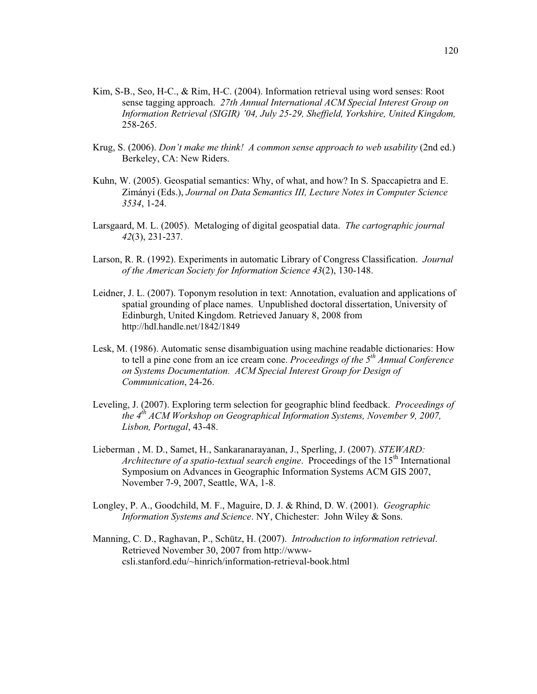- Kim, S-B., Seo, H-C., & Rim, H-C. (2004). Information retrieval using word senses: Root sense tagging approach. *27th Annual International ACM Special Interest Group on Information Retrieval (SIGIR) '04, July 25-29, Sheffield, Yorkshire, United Kingdom,*  258-265.
- Krug, S. (2006). *Don't make me think! A common sense approach to web usability* (2nd ed.) Berkeley, CA: New Riders.
- Kuhn, W. (2005). Geospatial semantics: Why, of what, and how? In S. Spaccapietra and E. Zimányi (Eds.), *Journal on Data Semantics III, Lecture Notes in Computer Science 3534*, 1-24.
- Larsgaard, M. L. (2005). Metaloging of digital geospatial data. *The cartographic journal 42*(3), 231-237.
- Larson, R. R. (1992). Experiments in automatic Library of Congress Classification. *Journal of the American Society for Information Science 43*(2), 130-148.
- Leidner, J. L. (2007). Toponym resolution in text: Annotation, evaluation and applications of spatial grounding of place names. Unpublished doctoral dissertation, University of Edinburgh, United Kingdom. Retrieved January 8, 2008 from http://hdl.handle.net/1842/1849
- Lesk, M. (1986). Automatic sense disambiguation using machine readable dictionaries: How to tell a pine cone from an ice cream cone. *Proceedings of the 5th Annual Conference on Systems Documentation. ACM Special Interest Group for Design of Communication*, 24-26.
- Leveling, J. (2007). Exploring term selection for geographic blind feedback. *Proceedings of the 4th ACM Workshop on Geographical Information Systems, November 9, 2007, Lisbon, Portugal*, 43-48.
- Lieberman , M. D., Samet, H., Sankaranarayanan, J., Sperling, J. (2007). *STEWARD: Architecture of a spatio-textual search engine.* Proceedings of the 15<sup>th</sup> International Symposium on Advances in Geographic Information Systems ACM GIS 2007, November 7-9, 2007, Seattle, WA, 1-8.
- Longley, P. A., Goodchild, M. F., Maguire, D. J. & Rhind, D. W. (2001). *Geographic Information Systems and Science*. NY, Chichester: John Wiley & Sons.
- Manning, C. D., Raghavan, P., Schütz, H. (2007). *Introduction to information retrieval*. Retrieved November 30, 2007 from http://wwwcsli.stanford.edu/~hinrich/information-retrieval-book.html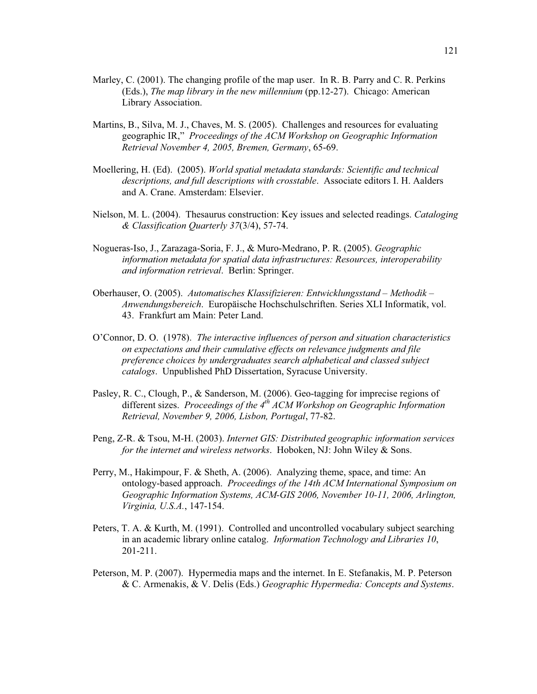- Marley, C. (2001). The changing profile of the map user. In R. B. Parry and C. R. Perkins (Eds.), *The map library in the new millennium* (pp.12-27). Chicago: American Library Association.
- Martins, B., Silva, M. J., Chaves, M. S. (2005). Challenges and resources for evaluating geographic IR," *Proceedings of the ACM Workshop on Geographic Information Retrieval November 4, 2005, Bremen, Germany*, 65-69.
- Moellering, H. (Ed). (2005). *World spatial metadata standards: Scientific and technical descriptions, and full descriptions with crosstable*. Associate editors I. H. Aalders and A. Crane. Amsterdam: Elsevier.
- Nielson, M. L. (2004). Thesaurus construction: Key issues and selected readings. *Cataloging & Classification Quarterly 37*(3/4), 57-74.
- Nogueras-Iso, J., Zarazaga-Soria, F. J., & Muro-Medrano, P. R. (2005). *Geographic information metadata for spatial data infrastructures: Resources, interoperability and information retrieval*. Berlin: Springer.
- Oberhauser, O. (2005). *Automatisches Klassifizieren: Entwicklungsstand Methodik Anwendungsbereich*. Europäische Hochschulschriften. Series XLI Informatik, vol. 43. Frankfurt am Main: Peter Land.
- O'Connor, D. O. (1978). *The interactive influences of person and situation characteristics on expectations and their cumulative effects on relevance judgments and file preference choices by undergraduates search alphabetical and classed subject catalogs*. Unpublished PhD Dissertation, Syracuse University.
- Pasley, R. C., Clough, P., & Sanderson, M. (2006). Geo-tagging for imprecise regions of different sizes. *Proceedings of the 4<sup>th</sup> ACM Workshop on Geographic Information Retrieval, November 9, 2006, Lisbon, Portugal*, 77-82.
- Peng, Z-R. & Tsou, M-H. (2003). *Internet GIS: Distributed geographic information services for the internet and wireless networks*. Hoboken, NJ: John Wiley & Sons.
- Perry, M., Hakimpour, F. & Sheth, A. (2006). Analyzing theme, space, and time: An ontology-based approach. *Proceedings of the 14th ACM International Symposium on Geographic Information Systems, ACM-GIS 2006, November 10-11, 2006, Arlington, Virginia, U.S.A.*, 147-154.
- Peters, T. A. & Kurth, M. (1991). Controlled and uncontrolled vocabulary subject searching in an academic library online catalog. *Information Technology and Libraries 10*, 201-211.
- Peterson, M. P. (2007). Hypermedia maps and the internet. In E. Stefanakis, M. P. Peterson & C. Armenakis, & V. Delis (Eds.) *Geographic Hypermedia: Concepts and Systems*.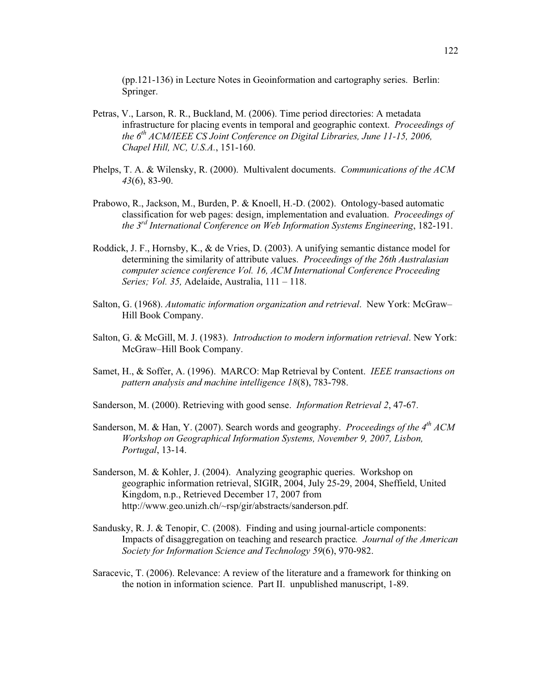(pp.121-136) in Lecture Notes in Geoinformation and cartography series. Berlin: Springer.

- Petras, V., Larson, R. R., Buckland, M. (2006). Time period directories: A metadata infrastructure for placing events in temporal and geographic context. *Proceedings of the 6<sup>th</sup> ACM/IEEE CS Joint Conference on Digital Libraries, June 11-15, 2006, Chapel Hill, NC, U.S.A.*, 151-160.
- Phelps, T. A. & Wilensky, R. (2000). Multivalent documents. *Communications of the ACM 43*(6), 83-90.
- Prabowo, R., Jackson, M., Burden, P. & Knoell, H.-D. (2002). Ontology-based automatic classification for web pages: design, implementation and evaluation. *Proceedings of the 3rd International Conference on Web Information Systems Engineering*, 182-191.
- Roddick, J. F., Hornsby, K., & de Vries, D. (2003). A unifying semantic distance model for determining the similarity of attribute values. *Proceedings of the 26th Australasian computer science conference Vol. 16, ACM International Conference Proceeding Series; Vol. 35,* Adelaide, Australia, 111 – 118.
- Salton, G. (1968). *Automatic information organization and retrieval*. New York: McGraw– Hill Book Company.
- Salton, G. & McGill, M. J. (1983). *Introduction to modern information retrieval*. New York: McGraw–Hill Book Company.
- Samet, H., & Soffer, A. (1996). MARCO: Map Retrieval by Content. *IEEE transactions on pattern analysis and machine intelligence 18*(8), 783-798.
- Sanderson, M. (2000). Retrieving with good sense. *Information Retrieval 2*, 47-67.
- Sanderson, M. & Han, Y. (2007). Search words and geography. *Proceedings of the 4th ACM Workshop on Geographical Information Systems, November 9, 2007, Lisbon, Portugal*, 13-14.
- Sanderson, M. & Kohler, J. (2004). Analyzing geographic queries. Workshop on geographic information retrieval, SIGIR, 2004, July 25-29, 2004, Sheffield, United Kingdom, n.p., Retrieved December 17, 2007 from http://www.geo.unizh.ch/~rsp/gir/abstracts/sanderson.pdf.
- Sandusky, R. J. & Tenopir, C. (2008). Finding and using journal-article components: Impacts of disaggregation on teaching and research practice*. Journal of the American Society for Information Science and Technology 59*(6), 970-982.
- Saracevic, T. (2006). Relevance: A review of the literature and a framework for thinking on the notion in information science. Part II. unpublished manuscript, 1-89.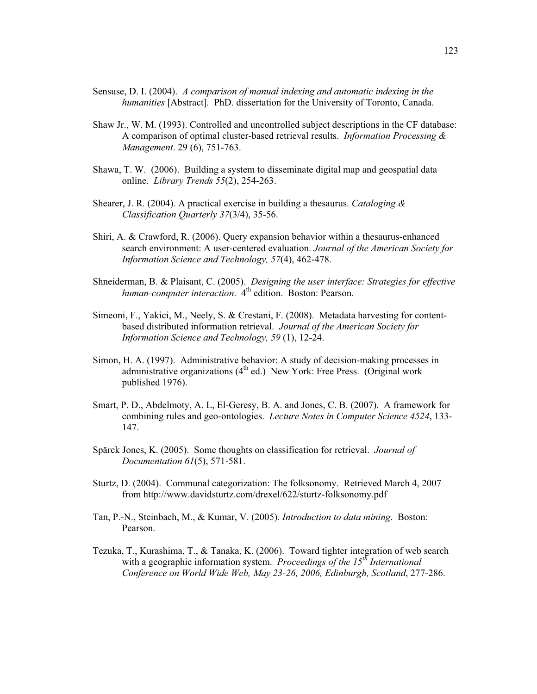- Sensuse, D. I. (2004). *A comparison of manual indexing and automatic indexing in the humanities* [Abstract]*.* PhD. dissertation for the University of Toronto, Canada.
- Shaw Jr., W. M. (1993). Controlled and uncontrolled subject descriptions in the CF database: A comparison of optimal cluster-based retrieval results. *Information Processing & Management*. 29 (6), 751-763.
- Shawa, T. W. (2006). Building a system to disseminate digital map and geospatial data online. *Library Trends 55*(2), 254-263.
- Shearer, J. R. (2004). A practical exercise in building a thesaurus. *Cataloging & Classification Quarterly 37*(3/4), 35-56.
- Shiri, A. & Crawford, R. (2006). Query expansion behavior within a thesaurus-enhanced search environment: A user-centered evaluation. *Journal of the American Society for Information Science and Technology, 57*(4), 462-478.
- Shneiderman, B. & Plaisant, C. (2005). *Designing the user interface: Strategies for effective human-computer interaction.* 4<sup>th</sup> edition. Boston: Pearson.
- Simeoni, F., Yakici, M., Neely, S. & Crestani, F. (2008). Metadata harvesting for contentbased distributed information retrieval. *Journal of the American Society for Information Science and Technology, 59* (1), 12-24.
- Simon, H. A. (1997). Administrative behavior: A study of decision-making processes in administrative organizations  $(4<sup>th</sup>$  ed.) New York: Free Press. (Original work published 1976).
- Smart, P. D., Abdelmoty, A. L, El-Geresy, B. A. and Jones, C. B. (2007). A framework for combining rules and geo-ontologies. *Lecture Notes in Computer Science 4524*, 133- 147.
- Spärck Jones, K. (2005). Some thoughts on classification for retrieval. *Journal of Documentation 61*(5), 571-581.
- Sturtz, D. (2004). Communal categorization: The folksonomy. Retrieved March 4, 2007 from http://www.davidsturtz.com/drexel/622/sturtz-folksonomy.pdf
- Tan, P.-N., Steinbach, M., & Kumar, V. (2005). *Introduction to data mining*. Boston: Pearson.
- Tezuka, T., Kurashima, T., & Tanaka, K. (2006). Toward tighter integration of web search with a geographic information system. *Proceedings of the 15<sup>th</sup> International Conference on World Wide Web, May 23-26, 2006, Edinburgh, Scotland*, 277-286.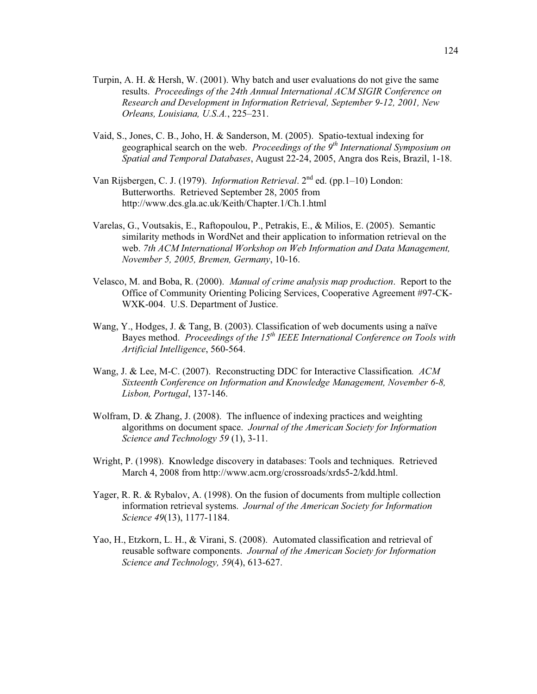- Turpin, A. H. & Hersh, W. (2001). Why batch and user evaluations do not give the same results. *Proceedings of the 24th Annual International ACM SIGIR Conference on Research and Development in Information Retrieval, September 9-12, 2001, New Orleans, Louisiana, U.S.A.*, 225–231.
- Vaid, S., Jones, C. B., Joho, H. & Sanderson, M. (2005). Spatio-textual indexing for geographical search on the web. *Proceedings of the 9th International Symposium on Spatial and Temporal Databases*, August 22-24, 2005, Angra dos Reis, Brazil, 1-18.
- Van Rijsbergen, C. J. (1979). *Information Retrieval*. 2nd ed. (pp.1–10) London: Butterworths. Retrieved September 28, 2005 from http://www.dcs.gla.ac.uk/Keith/Chapter.1/Ch.1.html
- Varelas, G., Voutsakis, E., Raftopoulou, P., Petrakis, E., & Milios, E. (2005). Semantic similarity methods in WordNet and their application to information retrieval on the web. *7th ACM International Workshop on Web Information and Data Management, November 5, 2005, Bremen, Germany*, 10-16.
- Velasco, M. and Boba, R. (2000). *Manual of crime analysis map production*. Report to the Office of Community Orienting Policing Services, Cooperative Agreement #97-CK-WXK-004. U.S. Department of Justice.
- Wang, Y., Hodges, J. & Tang, B. (2003). Classification of web documents using a naïve Bayes method. *Proceedings of the 15<sup>th</sup> IEEE International Conference on Tools with Artificial Intelligence*, 560-564.
- Wang, J. & Lee, M-C. (2007). Reconstructing DDC for Interactive Classification*. ACM Sixteenth Conference on Information and Knowledge Management, November 6-8, Lisbon, Portugal*, 137-146.
- Wolfram, D. & Zhang, J. (2008). The influence of indexing practices and weighting algorithms on document space. *Journal of the American Society for Information Science and Technology 59* (1), 3-11.
- Wright, P. (1998). Knowledge discovery in databases: Tools and techniques. Retrieved March 4, 2008 from http://www.acm.org/crossroads/xrds5-2/kdd.html.
- Yager, R. R. & Rybalov, A. (1998). On the fusion of documents from multiple collection information retrieval systems. *Journal of the American Society for Information Science 49*(13), 1177-1184.
- Yao, H., Etzkorn, L. H., & Virani, S. (2008). Automated classification and retrieval of reusable software components. *Journal of the American Society for Information Science and Technology, 59*(4), 613-627.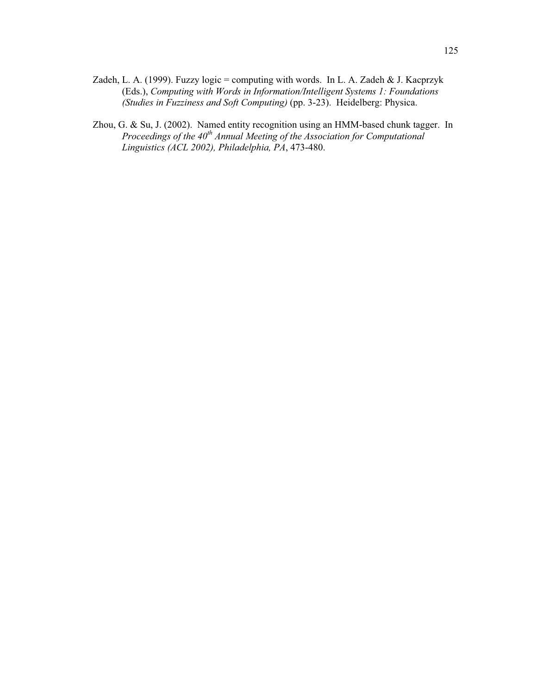- Zadeh, L. A. (1999). Fuzzy logic = computing with words. In L. A. Zadeh & J. Kacprzyk (Eds.), *Computing with Words in Information/Intelligent Systems 1: Foundations (Studies in Fuzziness and Soft Computing)* (pp. 3-23). Heidelberg: Physica.
- Zhou, G. & Su, J. (2002). Named entity recognition using an HMM-based chunk tagger. In *Proceedings of the 40th Annual Meeting of the Association for Computational Linguistics (ACL 2002), Philadelphia, PA*, 473-480.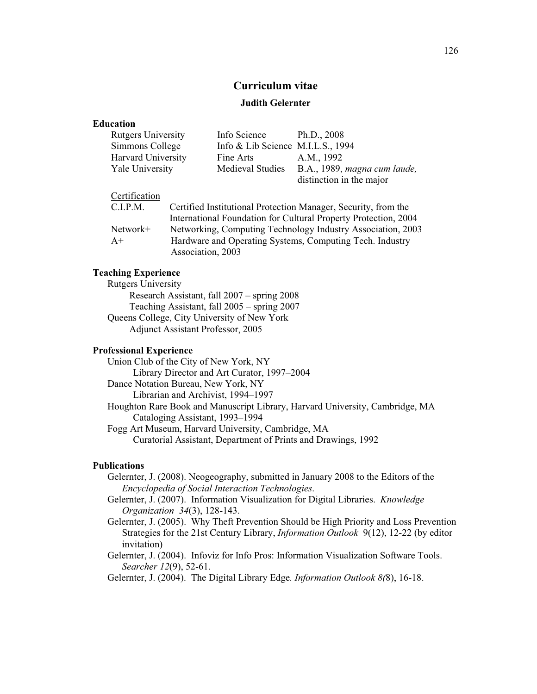# **Curriculum vitae**

## **Judith Gelernter**

## **Education**

| <b>Rutgers University</b> | Info Science                        | Ph.D., $2008$                |
|---------------------------|-------------------------------------|------------------------------|
| Simmons College           | Info & Lib Science M.I.L.S., $1994$ |                              |
| <b>Harvard University</b> | Fine Arts                           | A.M., 1992                   |
| Yale University           | <b>Medieval Studies</b>             | B.A., 1989, magna cum laude, |
|                           |                                     | distinction in the major     |

#### Certification

| Certified Institutional Protection Manager, Security, from the  |
|-----------------------------------------------------------------|
| International Foundation for Cultural Property Protection, 2004 |
| Networking, Computing Technology Industry Association, 2003     |
| Hardware and Operating Systems, Computing Tech. Industry        |
| Association, 2003                                               |
|                                                                 |

## **Teaching Experience**

Rutgers University Research Assistant, fall 2007 – spring 2008 Teaching Assistant, fall 2005 – spring 2007 Queens College, City University of New York Adjunct Assistant Professor, 2005

## **Professional Experience**

Union Club of the City of New York, NY Library Director and Art Curator, 1997–2004 Dance Notation Bureau, New York, NY Librarian and Archivist, 1994–1997 Houghton Rare Book and Manuscript Library, Harvard University, Cambridge, MA Cataloging Assistant, 1993–1994 Fogg Art Museum, Harvard University, Cambridge, MA Curatorial Assistant, Department of Prints and Drawings, 1992

## **Publications**

Gelernter, J. (2008). Neogeography, submitted in January 2008 to the Editors of the *Encyclopedia of Social Interaction Technologies*.

- Gelernter, J. (2007). Information Visualization for Digital Libraries. *Knowledge Organization 34*(3), 128-143.
- Gelernter, J. (2005). Why Theft Prevention Should be High Priority and Loss Prevention Strategies for the 21st Century Library, *Information Outlook* 9(12), 12-22 (by editor invitation)
- Gelernter, J. (2004). Infoviz for Info Pros: Information Visualization Software Tools. *Searcher 12*(9), 52-61.
- Gelernter, J. (2004). The Digital Library Edge*. Information Outlook 8(*8), 16-18.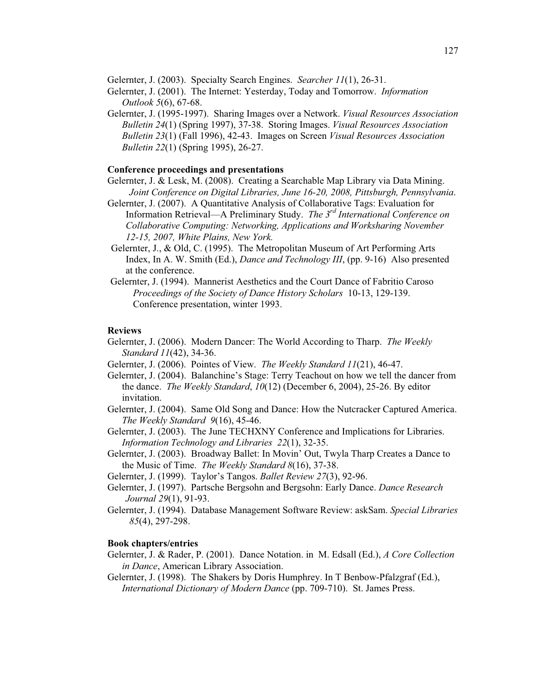Gelernter, J. (2003). Specialty Search Engines. *Searcher 11*(1), 26-31.

- Gelernter, J. (2001). The Internet: Yesterday, Today and Tomorrow. *Information Outlook 5*(6), 67-68.
- Gelernter, J. (1995-1997). Sharing Images over a Network. *Visual Resources Association Bulletin 24*(1) (Spring 1997), 37-38. Storing Images. *Visual Resources Association Bulletin 23*(1) (Fall 1996), 42-43. Images on Screen *Visual Resources Association Bulletin 22*(1) (Spring 1995), 26-27.

## **Conference proceedings and presentations**

- Gelernter, J. & Lesk, M. (2008). Creating a Searchable Map Library via Data Mining. *Joint Conference on Digital Libraries, June 16-20, 2008, Pittsburgh, Pennsylvania*.
- Gelernter, J. (2007). A Quantitative Analysis of Collaborative Tags: Evaluation for Information Retrieval—A Preliminary Study. *The 3rd International Conference on Collaborative Computing: Networking, Applications and Worksharing November 12-15, 2007, White Plains, New York.*
- Gelernter, J., & Old, C. (1995). The Metropolitan Museum of Art Performing Arts Index, In A. W. Smith (Ed.), *Dance and Technology III*, (pp. 9-16) Also presented at the conference.
- Gelernter, J. (1994). Mannerist Aesthetics and the Court Dance of Fabritio Caroso *Proceedings of the Society of Dance History Scholars* 10-13, 129-139. Conference presentation, winter 1993.

#### **Reviews**

- Gelernter, J. (2006). Modern Dancer: The World According to Tharp. *The Weekly Standard 11*(42), 34-36.
- Gelernter, J. (2006). Pointes of View. *The Weekly Standard 11*(21), 46-47.
- Gelernter, J. (2004). Balanchine's Stage: Terry Teachout on how we tell the dancer from the dance. *The Weekly Standard*, *10*(12) (December 6, 2004), 25-26. By editor invitation.
- Gelernter, J. (2004). Same Old Song and Dance: How the Nutcracker Captured America. *The Weekly Standard 9*(16), 45-46.
- Gelernter, J. (2003). The June TECHXNY Conference and Implications for Libraries. *Information Technology and Libraries 22*(1), 32-35.
- Gelernter, J. (2003). Broadway Ballet: In Movin' Out, Twyla Tharp Creates a Dance to the Music of Time. *The Weekly Standard 8*(16), 37-38.
- Gelernter, J. (1999). Taylor's Tangos. *Ballet Review 27*(3), 92-96.
- Gelernter, J. (1997). Partsche Bergsohn and Bergsohn: Early Dance. *Dance Research Journal 29*(1), 91-93.
- Gelernter, J. (1994). Database Management Software Review: askSam. *Special Libraries 85*(4), 297-298.

## **Book chapters/entries**

- Gelernter, J. & Rader, P. (2001). Dance Notation. in M. Edsall (Ed.), *A Core Collection in Dance*, American Library Association.
- Gelernter, J. (1998). The Shakers by Doris Humphrey. In T Benbow-Pfalzgraf (Ed.), *International Dictionary of Modern Dance* (pp. 709-710). St. James Press.